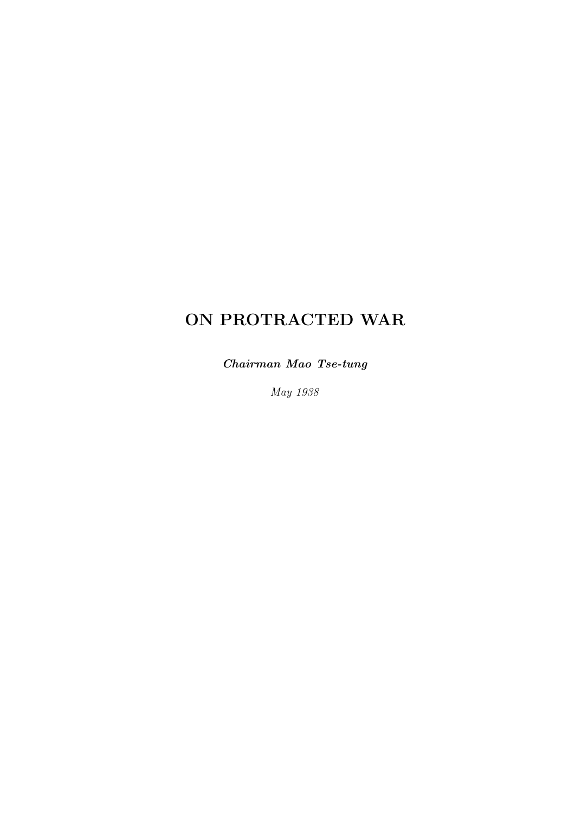### ON PROTRACTED WAR

Chairman Mao Tse-tung

May 1938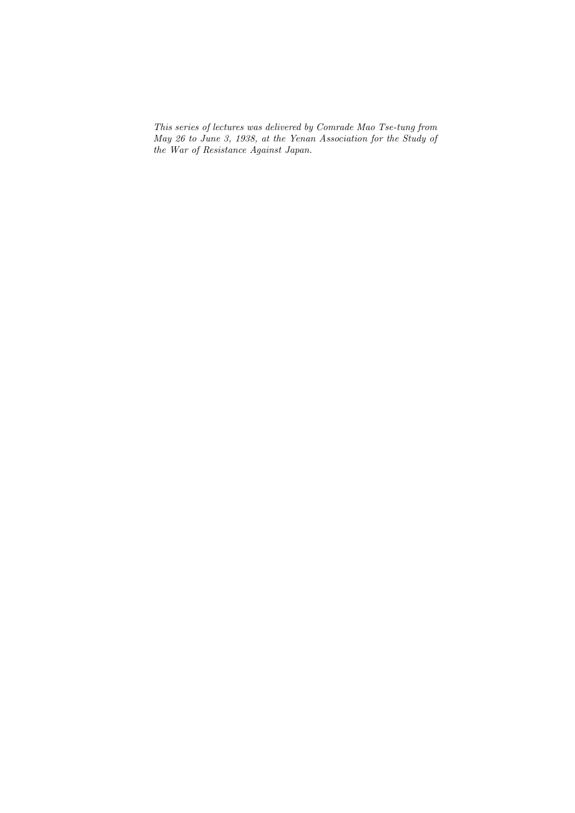This series of lectures was delivered by Comrade Mao Tse-tung from May 26 to June 3, 1938, at the Yenan Association for the Study of the War of Resistance Against Japan.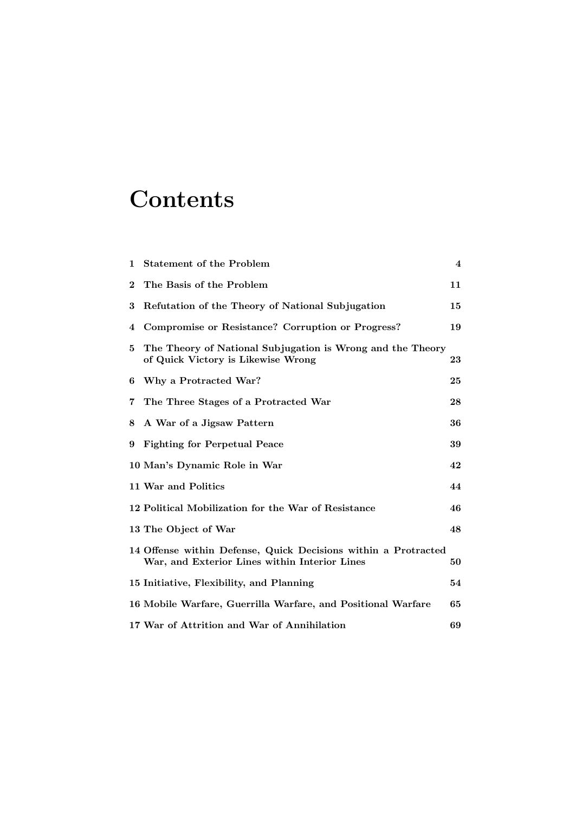### **Contents**

| 1        | <b>Statement of the Problem</b>                                                                                 | 4  |
|----------|-----------------------------------------------------------------------------------------------------------------|----|
| $\bf{2}$ | The Basis of the Problem                                                                                        | 11 |
| 3        | Refutation of the Theory of National Subjugation                                                                | 15 |
| 4        | Compromise or Resistance? Corruption or Progress?                                                               | 19 |
| 5        | The Theory of National Subjugation is Wrong and the Theory<br>of Quick Victory is Likewise Wrong                | 23 |
| 6        | Why a Protracted War?                                                                                           | 25 |
| 7        | The Three Stages of a Protracted War                                                                            | 28 |
| 8        | A War of a Jigsaw Pattern                                                                                       | 36 |
| 9        | <b>Fighting for Perpetual Peace</b>                                                                             | 39 |
|          | 10 Man's Dynamic Role in War                                                                                    | 42 |
|          | 11 War and Politics                                                                                             | 44 |
|          | 12 Political Mobilization for the War of Resistance                                                             | 46 |
|          | 13 The Object of War                                                                                            | 48 |
|          | 14 Offense within Defense, Quick Decisions within a Protracted<br>War, and Exterior Lines within Interior Lines | 50 |
|          | 15 Initiative, Flexibility, and Planning                                                                        | 54 |
|          | 16 Mobile Warfare, Guerrilla Warfare, and Positional Warfare                                                    | 65 |
|          | 17 War of Attrition and War of Annihilation                                                                     | 69 |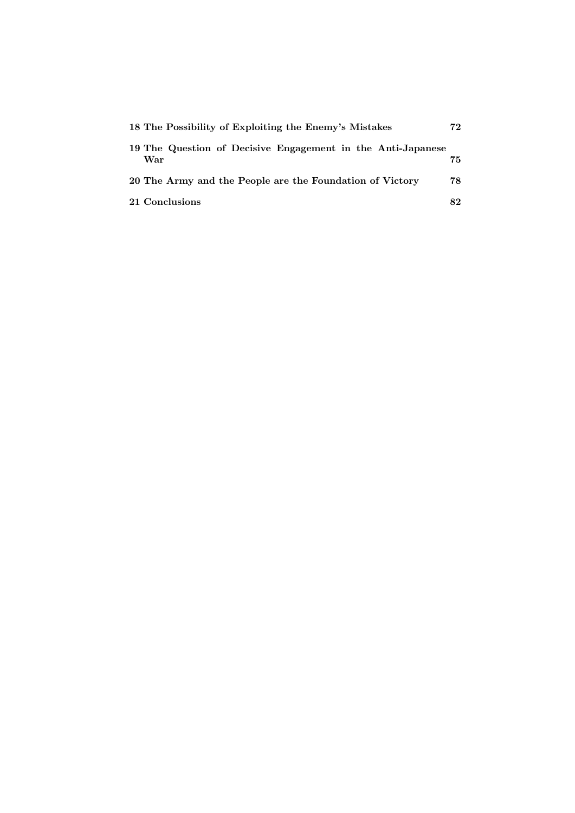| 18 The Possibility of Exploiting the Enemy's Mistakes              | 72  |
|--------------------------------------------------------------------|-----|
| 19 The Question of Decisive Engagement in the Anti-Japanese<br>War | 75. |
| 20 The Army and the People are the Foundation of Victory           | 78  |
| 21 Conclusions                                                     | 82  |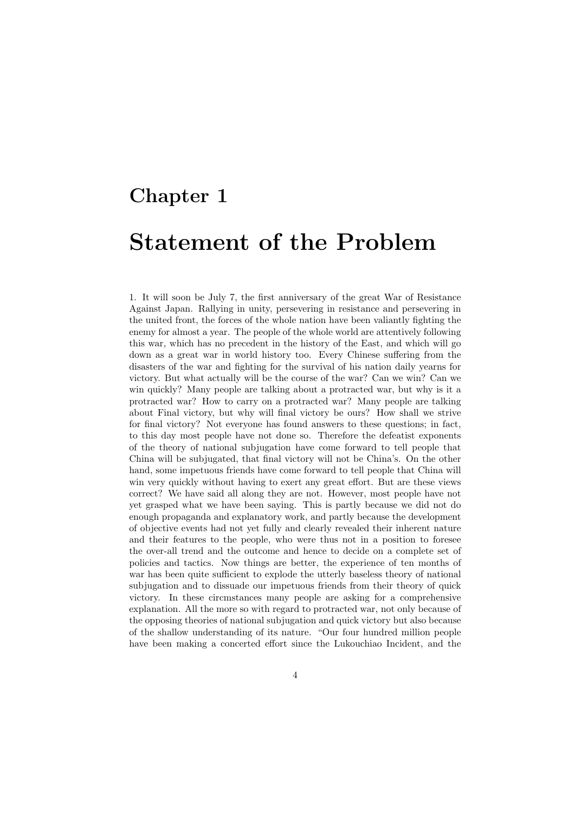### Chapter 1

### Statement of the Problem

1. It will soon be July 7, the first anniversary of the great War of Resistance Against Japan. Rallying in unity, persevering in resistance and persevering in the united front, the forces of the whole nation have been valiantly fighting the enemy for almost a year. The people of the whole world are attentively following this war, which has no precedent in the history of the East, and which will go down as a great war in world history too. Every Chinese suffering from the disasters of the war and fighting for the survival of his nation daily yearns for victory. But what actually will be the course of the war? Can we win? Can we win quickly? Many people are talking about a protracted war, but why is it a protracted war? How to carry on a protracted war? Many people are talking about Final victory, but why will final victory be ours? How shall we strive for final victory? Not everyone has found answers to these questions; in fact, to this day most people have not done so. Therefore the defeatist exponents of the theory of national subjugation have come forward to tell people that China will be subjugated, that final victory will not be China's. On the other hand, some impetuous friends have come forward to tell people that China will win very quickly without having to exert any great effort. But are these views correct? We have said all along they are not. However, most people have not yet grasped what we have been saying. This is partly because we did not do enough propaganda and explanatory work, and partly because the development of objective events had not yet fully and clearly revealed their inherent nature and their features to the people, who were thus not in a position to foresee the over-all trend and the outcome and hence to decide on a complete set of policies and tactics. Now things are better, the experience of ten months of war has been quite sufficient to explode the utterly baseless theory of national subjugation and to dissuade our impetuous friends from their theory of quick victory. In these circmstances many people are asking for a comprehensive explanation. All the more so with regard to protracted war, not only because of the opposing theories of national subjugation and quick victory but also because of the shallow understanding of its nature. "Our four hundred million people have been making a concerted effort since the Lukouchiao Incident, and the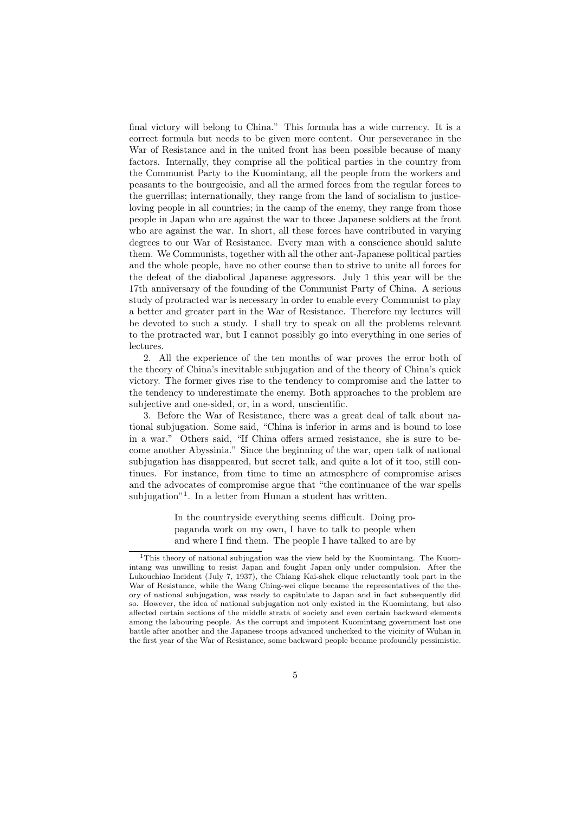final victory will belong to China." This formula has a wide currency. It is a correct formula but needs to be given more content. Our perseverance in the War of Resistance and in the united front has been possible because of many factors. Internally, they comprise all the political parties in the country from the Communist Party to the Kuomintang, all the people from the workers and peasants to the bourgeoisie, and all the armed forces from the regular forces to the guerrillas; internationally, they range from the land of socialism to justiceloving people in all countries; in the camp of the enemy, they range from those people in Japan who are against the war to those Japanese soldiers at the front who are against the war. In short, all these forces have contributed in varying degrees to our War of Resistance. Every man with a conscience should salute them. We Communists, together with all the other ant-Japanese political parties and the whole people, have no other course than to strive to unite all forces for the defeat of the diabolical Japanese aggressors. July 1 this year will be the 17th anniversary of the founding of the Communist Party of China. A serious study of protracted war is necessary in order to enable every Communist to play a better and greater part in the War of Resistance. Therefore my lectures will be devoted to such a study. I shall try to speak on all the problems relevant to the protracted war, but I cannot possibly go into everything in one series of lectures.

2. All the experience of the ten months of war proves the error both of the theory of China's inevitable subjugation and of the theory of China's quick victory. The former gives rise to the tendency to compromise and the latter to the tendency to underestimate the enemy. Both approaches to the problem are subjective and one-sided, or, in a word, unscientific.

3. Before the War of Resistance, there was a great deal of talk about national subjugation. Some said, "China is inferior in arms and is bound to lose in a war." Others said, "If China offers armed resistance, she is sure to become another Abyssinia." Since the beginning of the war, open talk of national subjugation has disappeared, but secret talk, and quite a lot of it too, still continues. For instance, from time to time an atmosphere of compromise arises and the advocates of compromise argue that "the continuance of the war spells subjugation"<sup>1</sup> . In a letter from Hunan a student has written.

> In the countryside everything seems difficult. Doing propaganda work on my own, I have to talk to people when and where I find them. The people I have talked to are by

<sup>&</sup>lt;sup>1</sup>This theory of national subjugation was the view held by the Kuomintang. The Kuomintang was unwilling to resist Japan and fought Japan only under compulsion. After the Lukouchiao Incident (July 7, 1937), the Chiang Kai-shek clique reluctantly took part in the War of Resistance, while the Wang Ching-wei clique became the representatives of the theory of national subjugation, was ready to capitulate to Japan and in fact subsequently did so. However, the idea of national subjugation not only existed in the Kuomintang, but also affected certain sections of the middle strata of society and even certain backward elements among the labouring people. As the corrupt and impotent Kuomintang government lost one battle after another and the Japanese troops advanced unchecked to the vicinity of Wuhan in the first year of the War of Resistance, some backward people became profoundly pessimistic.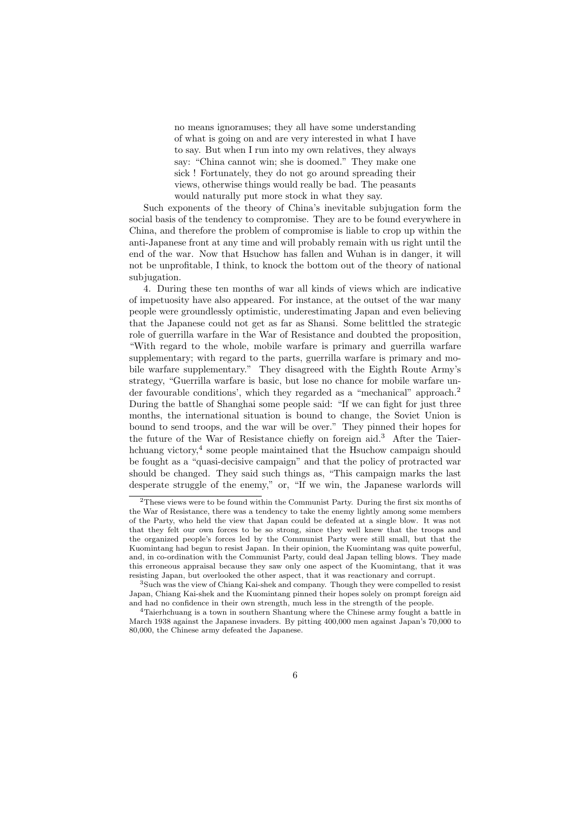no means ignoramuses; they all have some understanding of what is going on and are very interested in what I have to say. But when I run into my own relatives, they always say: "China cannot win; she is doomed." They make one sick ! Fortunately, they do not go around spreading their views, otherwise things would really be bad. The peasants would naturally put more stock in what they say.

Such exponents of the theory of China's inevitable subjugation form the social basis of the tendency to compromise. They are to be found everywhere in China, and therefore the problem of compromise is liable to crop up within the anti-Japanese front at any time and will probably remain with us right until the end of the war. Now that Hsuchow has fallen and Wuhan is in danger, it will not be unprofitable, I think, to knock the bottom out of the theory of national subjugation.

4. During these ten months of war all kinds of views which are indicative of impetuosity have also appeared. For instance, at the outset of the war many people were groundlessly optimistic, underestimating Japan and even believing that the Japanese could not get as far as Shansi. Some belittled the strategic role of guerrilla warfare in the War of Resistance and doubted the proposition, "With regard to the whole, mobile warfare is primary and guerrilla warfare supplementary; with regard to the parts, guerrilla warfare is primary and mobile warfare supplementary." They disagreed with the Eighth Route Army's strategy, "Guerrilla warfare is basic, but lose no chance for mobile warfare under favourable conditions', which they regarded as a "mechanical" approach.<sup>2</sup> During the battle of Shanghai some people said: "If we can fight for just three months, the international situation is bound to change, the Soviet Union is bound to send troops, and the war will be over." They pinned their hopes for the future of the War of Resistance chiefly on foreign aid.<sup>3</sup> After the Taierhchuang victory,<sup>4</sup> some people maintained that the Hsuchow campaign should be fought as a "quasi-decisive campaign" and that the policy of protracted war should be changed. They said such things as, "This campaign marks the last desperate struggle of the enemy," or, "If we win, the Japanese warlords will

<sup>2</sup>These views were to be found within the Communist Party. During the first six months of the War of Resistance, there was a tendency to take the enemy lightly among some members of the Party, who held the view that Japan could be defeated at a single blow. It was not that they felt our own forces to be so strong, since they well knew that the troops and the organized people's forces led by the Communist Party were still small, but that the Kuomintang had begun to resist Japan. In their opinion, the Kuomintang was quite powerful, and, in co-ordination with the Communist Party, could deal Japan telling blows. They made this erroneous appraisal because they saw only one aspect of the Kuomintang, that it was resisting Japan, but overlooked the other aspect, that it was reactionary and corrupt.

<sup>&</sup>lt;sup>3</sup>Such was the view of Chiang Kai-shek and company. Though they were compelled to resist Japan, Chiang Kai-shek and the Kuomintang pinned their hopes solely on prompt foreign aid and had no confidence in their own strength, much less in the strength of the people.

<sup>4</sup>Taierhchuang is a town in southern Shantung where the Chinese army fought a battle in March 1938 against the Japanese invaders. By pitting 400,000 men against Japan's 70,000 to 80,000, the Chinese army defeated the Japanese.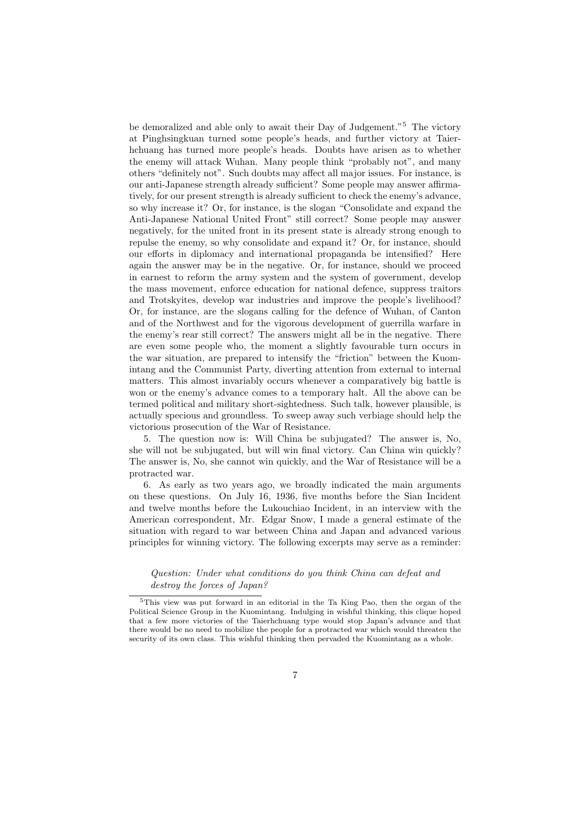be demoralized and able only to await their Day of Judgement."<sup>5</sup> The victory at Pinghsingkuan turned some people's heads, and further victory at Taierhchuang has turned more people's heads. Doubts have arisen as to whether the enemy will attack Wuhan. Many people think "probably not", and many others "definitely not". Such doubts may affect all major issues. For instance, is our anti-Japanese strength already sufficient? Some people may answer affirmatively, for our present strength is already sufficient to check the enemy's advance, so why increase it? Or, for instance, is the slogan "Consolidate and expand the Anti-Japanese National United Front" still correct? Some people may answer negatively, for the united front in its present state is already strong enough to repulse the enemy, so why consolidate and expand it? Or, for instance, should our efforts in diplomacy and international propaganda be intensified? Here again the answer may be in the negative. Or, for instance, should we proceed in earnest to reform the army system and the system of government, develop the mass movement, enforce education for national defence, suppress traitors and Trotskyites, develop war industries and improve the people's livelihood? Or, for instance, are the slogans calling for the defence of Wuhan, of Canton and of the Northwest and for the vigorous development of guerrilla warfare in the enemy's rear still correct? The answers might all be in the negative. There are even some people who, the moment a slightly favourable turn occurs in the war situation, are prepared to intensify the "friction" between the Kuomintang and the Communist Party, diverting attention from external to internal matters. This almost invariably occurs whenever a comparatively big battle is won or the enemy's advance comes to a temporary halt. All the above can be termed political and military short-sightedness. Such talk, however plausible, is actually specious and groundless. To sweep away such verbiage should help the victorious prosecution of the War of Resistance.

5. The question now is: Will China be subjugated? The answer is, No, she will not be subjugated, but will win final victory. Can China win quickly? The answer is, No, she cannot win quickly, and the War of Resistance will be a protracted war.

6. As early as two years ago, we broadly indicated the main arguments on these questions. On July 16, 1936, five months before the Sian Incident and twelve months before the Lukouchiao Incident, in an interview with the American correspondent, Mr. Edgar Snow, I made a general estimate of the situation with regard to war between China and Japan and advanced various principles for winning victory. The following excerpts may serve as a reminder:

#### Question: Under what conditions do you think China can defeat and destroy the forces of Japan?

<sup>&</sup>lt;sup>5</sup>This view was put forward in an editorial in the Ta King Pao, then the organ of the Political Science Group in the Kuomintang. Indulging in wishful thinking, this clique hoped that a few more victories of the Taierhchuang type would stop Japan's advance and that there would be no need to mobilize the people for a protracted war which would threaten the security of its own class. This wishful thinking then pervaded the Kuomintang as a whole.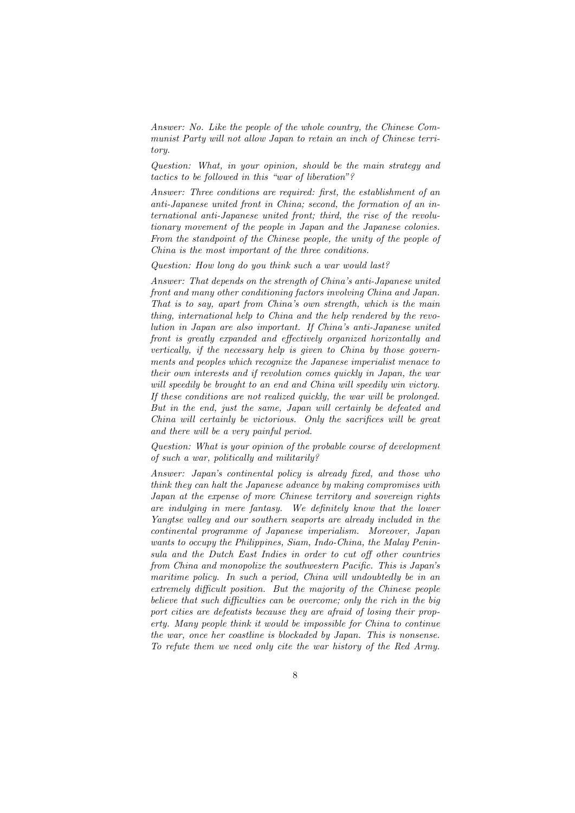Answer: No. Like the people of the whole country, the Chinese Communist Party will not allow Japan to retain an inch of Chinese territory.

Question: What, in your opinion, should be the main strategy and tactics to be followed in this "war of liberation"?

Answer: Three conditions are required: first, the establishment of an anti-Japanese united front in China; second, the formation of an international anti-Japanese united front; third, the rise of the revolutionary movement of the people in Japan and the Japanese colonies. From the standpoint of the Chinese people, the unity of the people of China is the most important of the three conditions.

Question: How long do you think such a war would last?

Answer: That depends on the strength of China's anti-Japanese united front and many other conditioning factors involving China and Japan. That is to say, apart from China's own strength, which is the main thing, international help to China and the help rendered by the revolution in Japan are also important. If China's anti-Japanese united front is greatly expanded and effectively organized horizontally and vertically, if the necessary help is given to China by those governments and peoples which recognize the Japanese imperialist menace to their own interests and if revolution comes quickly in Japan, the war will speedily be brought to an end and China will speedily win victory. If these conditions are not realized quickly, the war will be prolonged. But in the end, just the same, Japan will certainly be defeated and China will certainly be victorious. Only the sacrifices will be great and there will be a very painful period.

Question: What is your opinion of the probable course of development of such a war, politically and militarily?

Answer: Japan's continental policy is already fixed, and those who think they can halt the Japanese advance by making compromises with Japan at the expense of more Chinese territory and sovereign rights are indulging in mere fantasy. We definitely know that the lower Yangtse valley and our southern seaports are already included in the continental programme of Japanese imperialism. Moreover, Japan wants to occupy the Philippines, Siam, Indo-China, the Malay Peninsula and the Dutch East Indies in order to cut off other countries from China and monopolize the southwestern Pacific. This is Japan's maritime policy. In such a period, China will undoubtedly be in an extremely difficult position. But the majority of the Chinese people believe that such difficulties can be overcome; only the rich in the big port cities are defeatists because they are afraid of losing their property. Many people think it would be impossible for China to continue the war, once her coastline is blockaded by Japan. This is nonsense. To refute them we need only cite the war history of the Red Army.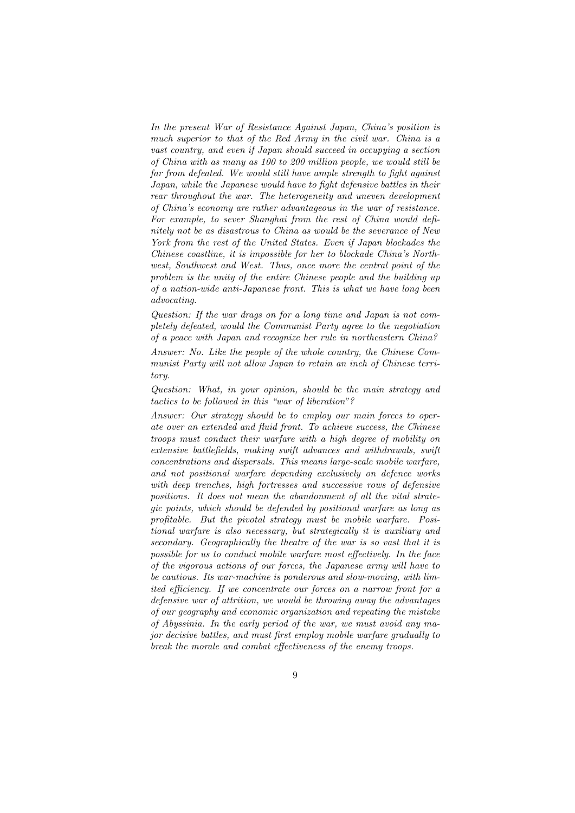In the present War of Resistance Against Japan, China's position is much superior to that of the Red Army in the civil war. China is a vast country, and even if Japan should succeed in occupying a section of China with as many as 100 to 200 million people, we would still be far from defeated. We would still have ample strength to fight against Japan, while the Japanese would have to fight defensive battles in their rear throughout the war. The heterogeneity and uneven development of China's economy are rather advantageous in the war of resistance. For example, to sever Shanghai from the rest of China would definitely not be as disastrous to China as would be the severance of New York from the rest of the United States. Even if Japan blockades the Chinese coastline, it is impossible for her to blockade China's Northwest, Southwest and West. Thus, once more the central point of the problem is the unity of the entire Chinese people and the building up of a nation-wide anti-Japanese front. This is what we have long been advocating.

Question: If the war drags on for a long time and Japan is not completely defeated, would the Communist Party agree to the negotiation of a peace with Japan and recognize her rule in northeastern China?

Answer: No. Like the people of the whole country, the Chinese Communist Party will not allow Japan to retain an inch of Chinese territory.

Question: What, in your opinion, should be the main strategy and tactics to be followed in this "war of liberation"?

Answer: Our strategy should be to employ our main forces to operate over an extended and fluid front. To achieve success, the Chinese troops must conduct their warfare with a high degree of mobility on extensive battlefields, making swift advances and withdrawals, swift concentrations and dispersals. This means large-scale mobile warfare, and not positional warfare depending exclusively on defence works with deep trenches, high fortresses and successive rows of defensive positions. It does not mean the abandonment of all the vital strategic points, which should be defended by positional warfare as long as profitable. But the pivotal strategy must be mobile warfare. Positional warfare is also necessary, but strategically it is auxiliary and secondary. Geographically the theatre of the war is so vast that it is possible for us to conduct mobile warfare most effectively. In the face of the vigorous actions of our forces, the Japanese army will have to be cautious. Its war-machine is ponderous and slow-moving, with limited efficiency. If we concentrate our forces on a narrow front for a defensive war of attrition, we would be throwing away the advantages of our geography and economic organization and repeating the mistake of Abyssinia. In the early period of the war, we must avoid any major decisive battles, and must first employ mobile warfare gradually to break the morale and combat effectiveness of the enemy troops.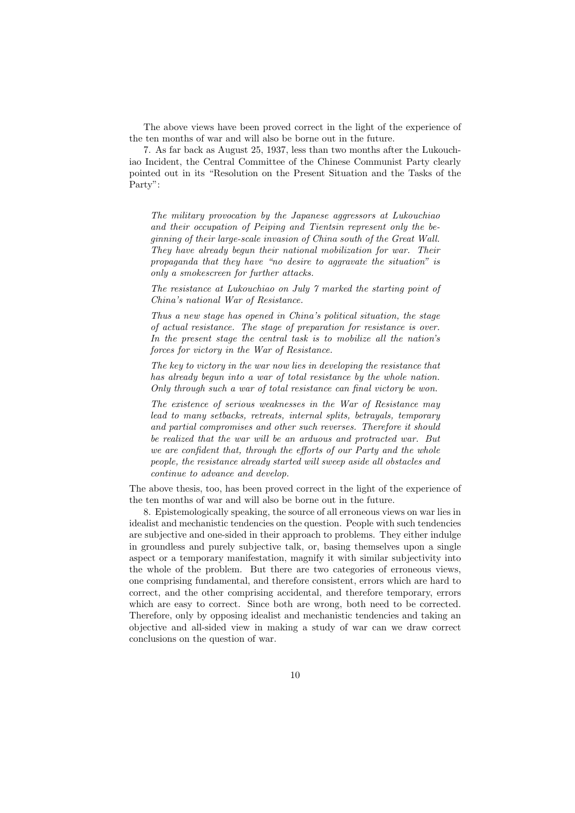The above views have been proved correct in the light of the experience of the ten months of war and will also be borne out in the future.

7. As far back as August 25, 1937, less than two months after the Lukouchiao Incident, the Central Committee of the Chinese Communist Party clearly pointed out in its "Resolution on the Present Situation and the Tasks of the Party":

The military provocation by the Japanese aggressors at Lukouchiao and their occupation of Peiping and Tientsin represent only the beginning of their large-scale invasion of China south of the Great Wall. They have already begun their national mobilization for war. Their propaganda that they have "no desire to aggravate the situation" is only a smokescreen for further attacks.

The resistance at Lukouchiao on July 7 marked the starting point of China's national War of Resistance.

Thus a new stage has opened in China's political situation, the stage of actual resistance. The stage of preparation for resistance is over. In the present stage the central task is to mobilize all the nation's forces for victory in the War of Resistance.

The key to victory in the war now lies in developing the resistance that has already begun into a war of total resistance by the whole nation. Only through such a war of total resistance can final victory be won.

The existence of serious weaknesses in the War of Resistance may lead to many setbacks, retreats, internal splits, betrayals, temporary and partial compromises and other such reverses. Therefore it should be realized that the war will be an arduous and protracted war. But we are confident that, through the efforts of our Party and the whole people, the resistance already started will sweep aside all obstacles and continue to advance and develop.

The above thesis, too, has been proved correct in the light of the experience of the ten months of war and will also be borne out in the future.

8. Epistemologically speaking, the source of all erroneous views on war lies in idealist and mechanistic tendencies on the question. People with such tendencies are subjective and one-sided in their approach to problems. They either indulge in groundless and purely subjective talk, or, basing themselves upon a single aspect or a temporary manifestation, magnify it with similar subjectivity into the whole of the problem. But there are two categories of erroneous views, one comprising fundamental, and therefore consistent, errors which are hard to correct, and the other comprising accidental, and therefore temporary, errors which are easy to correct. Since both are wrong, both need to be corrected. Therefore, only by opposing idealist and mechanistic tendencies and taking an objective and all-sided view in making a study of war can we draw correct conclusions on the question of war.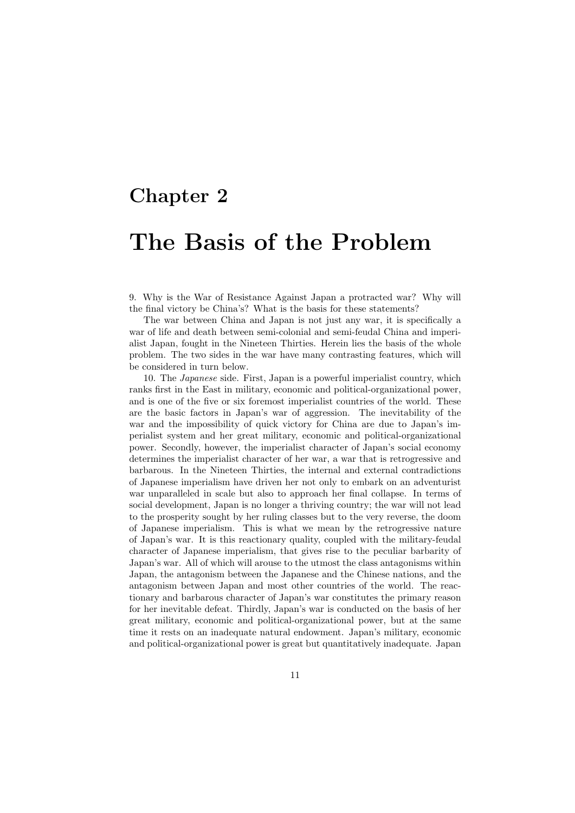#### Chapter 2

### The Basis of the Problem

9. Why is the War of Resistance Against Japan a protracted war? Why will the final victory be China's? What is the basis for these statements?

The war between China and Japan is not just any war, it is specifically a war of life and death between semi-colonial and semi-feudal China and imperialist Japan, fought in the Nineteen Thirties. Herein lies the basis of the whole problem. The two sides in the war have many contrasting features, which will be considered in turn below.

10. The Japanese side. First, Japan is a powerful imperialist country, which ranks first in the East in military, economic and political-organizational power, and is one of the five or six foremost imperialist countries of the world. These are the basic factors in Japan's war of aggression. The inevitability of the war and the impossibility of quick victory for China are due to Japan's imperialist system and her great military, economic and political-organizational power. Secondly, however, the imperialist character of Japan's social economy determines the imperialist character of her war, a war that is retrogressive and barbarous. In the Nineteen Thirties, the internal and external contradictions of Japanese imperialism have driven her not only to embark on an adventurist war unparalleled in scale but also to approach her final collapse. In terms of social development, Japan is no longer a thriving country; the war will not lead to the prosperity sought by her ruling classes but to the very reverse, the doom of Japanese imperialism. This is what we mean by the retrogressive nature of Japan's war. It is this reactionary quality, coupled with the military-feudal character of Japanese imperialism, that gives rise to the peculiar barbarity of Japan's war. All of which will arouse to the utmost the class antagonisms within Japan, the antagonism between the Japanese and the Chinese nations, and the antagonism between Japan and most other countries of the world. The reactionary and barbarous character of Japan's war constitutes the primary reason for her inevitable defeat. Thirdly, Japan's war is conducted on the basis of her great military, economic and political-organizational power, but at the same time it rests on an inadequate natural endowment. Japan's military, economic and political-organizational power is great but quantitatively inadequate. Japan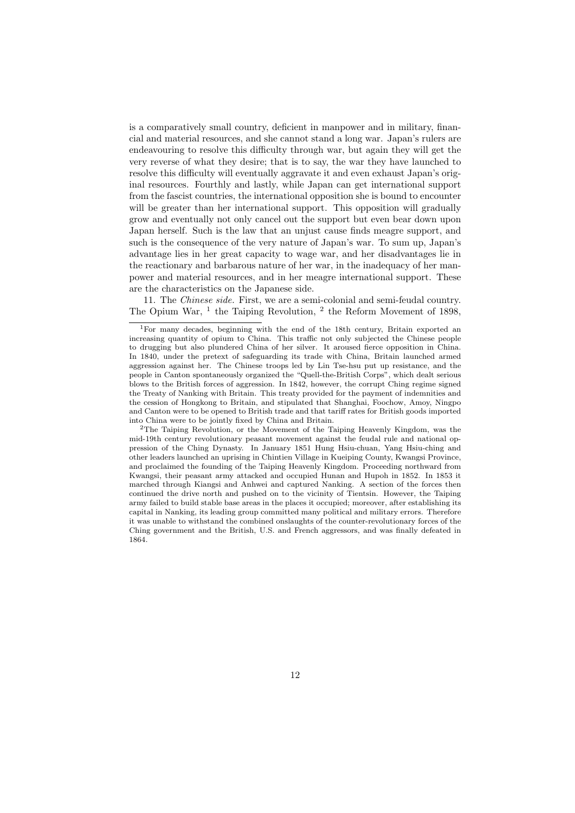is a comparatively small country, deficient in manpower and in military, financial and material resources, and she cannot stand a long war. Japan's rulers are endeavouring to resolve this difficulty through war, but again they will get the very reverse of what they desire; that is to say, the war they have launched to resolve this difficulty will eventually aggravate it and even exhaust Japan's original resources. Fourthly and lastly, while Japan can get international support from the fascist countries, the international opposition she is bound to encounter will be greater than her international support. This opposition will gradually grow and eventually not only cancel out the support but even bear down upon Japan herself. Such is the law that an unjust cause finds meagre support, and such is the consequence of the very nature of Japan's war. To sum up, Japan's advantage lies in her great capacity to wage war, and her disadvantages lie in the reactionary and barbarous nature of her war, in the inadequacy of her manpower and material resources, and in her meagre international support. These are the characteristics on the Japanese side.

11. The Chinese side. First, we are a semi-colonial and semi-feudal country. The Opium War,  $^1$  the Taiping Revolution,  $^2$  the Reform Movement of 1898,

<sup>2</sup>The Taiping Revolution, or the Movement of the Taiping Heavenly Kingdom, was the mid-19th century revolutionary peasant movement against the feudal rule and national oppression of the Ching Dynasty. In January 1851 Hung Hsiu-chuan, Yang Hsiu-ching and other leaders launched an uprising in Chintien Village in Kueiping County, Kwangsi Province, and proclaimed the founding of the Taiping Heavenly Kingdom. Proceeding northward from Kwangsi, their peasant army attacked and occupied Hunan and Hupoh in 1852. In 1853 it marched through Kiangsi and Anhwei and captured Nanking. A section of the forces then continued the drive north and pushed on to the vicinity of Tientsin. However, the Taiping army failed to build stable base areas in the places it occupied; moreover, after establishing its capital in Nanking, its leading group committed many political and military errors. Therefore it was unable to withstand the combined onslaughts of the counter-revolutionary forces of the Ching government and the British, U.S. and French aggressors, and was finally defeated in 1864.

<sup>1</sup>For many decades, beginning with the end of the 18th century, Britain exported an increasing quantity of opium to China. This traffic not only subjected the Chinese people to drugging but also plundered China of her silver. It aroused fierce opposition in China. In 1840, under the pretext of safeguarding its trade with China, Britain launched armed aggression against her. The Chinese troops led by Lin Tse-hsu put up resistance, and the people in Canton spontaneously organized the "Quell-the-British Corps", which dealt serious blows to the British forces of aggression. In 1842, however, the corrupt Ching regime signed the Treaty of Nanking with Britain. This treaty provided for the payment of indemnities and the cession of Hongkong to Britain, and stipulated that Shanghai, Foochow, Amoy, Ningpo and Canton were to be opened to British trade and that tariff rates for British goods imported into China were to be jointly fixed by China and Britain.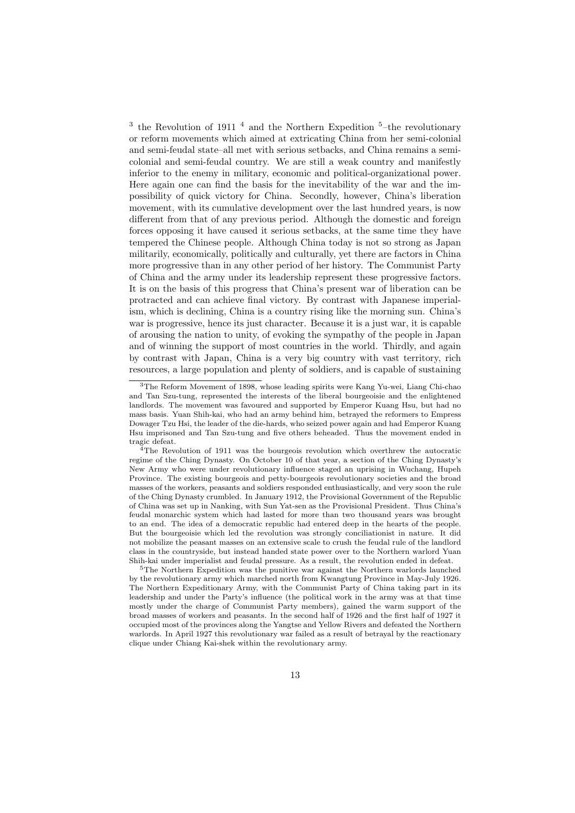<sup>3</sup> the Revolution of 1911<sup>4</sup> and the Northern Expedition  $5$ -the revolutionary or reform movements which aimed at extricating China from her semi-colonial and semi-feudal state–all met with serious setbacks, and China remains a semicolonial and semi-feudal country. We are still a weak country and manifestly inferior to the enemy in military, economic and political-organizational power. Here again one can find the basis for the inevitability of the war and the impossibility of quick victory for China. Secondly, however, China's liberation movement, with its cumulative development over the last hundred years, is now different from that of any previous period. Although the domestic and foreign forces opposing it have caused it serious setbacks, at the same time they have tempered the Chinese people. Although China today is not so strong as Japan militarily, economically, politically and culturally, yet there are factors in China more progressive than in any other period of her history. The Communist Party of China and the army under its leadership represent these progressive factors. It is on the basis of this progress that China's present war of liberation can be protracted and can achieve final victory. By contrast with Japanese imperialism, which is declining, China is a country rising like the morning sun. China's war is progressive, hence its just character. Because it is a just war, it is capable of arousing the nation to unity, of evoking the sympathy of the people in Japan and of winning the support of most countries in the world. Thirdly, and again by contrast with Japan, China is a very big country with vast territory, rich resources, a large population and plenty of soldiers, and is capable of sustaining

<sup>&</sup>lt;sup>3</sup>The Reform Movement of 1898, whose leading spirits were Kang Yu-wei, Liang Chi-chao and Tan Szu-tung, represented the interests of the liberal bourgeoisie and the enlightened landlords. The movement was favoured and supported by Emperor Kuang Hsu, but had no mass basis. Yuan Shih-kai, who had an army behind him, betrayed the reformers to Empress Dowager Tzu Hsi, the leader of the die-hards, who seized power again and had Emperor Kuang Hsu imprisoned and Tan Szu-tung and five others beheaded. Thus the movement ended in tragic defeat.

<sup>4</sup>The Revolution of 1911 was the bourgeois revolution which overthrew the autocratic regime of the Ching Dynasty. On October 10 of that year, a section of the Ching Dynasty's New Army who were under revolutionary influence staged an uprising in Wuchang, Hupeh Province. The existing bourgeois and petty-bourgeois revolutionary societies and the broad masses of the workers, peasants and soldiers responded enthusiastically, and very soon the rule of the Ching Dynasty crumbled. In January 1912, the Provisional Government of the Republic of China was set up in Nanking, with Sun Yat-sen as the Provisional President. Thus China's feudal monarchic system which had lasted for more than two thousand years was brought to an end. The idea of a democratic republic had entered deep in the hearts of the people. But the bourgeoisie which led the revolution was strongly conciliationist in nature. It did not mobilize the peasant masses on an extensive scale to crush the feudal rule of the landlord class in the countryside, but instead handed state power over to the Northern warlord Yuan Shih-kai under imperialist and feudal pressure. As a result, the revolution ended in defeat.

<sup>5</sup>The Northern Expedition was the punitive war against the Northern warlords launched by the revolutionary army which marched north from Kwangtung Province in May-July 1926. The Northern Expeditionary Army, with the Communist Party of China taking part in its leadership and under the Party's influence (the political work in the army was at that time mostly under the charge of Communist Party members), gained the warm support of the broad masses of workers and peasants. In the second half of 1926 and the first half of 1927 it occupied most of the provinces along the Yangtse and Yellow Rivers and defeated the Northern warlords. In April 1927 this revolutionary war failed as a result of betrayal by the reactionary clique under Chiang Kai-shek within the revolutionary army.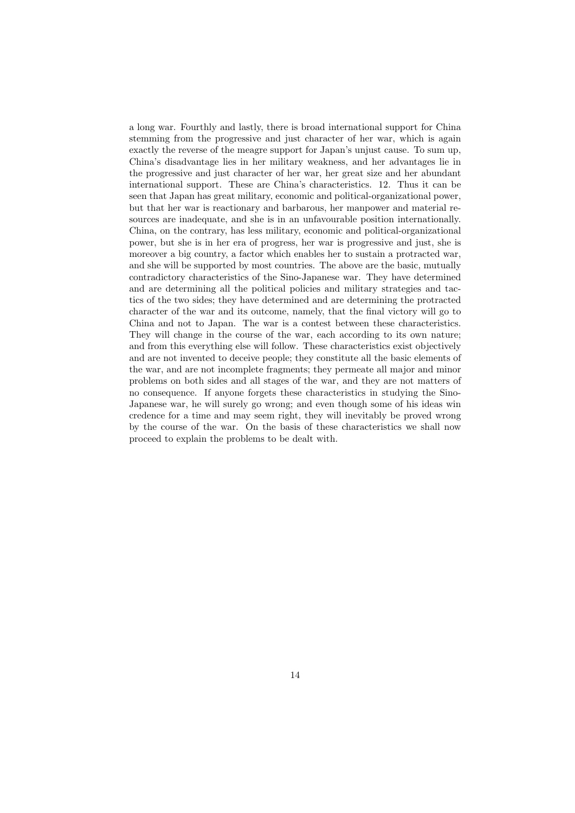a long war. Fourthly and lastly, there is broad international support for China stemming from the progressive and just character of her war, which is again exactly the reverse of the meagre support for Japan's unjust cause. To sum up, China's disadvantage lies in her military weakness, and her advantages lie in the progressive and just character of her war, her great size and her abundant international support. These are China's characteristics. 12. Thus it can be seen that Japan has great military, economic and political-organizational power, but that her war is reactionary and barbarous, her manpower and material resources are inadequate, and she is in an unfavourable position internationally. China, on the contrary, has less military, economic and political-organizational power, but she is in her era of progress, her war is progressive and just, she is moreover a big country, a factor which enables her to sustain a protracted war, and she will be supported by most countries. The above are the basic, mutually contradictory characteristics of the Sino-Japanese war. They have determined and are determining all the political policies and military strategies and tactics of the two sides; they have determined and are determining the protracted character of the war and its outcome, namely, that the final victory will go to China and not to Japan. The war is a contest between these characteristics. They will change in the course of the war, each according to its own nature; and from this everything else will follow. These characteristics exist objectively and are not invented to deceive people; they constitute all the basic elements of the war, and are not incomplete fragments; they permeate all major and minor problems on both sides and all stages of the war, and they are not matters of no consequence. If anyone forgets these characteristics in studying the Sino-Japanese war, he will surely go wrong; and even though some of his ideas win credence for a time and may seem right, they will inevitably be proved wrong by the course of the war. On the basis of these characteristics we shall now proceed to explain the problems to be dealt with.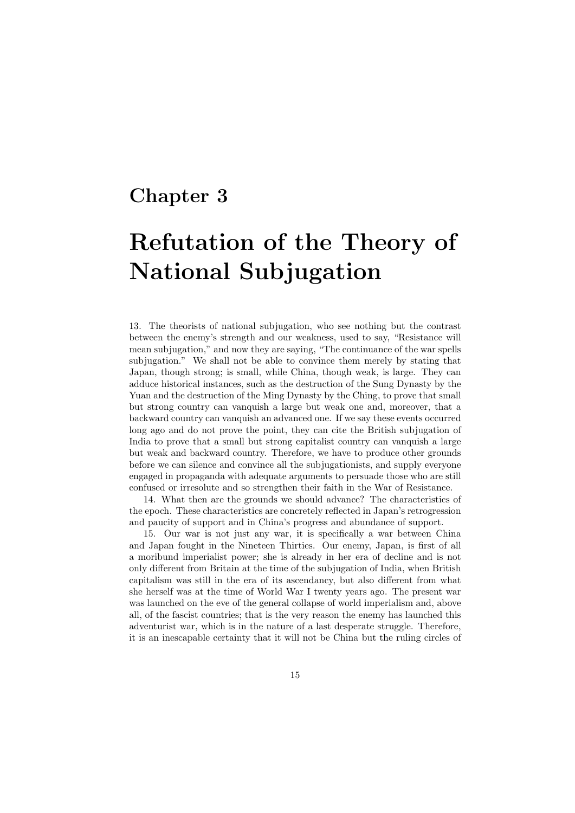#### Chapter 3

# Refutation of the Theory of National Subjugation

13. The theorists of national subjugation, who see nothing but the contrast between the enemy's strength and our weakness, used to say, "Resistance will mean subjugation," and now they are saying, "The continuance of the war spells subjugation." We shall not be able to convince them merely by stating that Japan, though strong; is small, while China, though weak, is large. They can adduce historical instances, such as the destruction of the Sung Dynasty by the Yuan and the destruction of the Ming Dynasty by the Ching, to prove that small but strong country can vanquish a large but weak one and, moreover, that a backward country can vanquish an advanced one. If we say these events occurred long ago and do not prove the point, they can cite the British subjugation of India to prove that a small but strong capitalist country can vanquish a large but weak and backward country. Therefore, we have to produce other grounds before we can silence and convince all the subjugationists, and supply everyone engaged in propaganda with adequate arguments to persuade those who are still confused or irresolute and so strengthen their faith in the War of Resistance.

14. What then are the grounds we should advance? The characteristics of the epoch. These characteristics are concretely reflected in Japan's retrogression and paucity of support and in China's progress and abundance of support.

15. Our war is not just any war, it is specifically a war between China and Japan fought in the Nineteen Thirties. Our enemy, Japan, is first of all a moribund imperialist power; she is already in her era of decline and is not only different from Britain at the time of the subjugation of India, when British capitalism was still in the era of its ascendancy, but also different from what she herself was at the time of World War I twenty years ago. The present war was launched on the eve of the general collapse of world imperialism and, above all, of the fascist countries; that is the very reason the enemy has launched this adventurist war, which is in the nature of a last desperate struggle. Therefore, it is an inescapable certainty that it will not be China but the ruling circles of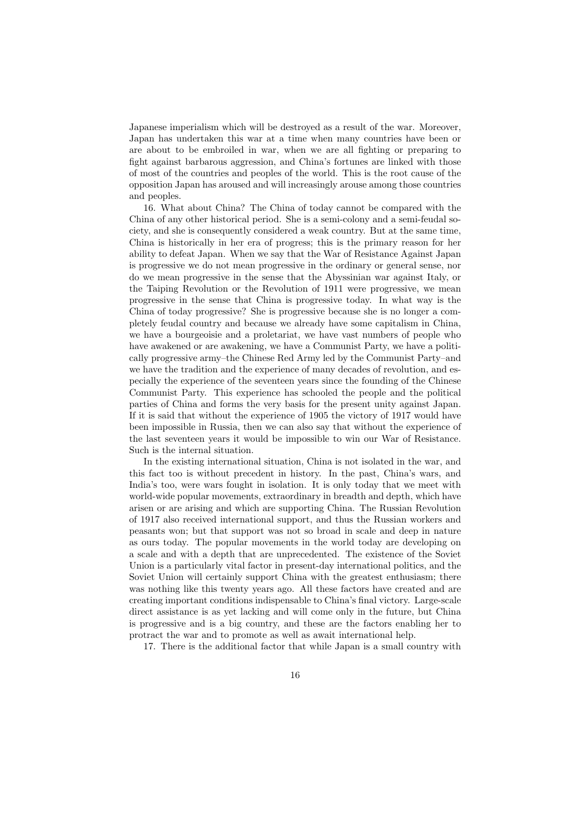Japanese imperialism which will be destroyed as a result of the war. Moreover, Japan has undertaken this war at a time when many countries have been or are about to be embroiled in war, when we are all fighting or preparing to fight against barbarous aggression, and China's fortunes are linked with those of most of the countries and peoples of the world. This is the root cause of the opposition Japan has aroused and will increasingly arouse among those countries and peoples.

16. What about China? The China of today cannot be compared with the China of any other historical period. She is a semi-colony and a semi-feudal society, and she is consequently considered a weak country. But at the same time, China is historically in her era of progress; this is the primary reason for her ability to defeat Japan. When we say that the War of Resistance Against Japan is progressive we do not mean progressive in the ordinary or general sense, nor do we mean progressive in the sense that the Abyssinian war against Italy, or the Taiping Revolution or the Revolution of 1911 were progressive, we mean progressive in the sense that China is progressive today. In what way is the China of today progressive? She is progressive because she is no longer a completely feudal country and because we already have some capitalism in China, we have a bourgeoisie and a proletariat, we have vast numbers of people who have awakened or are awakening, we have a Communist Party, we have a politically progressive army–the Chinese Red Army led by the Communist Party–and we have the tradition and the experience of many decades of revolution, and especially the experience of the seventeen years since the founding of the Chinese Communist Party. This experience has schooled the people and the political parties of China and forms the very basis for the present unity against Japan. If it is said that without the experience of 1905 the victory of 1917 would have been impossible in Russia, then we can also say that without the experience of the last seventeen years it would be impossible to win our War of Resistance. Such is the internal situation.

In the existing international situation, China is not isolated in the war, and this fact too is without precedent in history. In the past, China's wars, and India's too, were wars fought in isolation. It is only today that we meet with world-wide popular movements, extraordinary in breadth and depth, which have arisen or are arising and which are supporting China. The Russian Revolution of 1917 also received international support, and thus the Russian workers and peasants won; but that support was not so broad in scale and deep in nature as ours today. The popular movements in the world today are developing on a scale and with a depth that are unprecedented. The existence of the Soviet Union is a particularly vital factor in present-day international politics, and the Soviet Union will certainly support China with the greatest enthusiasm; there was nothing like this twenty years ago. All these factors have created and are creating important conditions indispensable to China's final victory. Large-scale direct assistance is as yet lacking and will come only in the future, but China is progressive and is a big country, and these are the factors enabling her to protract the war and to promote as well as await international help.

17. There is the additional factor that while Japan is a small country with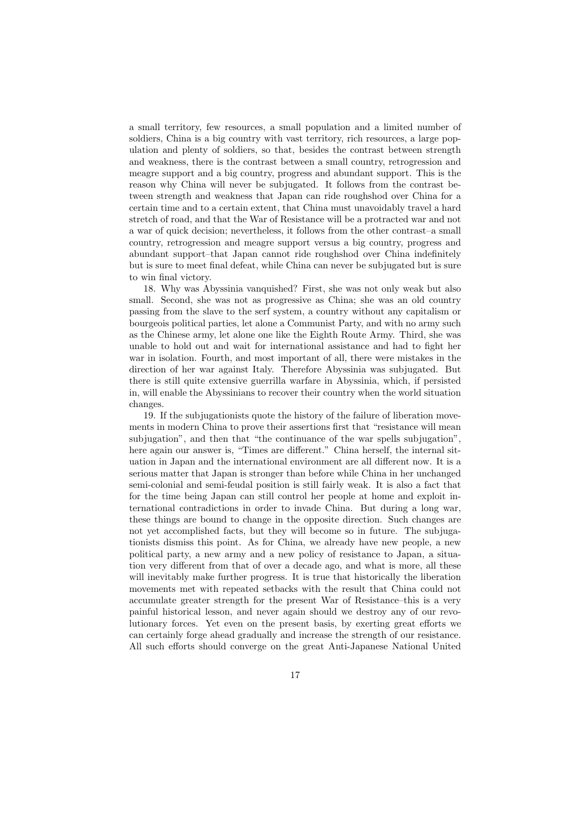a small territory, few resources, a small population and a limited number of soldiers, China is a big country with vast territory, rich resources, a large population and plenty of soldiers, so that, besides the contrast between strength and weakness, there is the contrast between a small country, retrogression and meagre support and a big country, progress and abundant support. This is the reason why China will never be subjugated. It follows from the contrast between strength and weakness that Japan can ride roughshod over China for a certain time and to a certain extent, that China must unavoidably travel a hard stretch of road, and that the War of Resistance will be a protracted war and not a war of quick decision; nevertheless, it follows from the other contrast–a small country, retrogression and meagre support versus a big country, progress and abundant support–that Japan cannot ride roughshod over China indefinitely but is sure to meet final defeat, while China can never be subjugated but is sure to win final victory.

18. Why was Abyssinia vanquished? First, she was not only weak but also small. Second, she was not as progressive as China; she was an old country passing from the slave to the serf system, a country without any capitalism or bourgeois political parties, let alone a Communist Party, and with no army such as the Chinese army, let alone one like the Eighth Route Army. Third, she was unable to hold out and wait for international assistance and had to fight her war in isolation. Fourth, and most important of all, there were mistakes in the direction of her war against Italy. Therefore Abyssinia was subjugated. But there is still quite extensive guerrilla warfare in Abyssinia, which, if persisted in, will enable the Abyssinians to recover their country when the world situation changes.

19. If the subjugationists quote the history of the failure of liberation movements in modern China to prove their assertions first that "resistance will mean subjugation", and then that "the continuance of the war spells subjugation", here again our answer is, "Times are different." China herself, the internal situation in Japan and the international environment are all different now. It is a serious matter that Japan is stronger than before while China in her unchanged semi-colonial and semi-feudal position is still fairly weak. It is also a fact that for the time being Japan can still control her people at home and exploit international contradictions in order to invade China. But during a long war, these things are bound to change in the opposite direction. Such changes are not yet accomplished facts, but they will become so in future. The subjugationists dismiss this point. As for China, we already have new people, a new political party, a new army and a new policy of resistance to Japan, a situation very different from that of over a decade ago, and what is more, all these will inevitably make further progress. It is true that historically the liberation movements met with repeated setbacks with the result that China could not accumulate greater strength for the present War of Resistance–this is a very painful historical lesson, and never again should we destroy any of our revolutionary forces. Yet even on the present basis, by exerting great efforts we can certainly forge ahead gradually and increase the strength of our resistance. All such efforts should converge on the great Anti-Japanese National United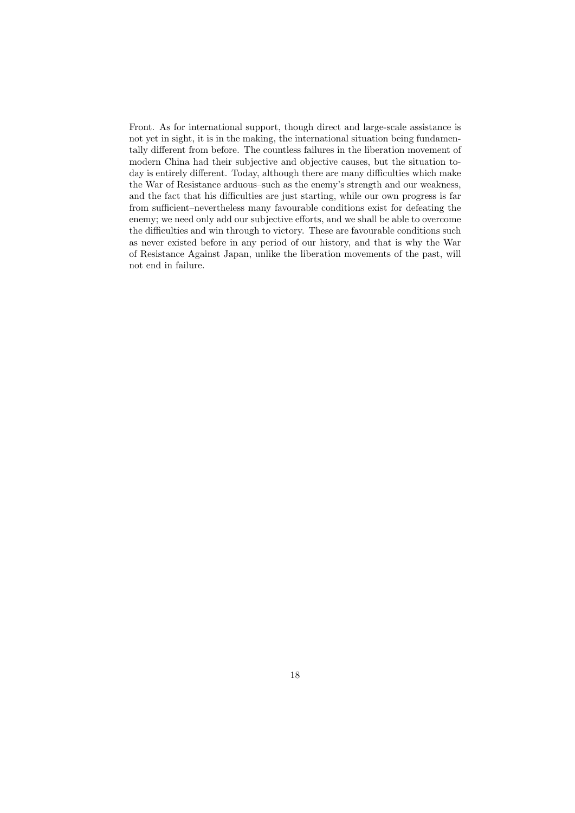Front. As for international support, though direct and large-scale assistance is not yet in sight, it is in the making, the international situation being fundamentally different from before. The countless failures in the liberation movement of modern China had their subjective and objective causes, but the situation today is entirely different. Today, although there are many difficulties which make the War of Resistance arduous–such as the enemy's strength and our weakness, and the fact that his difficulties are just starting, while our own progress is far from sufficient–nevertheless many favourable conditions exist for defeating the enemy; we need only add our subjective efforts, and we shall be able to overcome the difficulties and win through to victory. These are favourable conditions such as never existed before in any period of our history, and that is why the War of Resistance Against Japan, unlike the liberation movements of the past, will not end in failure.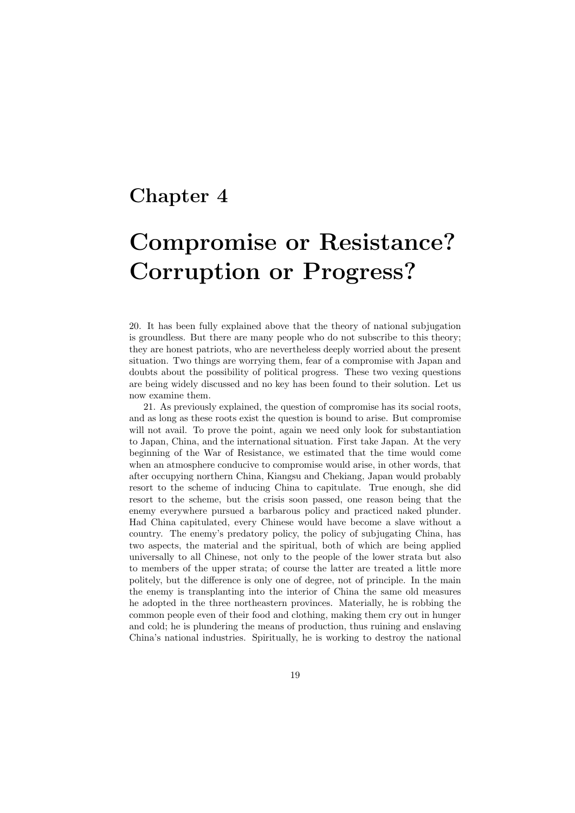#### Chapter 4

# Compromise or Resistance? Corruption or Progress?

20. It has been fully explained above that the theory of national subjugation is groundless. But there are many people who do not subscribe to this theory; they are honest patriots, who are nevertheless deeply worried about the present situation. Two things are worrying them, fear of a compromise with Japan and doubts about the possibility of political progress. These two vexing questions are being widely discussed and no key has been found to their solution. Let us now examine them.

21. As previously explained, the question of compromise has its social roots, and as long as these roots exist the question is bound to arise. But compromise will not avail. To prove the point, again we need only look for substantiation to Japan, China, and the international situation. First take Japan. At the very beginning of the War of Resistance, we estimated that the time would come when an atmosphere conducive to compromise would arise, in other words, that after occupying northern China, Kiangsu and Chekiang, Japan would probably resort to the scheme of inducing China to capitulate. True enough, she did resort to the scheme, but the crisis soon passed, one reason being that the enemy everywhere pursued a barbarous policy and practiced naked plunder. Had China capitulated, every Chinese would have become a slave without a country. The enemy's predatory policy, the policy of subjugating China, has two aspects, the material and the spiritual, both of which are being applied universally to all Chinese, not only to the people of the lower strata but also to members of the upper strata; of course the latter are treated a little more politely, but the difference is only one of degree, not of principle. In the main the enemy is transplanting into the interior of China the same old measures he adopted in the three northeastern provinces. Materially, he is robbing the common people even of their food and clothing, making them cry out in hunger and cold; he is plundering the means of production, thus ruining and enslaving China's national industries. Spiritually, he is working to destroy the national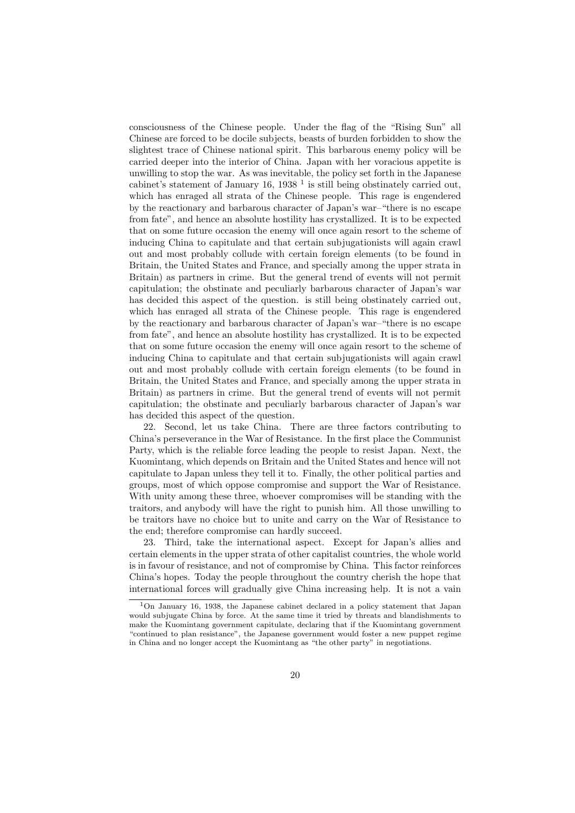consciousness of the Chinese people. Under the flag of the "Rising Sun" all Chinese are forced to be docile subjects, beasts of burden forbidden to show the slightest trace of Chinese national spirit. This barbarous enemy policy will be carried deeper into the interior of China. Japan with her voracious appetite is unwilling to stop the war. As was inevitable, the policy set forth in the Japanese cabinet's statement of January  $16$ ,  $1938$ <sup> $1$ </sup> is still being obstinately carried out, which has enraged all strata of the Chinese people. This rage is engendered by the reactionary and barbarous character of Japan's war–"there is no escape from fate", and hence an absolute hostility has crystallized. It is to be expected that on some future occasion the enemy will once again resort to the scheme of inducing China to capitulate and that certain subjugationists will again crawl out and most probably collude with certain foreign elements (to be found in Britain, the United States and France, and specially among the upper strata in Britain) as partners in crime. But the general trend of events will not permit capitulation; the obstinate and peculiarly barbarous character of Japan's war has decided this aspect of the question. is still being obstinately carried out, which has enraged all strata of the Chinese people. This rage is engendered by the reactionary and barbarous character of Japan's war–"there is no escape from fate", and hence an absolute hostility has crystallized. It is to be expected that on some future occasion the enemy will once again resort to the scheme of inducing China to capitulate and that certain subjugationists will again crawl out and most probably collude with certain foreign elements (to be found in Britain, the United States and France, and specially among the upper strata in Britain) as partners in crime. But the general trend of events will not permit capitulation; the obstinate and peculiarly barbarous character of Japan's war has decided this aspect of the question.

22. Second, let us take China. There are three factors contributing to China's perseverance in the War of Resistance. In the first place the Communist Party, which is the reliable force leading the people to resist Japan. Next, the Kuomintang, which depends on Britain and the United States and hence will not capitulate to Japan unless they tell it to. Finally, the other political parties and groups, most of which oppose compromise and support the War of Resistance. With unity among these three, whoever compromises will be standing with the traitors, and anybody will have the right to punish him. All those unwilling to be traitors have no choice but to unite and carry on the War of Resistance to the end; therefore compromise can hardly succeed.

23. Third, take the international aspect. Except for Japan's allies and certain elements in the upper strata of other capitalist countries, the whole world is in favour of resistance, and not of compromise by China. This factor reinforces China's hopes. Today the people throughout the country cherish the hope that international forces will gradually give China increasing help. It is not a vain

<sup>1</sup>On January 16, 1938, the Japanese cabinet declared in a policy statement that Japan would subjugate China by force. At the same time it tried by threats and blandishments to make the Kuomintang government capitulate, declaring that if the Kuomintang government "continued to plan resistance", the Japanese government would foster a new puppet regime in China and no longer accept the Kuomintang as "the other party" in negotiations.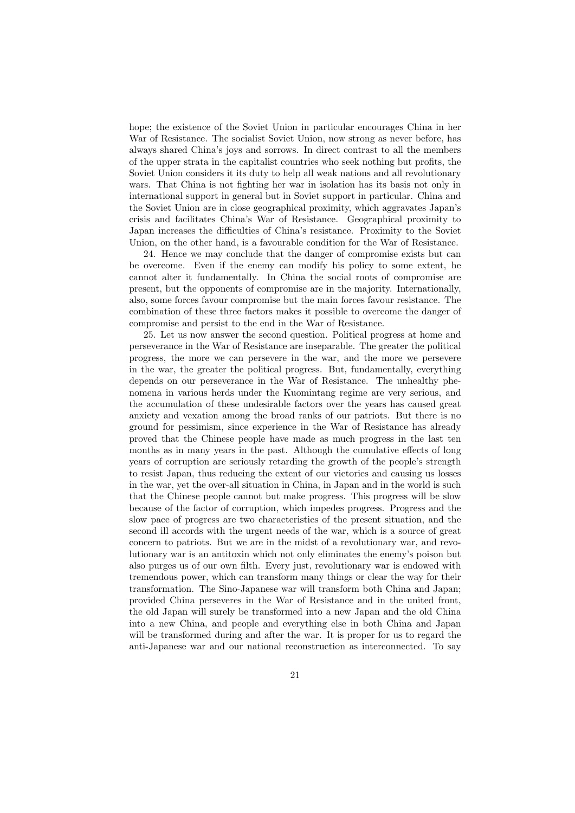hope; the existence of the Soviet Union in particular encourages China in her War of Resistance. The socialist Soviet Union, now strong as never before, has always shared China's joys and sorrows. In direct contrast to all the members of the upper strata in the capitalist countries who seek nothing but profits, the Soviet Union considers it its duty to help all weak nations and all revolutionary wars. That China is not fighting her war in isolation has its basis not only in international support in general but in Soviet support in particular. China and the Soviet Union are in close geographical proximity, which aggravates Japan's crisis and facilitates China's War of Resistance. Geographical proximity to Japan increases the difficulties of China's resistance. Proximity to the Soviet Union, on the other hand, is a favourable condition for the War of Resistance.

24. Hence we may conclude that the danger of compromise exists but can be overcome. Even if the enemy can modify his policy to some extent, he cannot alter it fundamentally. In China the social roots of compromise are present, but the opponents of compromise are in the majority. Internationally, also, some forces favour compromise but the main forces favour resistance. The combination of these three factors makes it possible to overcome the danger of compromise and persist to the end in the War of Resistance.

25. Let us now answer the second question. Political progress at home and perseverance in the War of Resistance are inseparable. The greater the political progress, the more we can persevere in the war, and the more we persevere in the war, the greater the political progress. But, fundamentally, everything depends on our perseverance in the War of Resistance. The unhealthy phenomena in various herds under the Kuomintang regime are very serious, and the accumulation of these undesirable factors over the years has caused great anxiety and vexation among the broad ranks of our patriots. But there is no ground for pessimism, since experience in the War of Resistance has already proved that the Chinese people have made as much progress in the last ten months as in many years in the past. Although the cumulative effects of long years of corruption are seriously retarding the growth of the people's strength to resist Japan, thus reducing the extent of our victories and causing us losses in the war, yet the over-all situation in China, in Japan and in the world is such that the Chinese people cannot but make progress. This progress will be slow because of the factor of corruption, which impedes progress. Progress and the slow pace of progress are two characteristics of the present situation, and the second ill accords with the urgent needs of the war, which is a source of great concern to patriots. But we are in the midst of a revolutionary war, and revolutionary war is an antitoxin which not only eliminates the enemy's poison but also purges us of our own filth. Every just, revolutionary war is endowed with tremendous power, which can transform many things or clear the way for their transformation. The Sino-Japanese war will transform both China and Japan; provided China perseveres in the War of Resistance and in the united front, the old Japan will surely be transformed into a new Japan and the old China into a new China, and people and everything else in both China and Japan will be transformed during and after the war. It is proper for us to regard the anti-Japanese war and our national reconstruction as interconnected. To say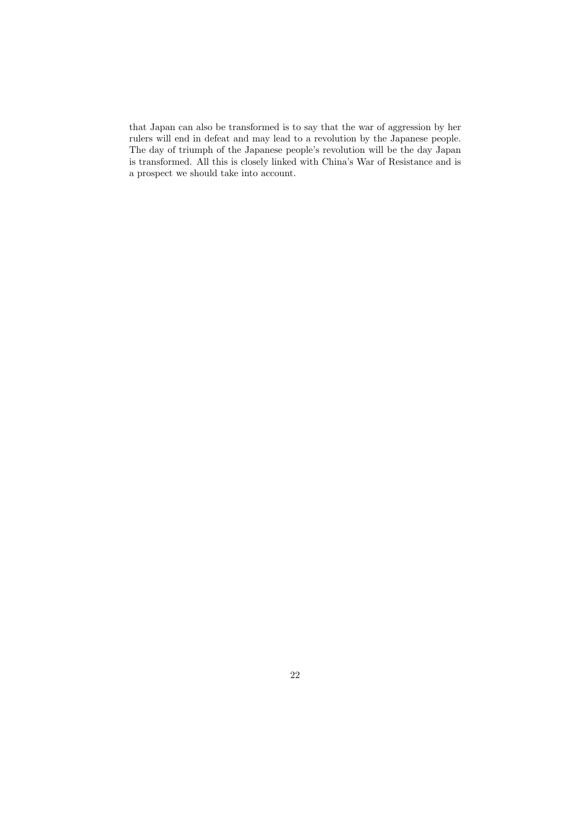that Japan can also be transformed is to say that the war of aggression by her rulers will end in defeat and may lead to a revolution by the Japanese people. The day of triumph of the Japanese people's revolution will be the day Japan is transformed. All this is closely linked with China's War of Resistance and is a prospect we should take into account.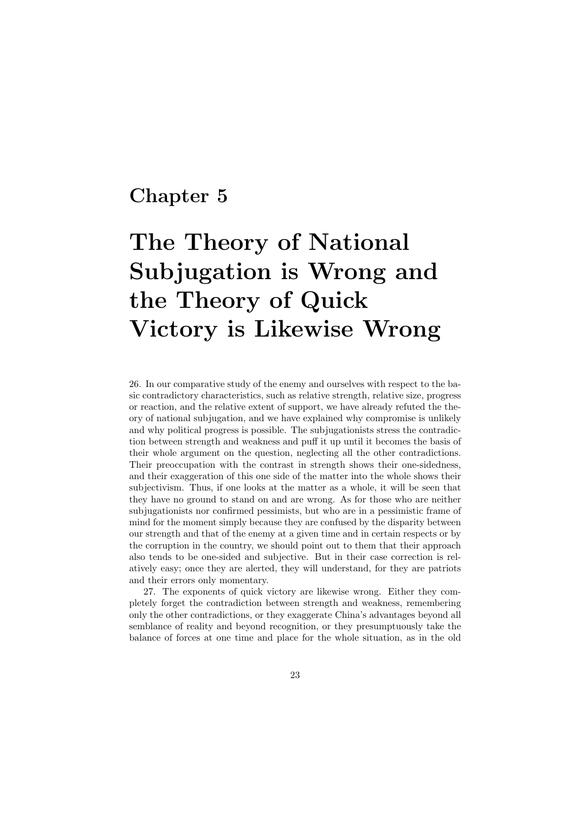#### Chapter 5

# The Theory of National Subjugation is Wrong and the Theory of Quick Victory is Likewise Wrong

26. In our comparative study of the enemy and ourselves with respect to the basic contradictory characteristics, such as relative strength, relative size, progress or reaction, and the relative extent of support, we have already refuted the theory of national subjugation, and we have explained why compromise is unlikely and why political progress is possible. The subjugationists stress the contradiction between strength and weakness and puff it up until it becomes the basis of their whole argument on the question, neglecting all the other contradictions. Their preoccupation with the contrast in strength shows their one-sidedness, and their exaggeration of this one side of the matter into the whole shows their subjectivism. Thus, if one looks at the matter as a whole, it will be seen that they have no ground to stand on and are wrong. As for those who are neither subjugationists nor confirmed pessimists, but who are in a pessimistic frame of mind for the moment simply because they are confused by the disparity between our strength and that of the enemy at a given time and in certain respects or by the corruption in the country, we should point out to them that their approach also tends to be one-sided and subjective. But in their case correction is relatively easy; once they are alerted, they will understand, for they are patriots and their errors only momentary.

27. The exponents of quick victory are likewise wrong. Either they completely forget the contradiction between strength and weakness, remembering only the other contradictions, or they exaggerate China's advantages beyond all semblance of reality and beyond recognition, or they presumptuously take the balance of forces at one time and place for the whole situation, as in the old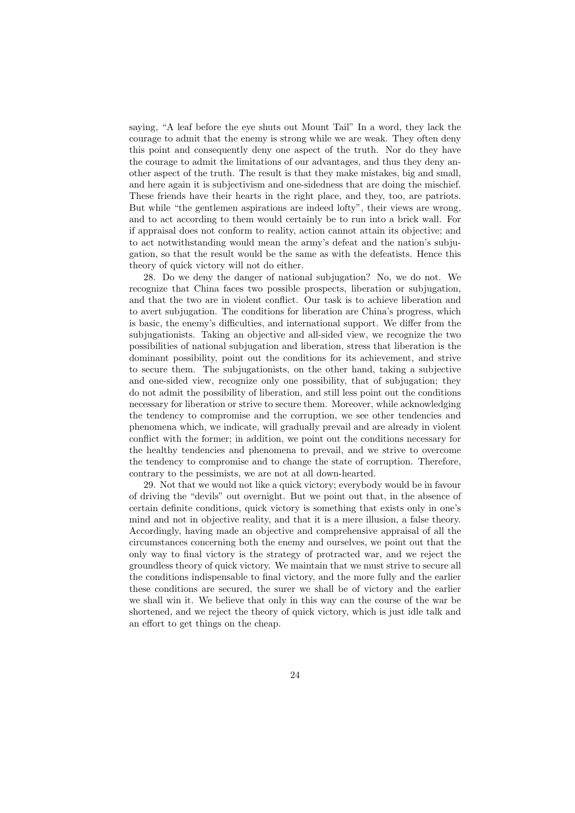saying, "A leaf before the eye shuts out Mount Tail" In a word, they lack the courage to admit that the enemy is strong while we are weak. They often deny this point and consequently deny one aspect of the truth. Nor do they have the courage to admit the limitations of our advantages, and thus they deny another aspect of the truth. The result is that they make mistakes, big and small, and here again it is subjectivism and one-sidedness that are doing the mischief. These friends have their hearts in the right place, and they, too, are patriots. But while "the gentlemen aspirations are indeed lofty", their views are wrong, and to act according to them would certainly be to run into a brick wall. For if appraisal does not conform to reality, action cannot attain its objective; and to act notwithstanding would mean the army's defeat and the nation's subjugation, so that the result would be the same as with the defeatists. Hence this theory of quick victory will not do either.

28. Do we deny the danger of national subjugation? No, we do not. We recognize that China faces two possible prospects, liberation or subjugation, and that the two are in violent conflict. Our task is to achieve liberation and to avert subjugation. The conditions for liberation are China's progress, which is basic, the enemy's difficulties, and international support. We differ from the subjugationists. Taking an objective and all-sided view, we recognize the two possibilities of national subjugation and liberation, stress that liberation is the dominant possibility, point out the conditions for its achievement, and strive to secure them. The subjugationists, on the other hand, taking a subjective and one-sided view, recognize only one possibility, that of subjugation; they do not admit the possibility of liberation, and still less point out the conditions necessary for liberation or strive to secure them. Moreover, while acknowledging the tendency to compromise and the corruption, we see other tendencies and phenomena which, we indicate, will gradually prevail and are already in violent conflict with the former; in addition, we point out the conditions necessary for the healthy tendencies and phenomena to prevail, and we strive to overcome the tendency to compromise and to change the state of corruption. Therefore, contrary to the pessimists, we are not at all down-hearted.

29. Not that we would not like a quick victory; everybody would be in favour of driving the "devils" out overnight. But we point out that, in the absence of certain definite conditions, quick victory is something that exists only in one's mind and not in objective reality, and that it is a mere illusion, a false theory. Accordingly, having made an objective and comprehensive appraisal of all the circumstances concerning both the enemy and ourselves, we point out that the only way to final victory is the strategy of protracted war, and we reject the groundless theory of quick victory. We maintain that we must strive to secure all the conditions indispensable to final victory, and the more fully and the earlier these conditions are secured, the surer we shall be of victory and the earlier we shall win it. We believe that only in this way can the course of the war be shortened, and we reject the theory of quick victory, which is just idle talk and an effort to get things on the cheap.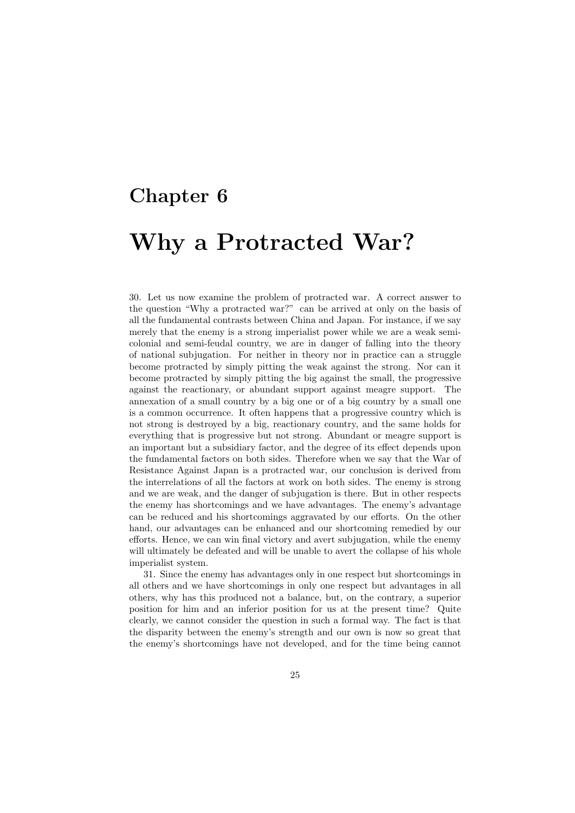# Chapter 6 Why a Protracted War?

30. Let us now examine the problem of protracted war. A correct answer to the question "Why a protracted war?" can be arrived at only on the basis of all the fundamental contrasts between China and Japan. For instance, if we say merely that the enemy is a strong imperialist power while we are a weak semicolonial and semi-feudal country, we are in danger of falling into the theory of national subjugation. For neither in theory nor in practice can a struggle become protracted by simply pitting the weak against the strong. Nor can it become protracted by simply pitting the big against the small, the progressive against the reactionary, or abundant support against meagre support. The annexation of a small country by a big one or of a big country by a small one is a common occurrence. It often happens that a progressive country which is not strong is destroyed by a big, reactionary country, and the same holds for everything that is progressive but not strong. Abundant or meagre support is an important but a subsidiary factor, and the degree of its effect depends upon the fundamental factors on both sides. Therefore when we say that the War of Resistance Against Japan is a protracted war, our conclusion is derived from the interrelations of all the factors at work on both sides. The enemy is strong and we are weak, and the danger of subjugation is there. But in other respects the enemy has shortcomings and we have advantages. The enemy's advantage can be reduced and his shortcomings aggravated by our efforts. On the other hand, our advantages can be enhanced and our shortcoming remedied by our efforts. Hence, we can win final victory and avert subjugation, while the enemy will ultimately be defeated and will be unable to avert the collapse of his whole imperialist system.

31. Since the enemy has advantages only in one respect but shortcomings in all others and we have shortcomings in only one respect but advantages in all others, why has this produced not a balance, but, on the contrary, a superior position for him and an inferior position for us at the present time? Quite clearly, we cannot consider the question in such a formal way. The fact is that the disparity between the enemy's strength and our own is now so great that the enemy's shortcomings have not developed, and for the time being cannot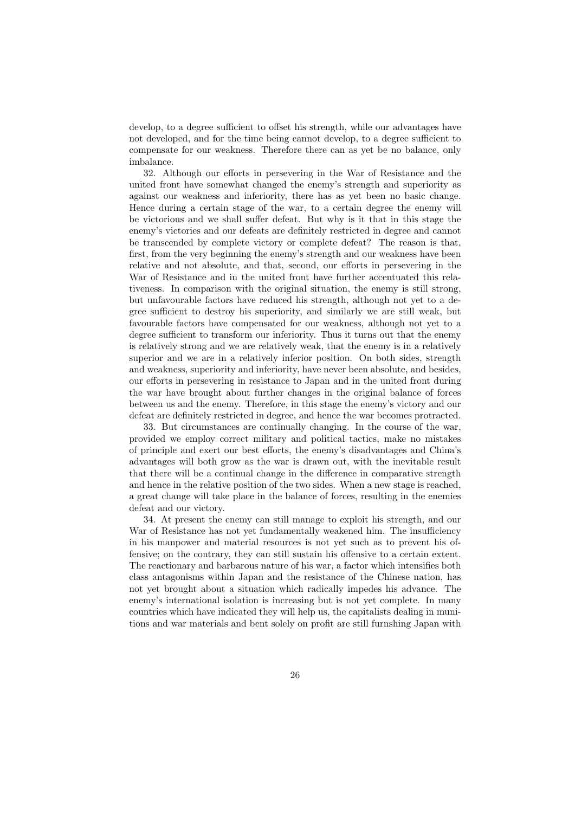develop, to a degree sufficient to offset his strength, while our advantages have not developed, and for the time being cannot develop, to a degree sufficient to compensate for our weakness. Therefore there can as yet be no balance, only imbalance.

32. Although our efforts in persevering in the War of Resistance and the united front have somewhat changed the enemy's strength and superiority as against our weakness and inferiority, there has as yet been no basic change. Hence during a certain stage of the war, to a certain degree the enemy will be victorious and we shall suffer defeat. But why is it that in this stage the enemy's victories and our defeats are definitely restricted in degree and cannot be transcended by complete victory or complete defeat? The reason is that, first, from the very beginning the enemy's strength and our weakness have been relative and not absolute, and that, second, our efforts in persevering in the War of Resistance and in the united front have further accentuated this relativeness. In comparison with the original situation, the enemy is still strong, but unfavourable factors have reduced his strength, although not yet to a degree sufficient to destroy his superiority, and similarly we are still weak, but favourable factors have compensated for our weakness, although not yet to a degree sufficient to transform our inferiority. Thus it turns out that the enemy is relatively strong and we are relatively weak, that the enemy is in a relatively superior and we are in a relatively inferior position. On both sides, strength and weakness, superiority and inferiority, have never been absolute, and besides, our efforts in persevering in resistance to Japan and in the united front during the war have brought about further changes in the original balance of forces between us and the enemy. Therefore, in this stage the enemy's victory and our defeat are definitely restricted in degree, and hence the war becomes protracted.

33. But circumstances are continually changing. In the course of the war, provided we employ correct military and political tactics, make no mistakes of principle and exert our best efforts, the enemy's disadvantages and China's advantages will both grow as the war is drawn out, with the inevitable result that there will be a continual change in the difference in comparative strength and hence in the relative position of the two sides. When a new stage is reached, a great change will take place in the balance of forces, resulting in the enemies defeat and our victory.

34. At present the enemy can still manage to exploit his strength, and our War of Resistance has not yet fundamentally weakened him. The insufficiency in his manpower and material resources is not yet such as to prevent his offensive; on the contrary, they can still sustain his offensive to a certain extent. The reactionary and barbarous nature of his war, a factor which intensifies both class antagonisms within Japan and the resistance of the Chinese nation, has not yet brought about a situation which radically impedes his advance. The enemy's international isolation is increasing but is not yet complete. In many countries which have indicated they will help us, the capitalists dealing in munitions and war materials and bent solely on profit are still furnshing Japan with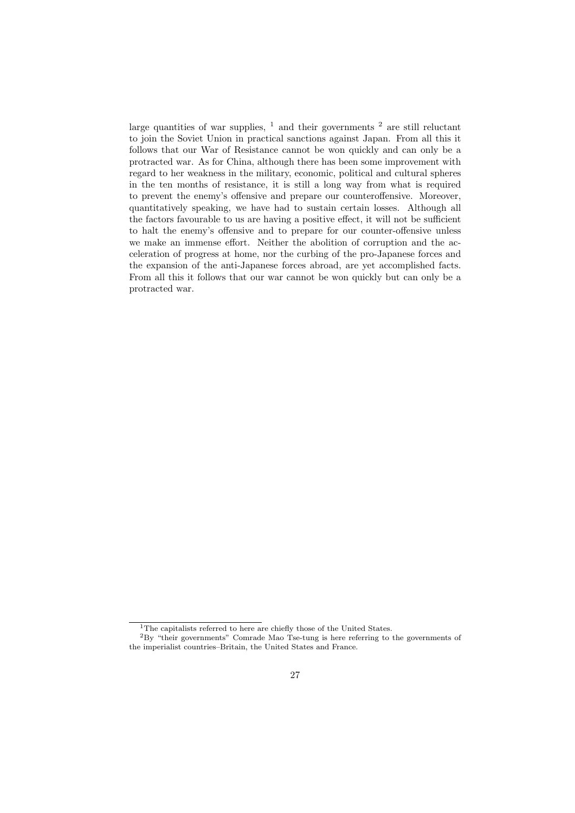large quantities of war supplies,  $\frac{1}{1}$  and their governments  $\frac{2}{1}$  are still reluctant to join the Soviet Union in practical sanctions against Japan. From all this it follows that our War of Resistance cannot be won quickly and can only be a protracted war. As for China, although there has been some improvement with regard to her weakness in the military, economic, political and cultural spheres in the ten months of resistance, it is still a long way from what is required to prevent the enemy's offensive and prepare our counteroffensive. Moreover, quantitatively speaking, we have had to sustain certain losses. Although all the factors favourable to us are having a positive effect, it will not be sufficient to halt the enemy's offensive and to prepare for our counter-offensive unless we make an immense effort. Neither the abolition of corruption and the acceleration of progress at home, nor the curbing of the pro-Japanese forces and the expansion of the anti-Japanese forces abroad, are yet accomplished facts. From all this it follows that our war cannot be won quickly but can only be a protracted war.

<sup>&</sup>lt;sup>1</sup>The capitalists referred to here are chiefly those of the United States.

<sup>2</sup>By "their governments" Comrade Mao Tse-tung is here referring to the governments of the imperialist countries–Britain, the United States and France.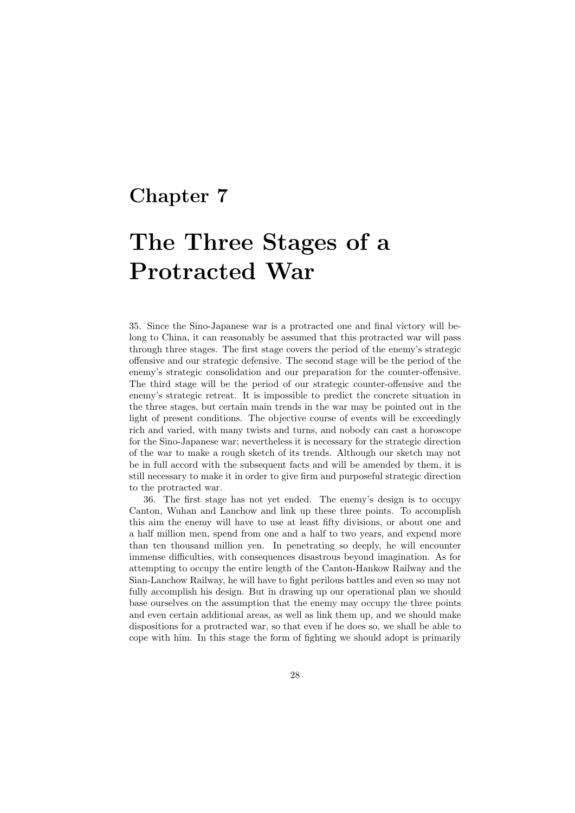### Chapter 7

### The Three Stages of a Protracted War

35. Since the Sino-Japanese war is a protracted one and final victory will belong to China, it can reasonably be assumed that this protracted war will pass through three stages. The first stage covers the period of the enemy's strategic offensive and our strategic defensive. The second stage will be the period of the enemy's strategic consolidation and our preparation for the counter-offensive. The third stage will be the period of our strategic counter-offensive and the enemy's strategic retreat. It is impossible to predict the concrete situation in the three stages, but certain main trends in the war may be pointed out in the light of present conditions. The objective course of events will be exceedingly rich and varied, with many twists and turns, and nobody can cast a horoscope for the Sino-Japanese war; nevertheless it is necessary for the strategic direction of the war to make a rough sketch of its trends. Although our sketch may not be in full accord with the subsequent facts and will be amended by them, it is still necessary to make it in order to give firm and purposeful strategic direction to the protracted war.

36. The first stage has not yet ended. The enemy's design is to occupy Canton, Wuhan and Lanchow and link up these three points. To accomplish this aim the enemy will have to use at least fifty divisions, or about one and a half million men, spend from one and a half to two years, and expend more than ten thousand million yen. In penetrating so deeply, he will encounter immense difficulties, with consequences disastrous beyond imagination. As for attempting to occupy the entire length of the Canton-Hankow Railway and the Sian-Lanchow Railway, he will have to fight perilous battles and even so may not fully accomplish his design. But in drawing up our operational plan we should base ourselves on the assumption that the enemy may occupy the three points and even certain additional areas, as well as link them up, and we should make dispositions for a protracted war, so that even if he does so, we shall be able to cope with him. In this stage the form of fighting we should adopt is primarily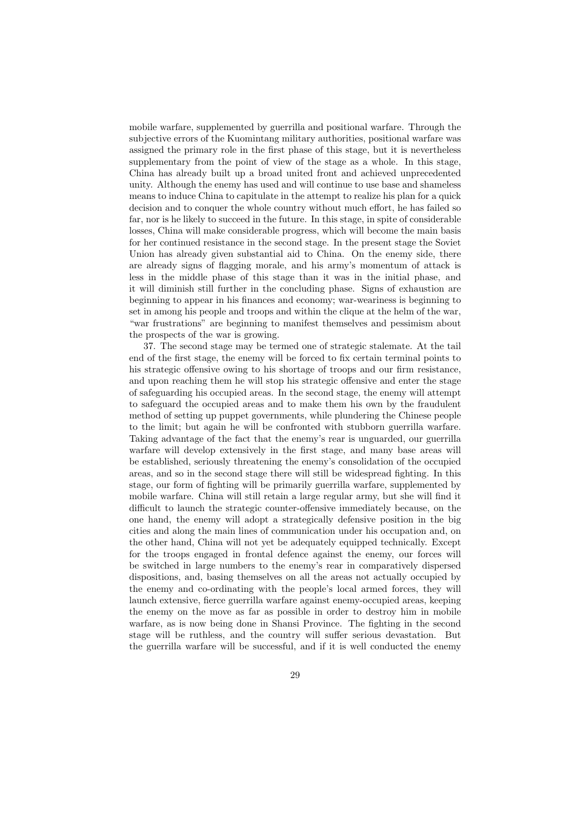mobile warfare, supplemented by guerrilla and positional warfare. Through the subjective errors of the Kuomintang military authorities, positional warfare was assigned the primary role in the first phase of this stage, but it is nevertheless supplementary from the point of view of the stage as a whole. In this stage, China has already built up a broad united front and achieved unprecedented unity. Although the enemy has used and will continue to use base and shameless means to induce China to capitulate in the attempt to realize his plan for a quick decision and to conquer the whole country without much effort, he has failed so far, nor is he likely to succeed in the future. In this stage, in spite of considerable losses, China will make considerable progress, which will become the main basis for her continued resistance in the second stage. In the present stage the Soviet Union has already given substantial aid to China. On the enemy side, there are already signs of flagging morale, and his army's momentum of attack is less in the middle phase of this stage than it was in the initial phase, and it will diminish still further in the concluding phase. Signs of exhaustion are beginning to appear in his finances and economy; war-weariness is beginning to set in among his people and troops and within the clique at the helm of the war, "war frustrations" are beginning to manifest themselves and pessimism about the prospects of the war is growing.

37. The second stage may be termed one of strategic stalemate. At the tail end of the first stage, the enemy will be forced to fix certain terminal points to his strategic offensive owing to his shortage of troops and our firm resistance, and upon reaching them he will stop his strategic offensive and enter the stage of safeguarding his occupied areas. In the second stage, the enemy will attempt to safeguard the occupied areas and to make them his own by the fraudulent method of setting up puppet governments, while plundering the Chinese people to the limit; but again he will be confronted with stubborn guerrilla warfare. Taking advantage of the fact that the enemy's rear is unguarded, our guerrilla warfare will develop extensively in the first stage, and many base areas will be established, seriously threatening the enemy's consolidation of the occupied areas, and so in the second stage there will still be widespread fighting. In this stage, our form of fighting will be primarily guerrilla warfare, supplemented by mobile warfare. China will still retain a large regular army, but she will find it difficult to launch the strategic counter-offensive immediately because, on the one hand, the enemy will adopt a strategically defensive position in the big cities and along the main lines of communication under his occupation and, on the other hand, China will not yet be adequately equipped technically. Except for the troops engaged in frontal defence against the enemy, our forces will be switched in large numbers to the enemy's rear in comparatively dispersed dispositions, and, basing themselves on all the areas not actually occupied by the enemy and co-ordinating with the people's local armed forces, they will launch extensive, fierce guerrilla warfare against enemy-occupied areas, keeping the enemy on the move as far as possible in order to destroy him in mobile warfare, as is now being done in Shansi Province. The fighting in the second stage will be ruthless, and the country will suffer serious devastation. But the guerrilla warfare will be successful, and if it is well conducted the enemy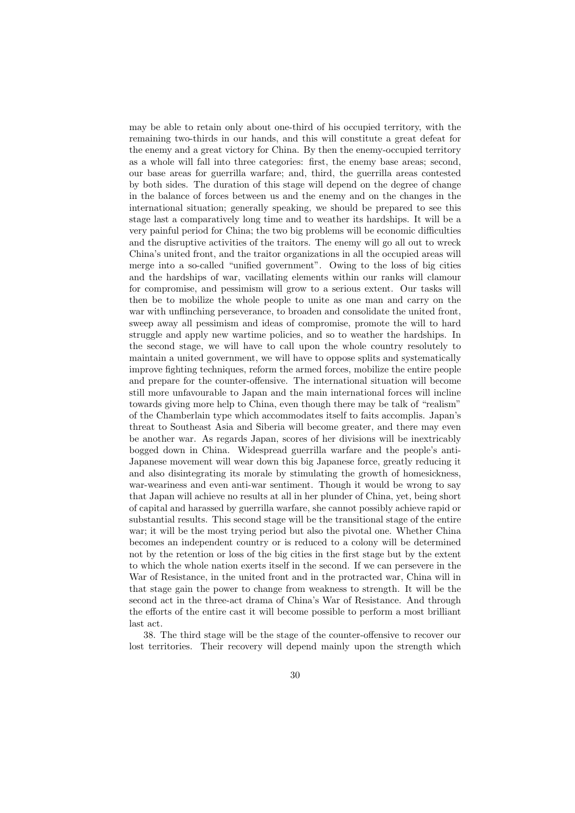may be able to retain only about one-third of his occupied territory, with the remaining two-thirds in our hands, and this will constitute a great defeat for the enemy and a great victory for China. By then the enemy-occupied territory as a whole will fall into three categories: first, the enemy base areas; second, our base areas for guerrilla warfare; and, third, the guerrilla areas contested by both sides. The duration of this stage will depend on the degree of change in the balance of forces between us and the enemy and on the changes in the international situation; generally speaking, we should be prepared to see this stage last a comparatively long time and to weather its hardships. It will be a very painful period for China; the two big problems will be economic difficulties and the disruptive activities of the traitors. The enemy will go all out to wreck China's united front, and the traitor organizations in all the occupied areas will merge into a so-called "unified government". Owing to the loss of big cities and the hardships of war, vacillating elements within our ranks will clamour for compromise, and pessimism will grow to a serious extent. Our tasks will then be to mobilize the whole people to unite as one man and carry on the war with unflinching perseverance, to broaden and consolidate the united front, sweep away all pessimism and ideas of compromise, promote the will to hard struggle and apply new wartime policies, and so to weather the hardships. In the second stage, we will have to call upon the whole country resolutely to maintain a united government, we will have to oppose splits and systematically improve fighting techniques, reform the armed forces, mobilize the entire people and prepare for the counter-offensive. The international situation will become still more unfavourable to Japan and the main international forces will incline towards giving more help to China, even though there may be talk of "realism" of the Chamberlain type which accommodates itself to faits accomplis. Japan's threat to Southeast Asia and Siberia will become greater, and there may even be another war. As regards Japan, scores of her divisions will be inextricably bogged down in China. Widespread guerrilla warfare and the people's anti-Japanese movement will wear down this big Japanese force, greatly reducing it and also disintegrating its morale by stimulating the growth of homesickness, war-weariness and even anti-war sentiment. Though it would be wrong to say that Japan will achieve no results at all in her plunder of China, yet, being short of capital and harassed by guerrilla warfare, she cannot possibly achieve rapid or substantial results. This second stage will be the transitional stage of the entire war; it will be the most trying period but also the pivotal one. Whether China becomes an independent country or is reduced to a colony will be determined not by the retention or loss of the big cities in the first stage but by the extent to which the whole nation exerts itself in the second. If we can persevere in the War of Resistance, in the united front and in the protracted war, China will in that stage gain the power to change from weakness to strength. It will be the second act in the three-act drama of China's War of Resistance. And through the efforts of the entire cast it will become possible to perform a most brilliant last act.

38. The third stage will be the stage of the counter-offensive to recover our lost territories. Their recovery will depend mainly upon the strength which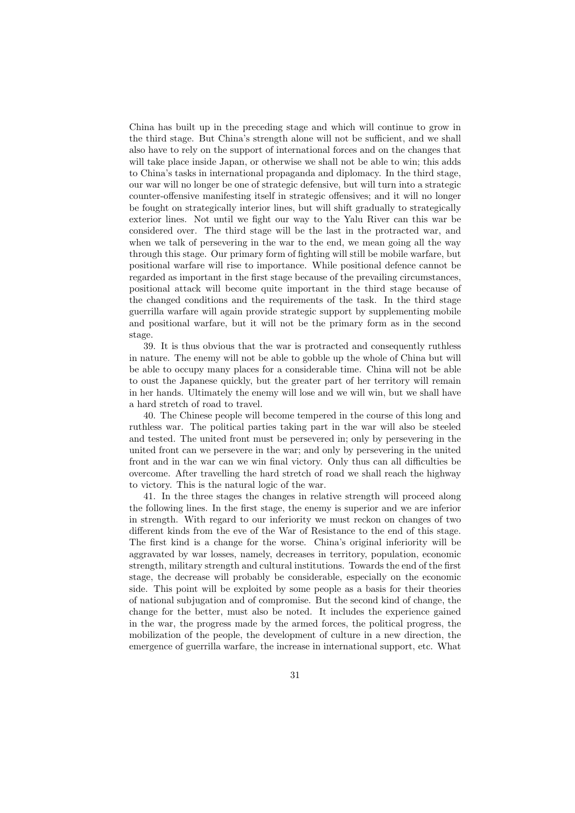China has built up in the preceding stage and which will continue to grow in the third stage. But China's strength alone will not be sufficient, and we shall also have to rely on the support of international forces and on the changes that will take place inside Japan, or otherwise we shall not be able to win; this adds to China's tasks in international propaganda and diplomacy. In the third stage, our war will no longer be one of strategic defensive, but will turn into a strategic counter-offensive manifesting itself in strategic offensives; and it will no longer be fought on strategically interior lines, but will shift gradually to strategically exterior lines. Not until we fight our way to the Yalu River can this war be considered over. The third stage will be the last in the protracted war, and when we talk of persevering in the war to the end, we mean going all the way through this stage. Our primary form of fighting will still be mobile warfare, but positional warfare will rise to importance. While positional defence cannot be regarded as important in the first stage because of the prevailing circumstances, positional attack will become quite important in the third stage because of the changed conditions and the requirements of the task. In the third stage guerrilla warfare will again provide strategic support by supplementing mobile and positional warfare, but it will not be the primary form as in the second stage.

39. It is thus obvious that the war is protracted and consequently ruthless in nature. The enemy will not be able to gobble up the whole of China but will be able to occupy many places for a considerable time. China will not be able to oust the Japanese quickly, but the greater part of her territory will remain in her hands. Ultimately the enemy will lose and we will win, but we shall have a hard stretch of road to travel.

40. The Chinese people will become tempered in the course of this long and ruthless war. The political parties taking part in the war will also be steeled and tested. The united front must be persevered in; only by persevering in the united front can we persevere in the war; and only by persevering in the united front and in the war can we win final victory. Only thus can all difficulties be overcome. After travelling the hard stretch of road we shall reach the highway to victory. This is the natural logic of the war.

41. In the three stages the changes in relative strength will proceed along the following lines. In the first stage, the enemy is superior and we are inferior in strength. With regard to our inferiority we must reckon on changes of two different kinds from the eve of the War of Resistance to the end of this stage. The first kind is a change for the worse. China's original inferiority will be aggravated by war losses, namely, decreases in territory, population, economic strength, military strength and cultural institutions. Towards the end of the first stage, the decrease will probably be considerable, especially on the economic side. This point will be exploited by some people as a basis for their theories of national subjugation and of compromise. But the second kind of change, the change for the better, must also be noted. It includes the experience gained in the war, the progress made by the armed forces, the political progress, the mobilization of the people, the development of culture in a new direction, the emergence of guerrilla warfare, the increase in international support, etc. What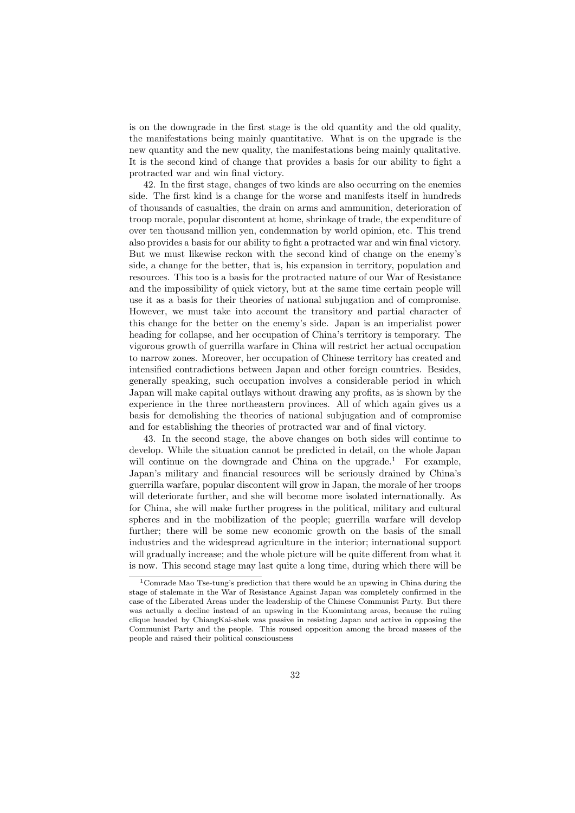is on the downgrade in the first stage is the old quantity and the old quality, the manifestations being mainly quantitative. What is on the upgrade is the new quantity and the new quality, the manifestations being mainly qualitative. It is the second kind of change that provides a basis for our ability to fight a protracted war and win final victory.

42. In the first stage, changes of two kinds are also occurring on the enemies side. The first kind is a change for the worse and manifests itself in hundreds of thousands of casualties, the drain on arms and ammunition, deterioration of troop morale, popular discontent at home, shrinkage of trade, the expenditure of over ten thousand million yen, condemnation by world opinion, etc. This trend also provides a basis for our ability to fight a protracted war and win final victory. But we must likewise reckon with the second kind of change on the enemy's side, a change for the better, that is, his expansion in territory, population and resources. This too is a basis for the protracted nature of our War of Resistance and the impossibility of quick victory, but at the same time certain people will use it as a basis for their theories of national subjugation and of compromise. However, we must take into account the transitory and partial character of this change for the better on the enemy's side. Japan is an imperialist power heading for collapse, and her occupation of China's territory is temporary. The vigorous growth of guerrilla warfare in China will restrict her actual occupation to narrow zones. Moreover, her occupation of Chinese territory has created and intensified contradictions between Japan and other foreign countries. Besides, generally speaking, such occupation involves a considerable period in which Japan will make capital outlays without drawing any profits, as is shown by the experience in the three northeastern provinces. All of which again gives us a basis for demolishing the theories of national subjugation and of compromise and for establishing the theories of protracted war and of final victory.

43. In the second stage, the above changes on both sides will continue to develop. While the situation cannot be predicted in detail, on the whole Japan will continue on the downgrade and China on the upgrade.<sup>1</sup> For example, Japan's military and financial resources will be seriously drained by China's guerrilla warfare, popular discontent will grow in Japan, the morale of her troops will deteriorate further, and she will become more isolated internationally. As for China, she will make further progress in the political, military and cultural spheres and in the mobilization of the people; guerrilla warfare will develop further; there will be some new economic growth on the basis of the small industries and the widespread agriculture in the interior; international support will gradually increase; and the whole picture will be quite different from what it is now. This second stage may last quite a long time, during which there will be

<sup>&</sup>lt;sup>1</sup>Comrade Mao Tse-tung's prediction that there would be an upswing in China during the stage of stalemate in the War of Resistance Against Japan was completely confirmed in the case of the Liberated Areas under the leadership of the Chinese Communist Party. But there was actually a decline instead of an upswing in the Kuomintang areas, because the ruling clique headed by ChiangKai-shek was passive in resisting Japan and active in opposing the Communist Party and the people. This roused opposition among the broad masses of the people and raised their political consciousness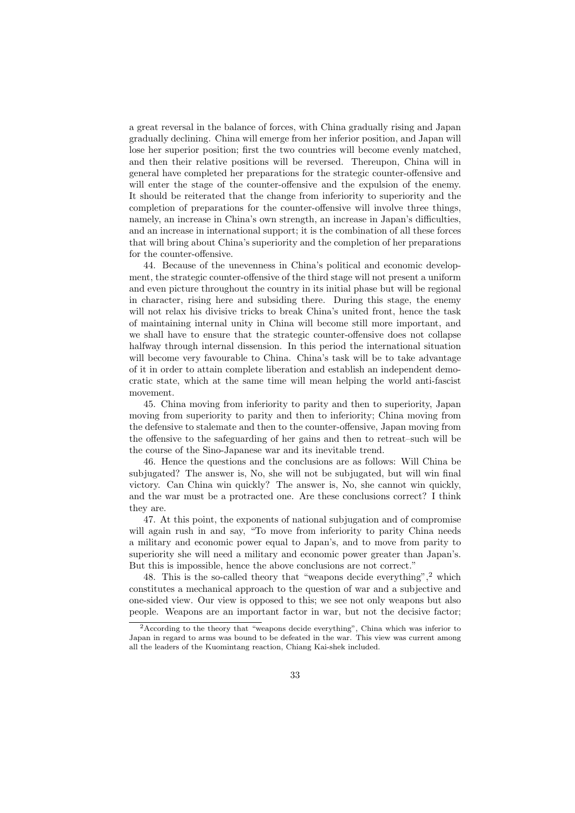a great reversal in the balance of forces, with China gradually rising and Japan gradually declining. China will emerge from her inferior position, and Japan will lose her superior position; first the two countries will become evenly matched, and then their relative positions will be reversed. Thereupon, China will in general have completed her preparations for the strategic counter-offensive and will enter the stage of the counter-offensive and the expulsion of the enemy. It should be reiterated that the change from inferiority to superiority and the completion of preparations for the counter-offensive will involve three things, namely, an increase in China's own strength, an increase in Japan's difficulties, and an increase in international support; it is the combination of all these forces that will bring about China's superiority and the completion of her preparations for the counter-offensive.

44. Because of the unevenness in China's political and economic development, the strategic counter-offensive of the third stage will not present a uniform and even picture throughout the country in its initial phase but will be regional in character, rising here and subsiding there. During this stage, the enemy will not relax his divisive tricks to break China's united front, hence the task of maintaining internal unity in China will become still more important, and we shall have to ensure that the strategic counter-offensive does not collapse halfway through internal dissension. In this period the international situation will become very favourable to China. China's task will be to take advantage of it in order to attain complete liberation and establish an independent democratic state, which at the same time will mean helping the world anti-fascist movement.

45. China moving from inferiority to parity and then to superiority, Japan moving from superiority to parity and then to inferiority; China moving from the defensive to stalemate and then to the counter-offensive, Japan moving from the offensive to the safeguarding of her gains and then to retreat–such will be the course of the Sino-Japanese war and its inevitable trend.

46. Hence the questions and the conclusions are as follows: Will China be subjugated? The answer is, No, she will not be subjugated, but will win final victory. Can China win quickly? The answer is, No, she cannot win quickly, and the war must be a protracted one. Are these conclusions correct? I think they are.

47. At this point, the exponents of national subjugation and of compromise will again rush in and say, "To move from inferiority to parity China needs a military and economic power equal to Japan's, and to move from parity to superiority she will need a military and economic power greater than Japan's. But this is impossible, hence the above conclusions are not correct."

48. This is the so-called theory that "weapons decide everything",<sup>2</sup> which constitutes a mechanical approach to the question of war and a subjective and one-sided view. Our view is opposed to this; we see not only weapons but also people. Weapons are an important factor in war, but not the decisive factor;

<sup>&</sup>lt;sup>2</sup>According to the theory that "weapons decide everything", China which was inferior to Japan in regard to arms was bound to be defeated in the war. This view was current among all the leaders of the Kuomintang reaction, Chiang Kai-shek included.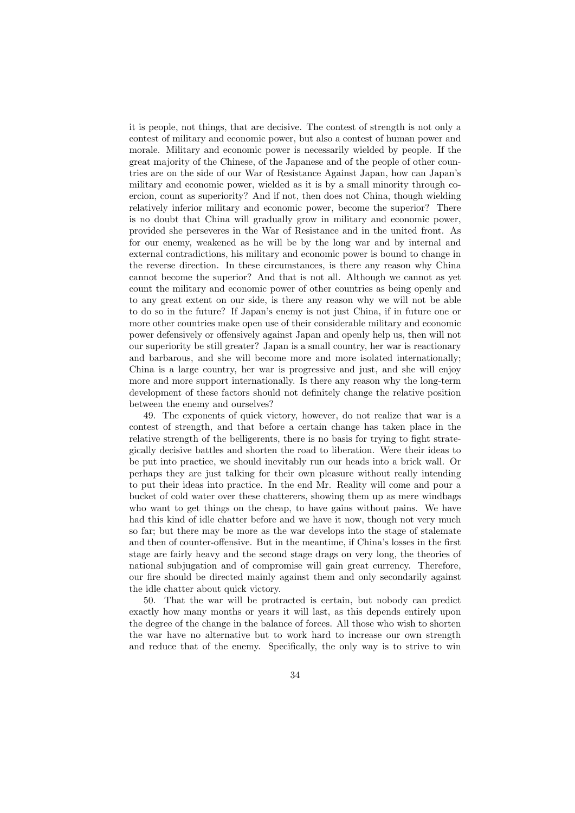it is people, not things, that are decisive. The contest of strength is not only a contest of military and economic power, but also a contest of human power and morale. Military and economic power is necessarily wielded by people. If the great majority of the Chinese, of the Japanese and of the people of other countries are on the side of our War of Resistance Against Japan, how can Japan's military and economic power, wielded as it is by a small minority through coercion, count as superiority? And if not, then does not China, though wielding relatively inferior military and economic power, become the superior? There is no doubt that China will gradually grow in military and economic power, provided she perseveres in the War of Resistance and in the united front. As for our enemy, weakened as he will be by the long war and by internal and external contradictions, his military and economic power is bound to change in the reverse direction. In these circumstances, is there any reason why China cannot become the superior? And that is not all. Although we cannot as yet count the military and economic power of other countries as being openly and to any great extent on our side, is there any reason why we will not be able to do so in the future? If Japan's enemy is not just China, if in future one or more other countries make open use of their considerable military and economic power defensively or offensively against Japan and openly help us, then will not our superiority be still greater? Japan is a small country, her war is reactionary and barbarous, and she will become more and more isolated internationally; China is a large country, her war is progressive and just, and she will enjoy more and more support internationally. Is there any reason why the long-term development of these factors should not definitely change the relative position between the enemy and ourselves?

49. The exponents of quick victory, however, do not realize that war is a contest of strength, and that before a certain change has taken place in the relative strength of the belligerents, there is no basis for trying to fight strategically decisive battles and shorten the road to liberation. Were their ideas to be put into practice, we should inevitably run our heads into a brick wall. Or perhaps they are just talking for their own pleasure without really intending to put their ideas into practice. In the end Mr. Reality will come and pour a bucket of cold water over these chatterers, showing them up as mere windbags who want to get things on the cheap, to have gains without pains. We have had this kind of idle chatter before and we have it now, though not very much so far; but there may be more as the war develops into the stage of stalemate and then of counter-offensive. But in the meantime, if China's losses in the first stage are fairly heavy and the second stage drags on very long, the theories of national subjugation and of compromise will gain great currency. Therefore, our fire should be directed mainly against them and only secondarily against the idle chatter about quick victory.

50. That the war will be protracted is certain, but nobody can predict exactly how many months or years it will last, as this depends entirely upon the degree of the change in the balance of forces. All those who wish to shorten the war have no alternative but to work hard to increase our own strength and reduce that of the enemy. Specifically, the only way is to strive to win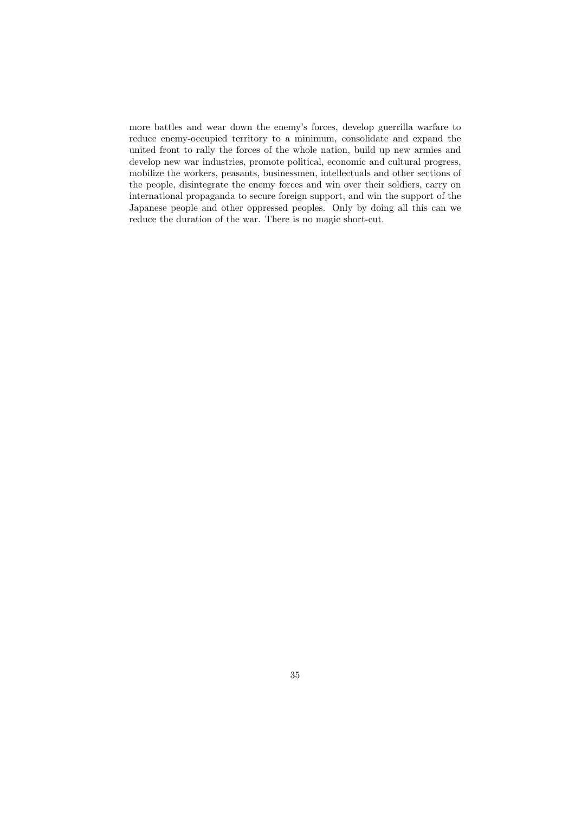more battles and wear down the enemy's forces, develop guerrilla warfare to reduce enemy-occupied territory to a minimum, consolidate and expand the united front to rally the forces of the whole nation, build up new armies and develop new war industries, promote political, economic and cultural progress, mobilize the workers, peasants, businessmen, intellectuals and other sections of the people, disintegrate the enemy forces and win over their soldiers, carry on international propaganda to secure foreign support, and win the support of the Japanese people and other oppressed peoples. Only by doing all this can we reduce the duration of the war. There is no magic short-cut.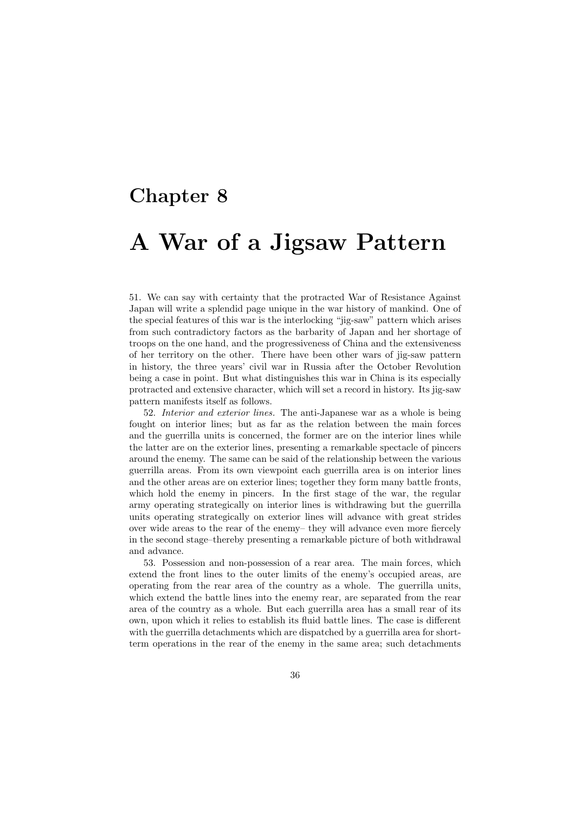### A War of a Jigsaw Pattern

51. We can say with certainty that the protracted War of Resistance Against Japan will write a splendid page unique in the war history of mankind. One of the special features of this war is the interlocking "jig-saw" pattern which arises from such contradictory factors as the barbarity of Japan and her shortage of troops on the one hand, and the progressiveness of China and the extensiveness of her territory on the other. There have been other wars of jig-saw pattern in history, the three years' civil war in Russia after the October Revolution being a case in point. But what distinguishes this war in China is its especially protracted and extensive character, which will set a record in history. Its jig-saw pattern manifests itself as follows.

52. Interior and exterior lines. The anti-Japanese war as a whole is being fought on interior lines; but as far as the relation between the main forces and the guerrilla units is concerned, the former are on the interior lines while the latter are on the exterior lines, presenting a remarkable spectacle of pincers around the enemy. The same can be said of the relationship between the various guerrilla areas. From its own viewpoint each guerrilla area is on interior lines and the other areas are on exterior lines; together they form many battle fronts, which hold the enemy in pincers. In the first stage of the war, the regular army operating strategically on interior lines is withdrawing but the guerrilla units operating strategically on exterior lines will advance with great strides over wide areas to the rear of the enemy– they will advance even more fiercely in the second stage–thereby presenting a remarkable picture of both withdrawal and advance.

53. Possession and non-possession of a rear area. The main forces, which extend the front lines to the outer limits of the enemy's occupied areas, are operating from the rear area of the country as a whole. The guerrilla units, which extend the battle lines into the enemy rear, are separated from the rear area of the country as a whole. But each guerrilla area has a small rear of its own, upon which it relies to establish its fluid battle lines. The case is different with the guerrilla detachments which are dispatched by a guerrilla area for shortterm operations in the rear of the enemy in the same area; such detachments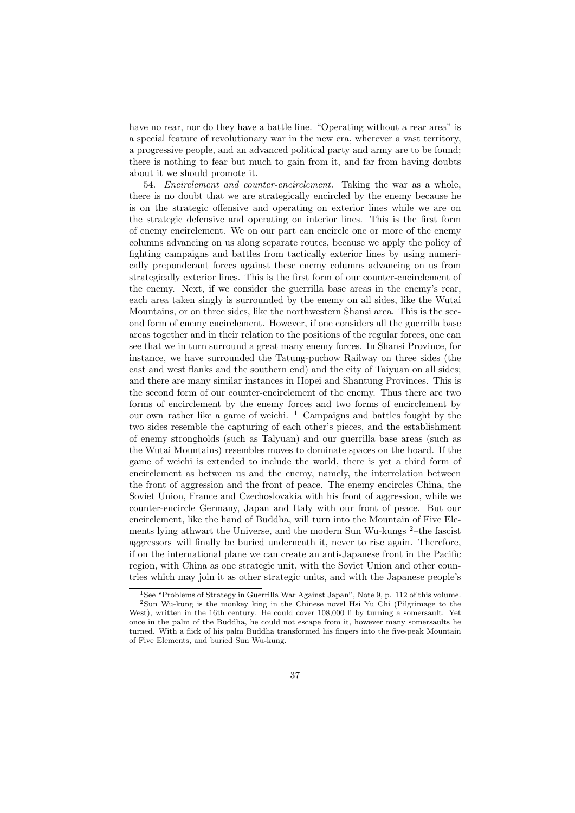have no rear, nor do they have a battle line. "Operating without a rear area" is a special feature of revolutionary war in the new era, wherever a vast territory, a progressive people, and an advanced political party and army are to be found; there is nothing to fear but much to gain from it, and far from having doubts about it we should promote it.

54. Encirclement and counter-encirclement. Taking the war as a whole, there is no doubt that we are strategically encircled by the enemy because he is on the strategic offensive and operating on exterior lines while we are on the strategic defensive and operating on interior lines. This is the first form of enemy encirclement. We on our part can encircle one or more of the enemy columns advancing on us along separate routes, because we apply the policy of fighting campaigns and battles from tactically exterior lines by using numerically preponderant forces against these enemy columns advancing on us from strategically exterior lines. This is the first form of our counter-encirclement of the enemy. Next, if we consider the guerrilla base areas in the enemy's rear, each area taken singly is surrounded by the enemy on all sides, like the Wutai Mountains, or on three sides, like the northwestern Shansi area. This is the second form of enemy encirclement. However, if one considers all the guerrilla base areas together and in their relation to the positions of the regular forces, one can see that we in turn surround a great many enemy forces. In Shansi Province, for instance, we have surrounded the Tatung-puchow Railway on three sides (the east and west flanks and the southern end) and the city of Taiyuan on all sides; and there are many similar instances in Hopei and Shantung Provinces. This is the second form of our counter-encirclement of the enemy. Thus there are two forms of encirclement by the enemy forces and two forms of encirclement by our own–rather like a game of weichi.  $\frac{1}{1}$  Campaigns and battles fought by the two sides resemble the capturing of each other's pieces, and the establishment of enemy strongholds (such as Talyuan) and our guerrilla base areas (such as the Wutai Mountains) resembles moves to dominate spaces on the board. If the game of weichi is extended to include the world, there is yet a third form of encirclement as between us and the enemy, namely, the interrelation between the front of aggression and the front of peace. The enemy encircles China, the Soviet Union, France and Czechoslovakia with his front of aggression, while we counter-encircle Germany, Japan and Italy with our front of peace. But our encirclement, like the hand of Buddha, will turn into the Mountain of Five Elements lying athwart the Universe, and the modern Sun Wu-kungs  $2$ –the fascist aggressors–will finally be buried underneath it, never to rise again. Therefore, if on the international plane we can create an anti-Japanese front in the Pacific region, with China as one strategic unit, with the Soviet Union and other countries which may join it as other strategic units, and with the Japanese people's

<sup>&</sup>lt;sup>1</sup>See "Problems of Strategy in Guerrilla War Against Japan", Note 9, p. 112 of this volume. <sup>2</sup>Sun Wu-kung is the monkey king in the Chinese novel Hsi Yu Chi (Pilgrimage to the West), written in the 16th century. He could cover 108,000 li by turning a somersault. Yet once in the palm of the Buddha, he could not escape from it, however many somersaults he turned. With a flick of his palm Buddha transformed his fingers into the five-peak Mountain of Five Elements, and buried Sun Wu-kung.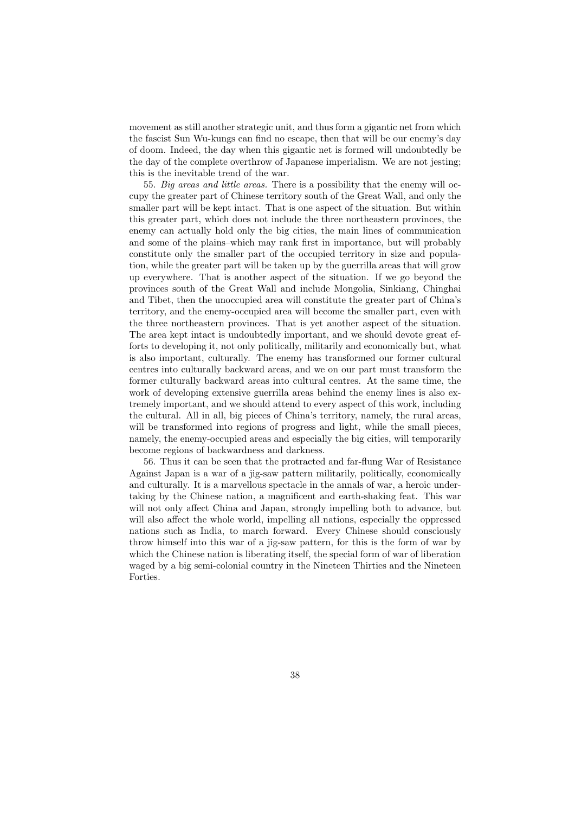movement as still another strategic unit, and thus form a gigantic net from which the fascist Sun Wu-kungs can find no escape, then that will be our enemy's day of doom. Indeed, the day when this gigantic net is formed will undoubtedly be the day of the complete overthrow of Japanese imperialism. We are not jesting; this is the inevitable trend of the war.

55. Big areas and little areas. There is a possibility that the enemy will occupy the greater part of Chinese territory south of the Great Wall, and only the smaller part will be kept intact. That is one aspect of the situation. But within this greater part, which does not include the three northeastern provinces, the enemy can actually hold only the big cities, the main lines of communication and some of the plains–which may rank first in importance, but will probably constitute only the smaller part of the occupied territory in size and population, while the greater part will be taken up by the guerrilla areas that will grow up everywhere. That is another aspect of the situation. If we go beyond the provinces south of the Great Wall and include Mongolia, Sinkiang, Chinghai and Tibet, then the unoccupied area will constitute the greater part of China's territory, and the enemy-occupied area will become the smaller part, even with the three northeastern provinces. That is yet another aspect of the situation. The area kept intact is undoubtedly important, and we should devote great efforts to developing it, not only politically, militarily and economically but, what is also important, culturally. The enemy has transformed our former cultural centres into culturally backward areas, and we on our part must transform the former culturally backward areas into cultural centres. At the same time, the work of developing extensive guerrilla areas behind the enemy lines is also extremely important, and we should attend to every aspect of this work, including the cultural. All in all, big pieces of China's territory, namely, the rural areas, will be transformed into regions of progress and light, while the small pieces, namely, the enemy-occupied areas and especially the big cities, will temporarily become regions of backwardness and darkness.

56. Thus it can be seen that the protracted and far-flung War of Resistance Against Japan is a war of a jig-saw pattern militarily, politically, economically and culturally. It is a marvellous spectacle in the annals of war, a heroic undertaking by the Chinese nation, a magnificent and earth-shaking feat. This war will not only affect China and Japan, strongly impelling both to advance, but will also affect the whole world, impelling all nations, especially the oppressed nations such as India, to march forward. Every Chinese should consciously throw himself into this war of a jig-saw pattern, for this is the form of war by which the Chinese nation is liberating itself, the special form of war of liberation waged by a big semi-colonial country in the Nineteen Thirties and the Nineteen Forties.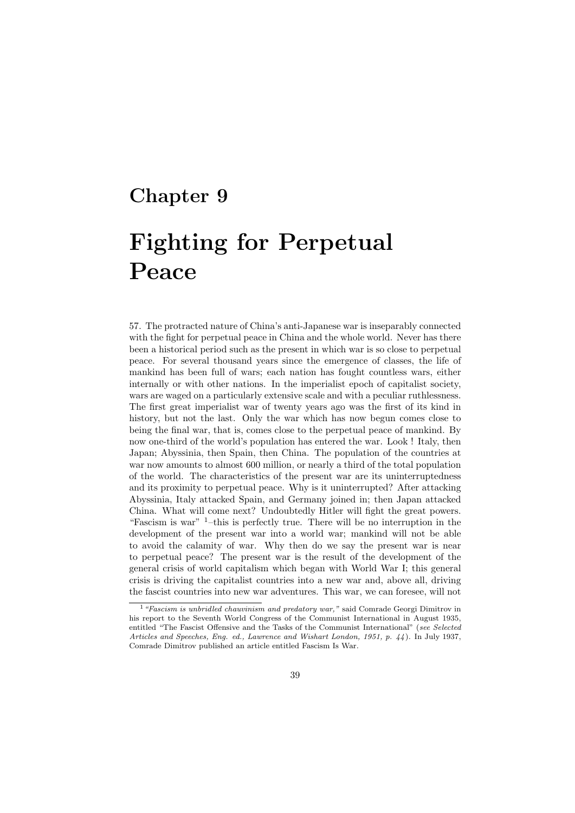# Fighting for Perpetual Peace

57. The protracted nature of China's anti-Japanese war is inseparably connected with the fight for perpetual peace in China and the whole world. Never has there been a historical period such as the present in which war is so close to perpetual peace. For several thousand years since the emergence of classes, the life of mankind has been full of wars; each nation has fought countless wars, either internally or with other nations. In the imperialist epoch of capitalist society, wars are waged on a particularly extensive scale and with a peculiar ruthlessness. The first great imperialist war of twenty years ago was the first of its kind in history, but not the last. Only the war which has now begun comes close to being the final war, that is, comes close to the perpetual peace of mankind. By now one-third of the world's population has entered the war. Look ! Italy, then Japan; Abyssinia, then Spain, then China. The population of the countries at war now amounts to almost 600 million, or nearly a third of the total population of the world. The characteristics of the present war are its uninterruptedness and its proximity to perpetual peace. Why is it uninterrupted? After attacking Abyssinia, Italy attacked Spain, and Germany joined in; then Japan attacked China. What will come next? Undoubtedly Hitler will fight the great powers. "Fascism is war" <sup>1</sup>–this is perfectly true. There will be no interruption in the development of the present war into a world war; mankind will not be able to avoid the calamity of war. Why then do we say the present war is near to perpetual peace? The present war is the result of the development of the general crisis of world capitalism which began with World War I; this general crisis is driving the capitalist countries into a new war and, above all, driving the fascist countries into new war adventures. This war, we can foresee, will not

 $1$  "Fascism is unbridled chauvinism and predatory war," said Comrade Georgi Dimitrov in his report to the Seventh World Congress of the Communist International in August 1935, entitled "The Fascist Offensive and the Tasks of the Communist International" (see Selected Articles and Speeches, Eng. ed., Lawrence and Wishart London, 1951, p. 44 ). In July 1937, Comrade Dimitrov published an article entitled Fascism Is War.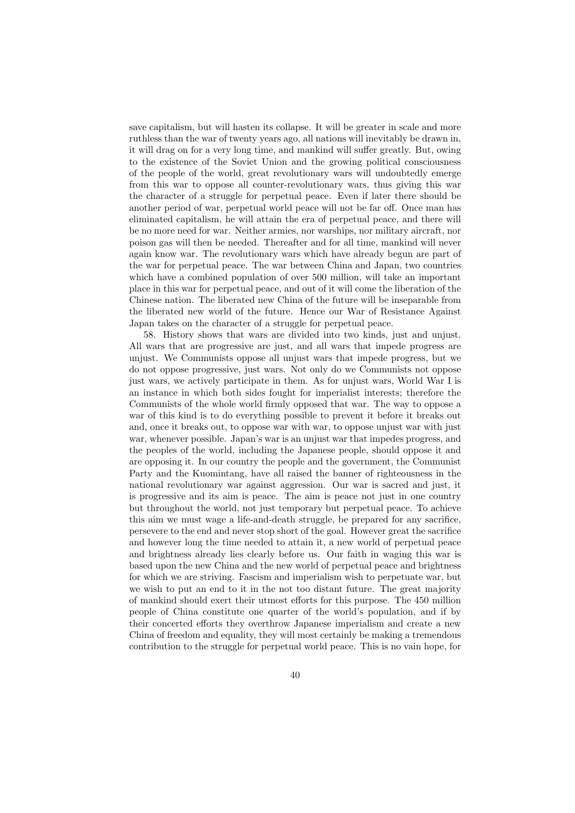save capitalism, but will hasten its collapse. It will be greater in scale and more ruthless than the war of twenty years ago, all nations will inevitably be drawn in, it will drag on for a very long time, and mankind will suffer greatly. But, owing to the existence of the Soviet Union and the growing political consciousness of the people of the world, great revolutionary wars will undoubtedly emerge from this war to oppose all counter-revolutionary wars, thus giving this war the character of a struggle for perpetual peace. Even if later there should be another period of war, perpetual world peace will not be far off. Once man has eliminated capitalism, he will attain the era of perpetual peace, and there will be no more need for war. Neither armies, nor warships, nor military aircraft, nor poison gas will then be needed. Thereafter and for all time, mankind will never again know war. The revolutionary wars which have already begun are part of the war for perpetual peace. The war between China and Japan, two countries which have a combined population of over 500 million, will take an important place in this war for perpetual peace, and out of it will come the liberation of the Chinese nation. The liberated new China of the future will be inseparable from the liberated new world of the future. Hence our War of Resistance Against Japan takes on the character of a struggle for perpetual peace.

58. History shows that wars are divided into two kinds, just and unjust. All wars that are progressive are just, and all wars that impede progress are unjust. We Communists oppose all unjust wars that impede progress, but we do not oppose progressive, just wars. Not only do we Communists not oppose just wars, we actively participate in them. As for unjust wars, World War I is an instance in which both sides fought for imperialist interests; therefore the Communists of the whole world firmly opposed that war. The way to oppose a war of this kind is to do everything possible to prevent it before it breaks out and, once it breaks out, to oppose war with war, to oppose unjust war with just war, whenever possible. Japan's war is an unjust war that impedes progress, and the peoples of the world, including the Japanese people, should oppose it and are opposing it. In our country the people and the government, the Communist Party and the Kuomintang, have all raised the banner of righteousness in the national revolutionary war against aggression. Our war is sacred and just, it is progressive and its aim is peace. The aim is peace not just in one country but throughout the world, not just temporary but perpetual peace. To achieve this aim we must wage a life-and-death struggle, be prepared for any sacrifice, persevere to the end and never stop short of the goal. However great the sacrifice and however long the time needed to attain it, a new world of perpetual peace and brightness already lies clearly before us. Our faith in waging this war is based upon the new China and the new world of perpetual peace and brightness for which we are striving. Fascism and imperialism wish to perpetuate war, but we wish to put an end to it in the not too distant future. The great majority of mankind should exert their utmost efforts for this purpose. The 450 million people of China constitute one quarter of the world's population, and if by their concerted efforts they overthrow Japanese imperialism and create a new China of freedom and equality, they will most certainly be making a tremendous contribution to the struggle for perpetual world peace. This is no vain hope, for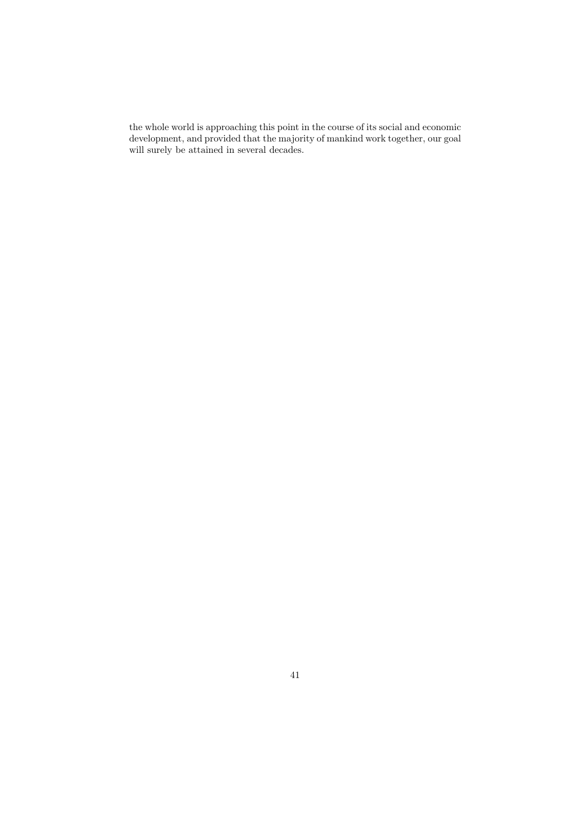the whole world is approaching this point in the course of its social and economic development, and provided that the majority of mankind work together, our goal will surely be attained in several decades.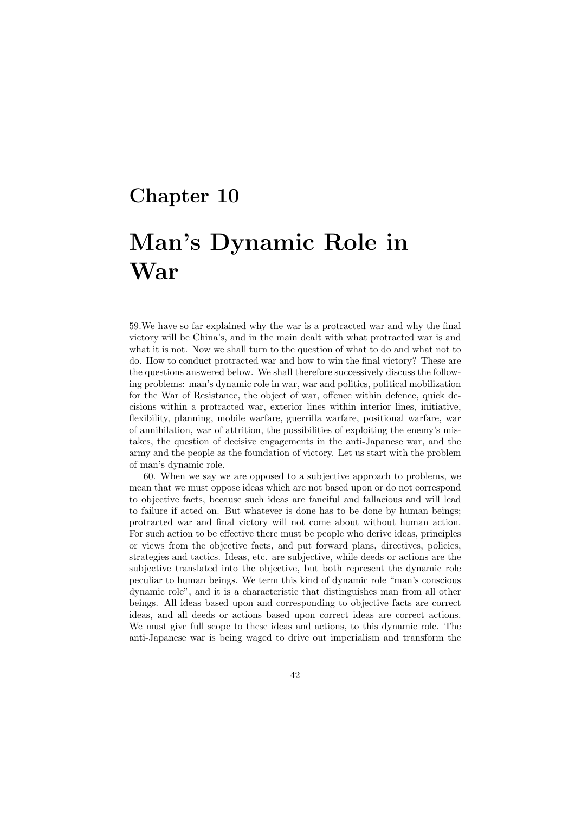## Man's Dynamic Role in War

59.We have so far explained why the war is a protracted war and why the final victory will be China's, and in the main dealt with what protracted war is and what it is not. Now we shall turn to the question of what to do and what not to do. How to conduct protracted war and how to win the final victory? These are the questions answered below. We shall therefore successively discuss the following problems: man's dynamic role in war, war and politics, political mobilization for the War of Resistance, the object of war, offence within defence, quick decisions within a protracted war, exterior lines within interior lines, initiative, flexibility, planning, mobile warfare, guerrilla warfare, positional warfare, war of annihilation, war of attrition, the possibilities of exploiting the enemy's mistakes, the question of decisive engagements in the anti-Japanese war, and the army and the people as the foundation of victory. Let us start with the problem of man's dynamic role.

60. When we say we are opposed to a subjective approach to problems, we mean that we must oppose ideas which are not based upon or do not correspond to objective facts, because such ideas are fanciful and fallacious and will lead to failure if acted on. But whatever is done has to be done by human beings; protracted war and final victory will not come about without human action. For such action to be effective there must be people who derive ideas, principles or views from the objective facts, and put forward plans, directives, policies, strategies and tactics. Ideas, etc. are subjective, while deeds or actions are the subjective translated into the objective, but both represent the dynamic role peculiar to human beings. We term this kind of dynamic role "man's conscious dynamic role", and it is a characteristic that distinguishes man from all other beings. All ideas based upon and corresponding to objective facts are correct ideas, and all deeds or actions based upon correct ideas are correct actions. We must give full scope to these ideas and actions, to this dynamic role. The anti-Japanese war is being waged to drive out imperialism and transform the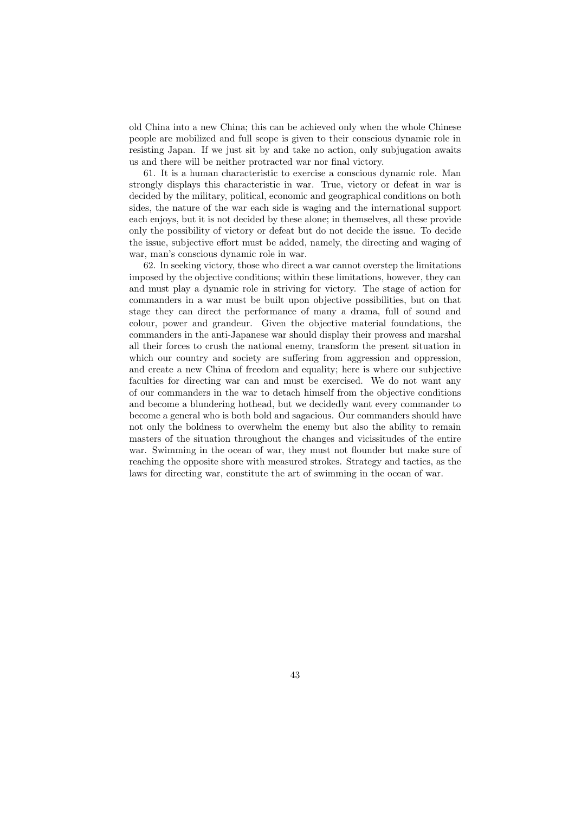old China into a new China; this can be achieved only when the whole Chinese people are mobilized and full scope is given to their conscious dynamic role in resisting Japan. If we just sit by and take no action, only subjugation awaits us and there will be neither protracted war nor final victory.

61. It is a human characteristic to exercise a conscious dynamic role. Man strongly displays this characteristic in war. True, victory or defeat in war is decided by the military, political, economic and geographical conditions on both sides, the nature of the war each side is waging and the international support each enjoys, but it is not decided by these alone; in themselves, all these provide only the possibility of victory or defeat but do not decide the issue. To decide the issue, subjective effort must be added, namely, the directing and waging of war, man's conscious dynamic role in war.

62. In seeking victory, those who direct a war cannot overstep the limitations imposed by the objective conditions; within these limitations, however, they can and must play a dynamic role in striving for victory. The stage of action for commanders in a war must be built upon objective possibilities, but on that stage they can direct the performance of many a drama, full of sound and colour, power and grandeur. Given the objective material foundations, the commanders in the anti-Japanese war should display their prowess and marshal all their forces to crush the national enemy, transform the present situation in which our country and society are suffering from aggression and oppression, and create a new China of freedom and equality; here is where our subjective faculties for directing war can and must be exercised. We do not want any of our commanders in the war to detach himself from the objective conditions and become a blundering hothead, but we decidedly want every commander to become a general who is both bold and sagacious. Our commanders should have not only the boldness to overwhelm the enemy but also the ability to remain masters of the situation throughout the changes and vicissitudes of the entire war. Swimming in the ocean of war, they must not flounder but make sure of reaching the opposite shore with measured strokes. Strategy and tactics, as the laws for directing war, constitute the art of swimming in the ocean of war.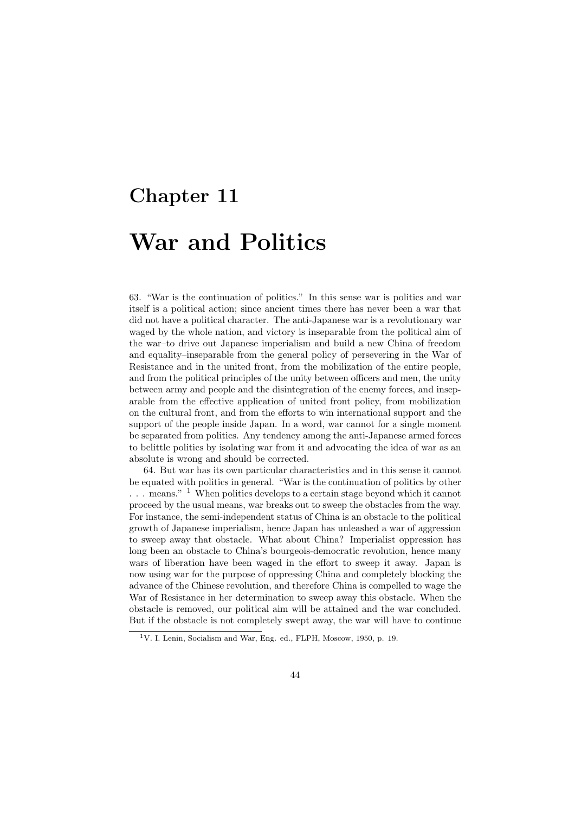# Chapter 11 War and Politics

63. "War is the continuation of politics." In this sense war is politics and war itself is a political action; since ancient times there has never been a war that did not have a political character. The anti-Japanese war is a revolutionary war waged by the whole nation, and victory is inseparable from the political aim of the war–to drive out Japanese imperialism and build a new China of freedom and equality–inseparable from the general policy of persevering in the War of Resistance and in the united front, from the mobilization of the entire people, and from the political principles of the unity between officers and men, the unity between army and people and the disintegration of the enemy forces, and inseparable from the effective application of united front policy, from mobilization on the cultural front, and from the efforts to win international support and the support of the people inside Japan. In a word, war cannot for a single moment be separated from politics. Any tendency among the anti-Japanese armed forces to belittle politics by isolating war from it and advocating the idea of war as an absolute is wrong and should be corrected.

64. But war has its own particular characteristics and in this sense it cannot be equated with politics in general. "War is the continuation of politics by other ... means." <sup>1</sup> When politics develops to a certain stage beyond which it cannot proceed by the usual means, war breaks out to sweep the obstacles from the way. For instance, the semi-independent status of China is an obstacle to the political growth of Japanese imperialism, hence Japan has unleashed a war of aggression to sweep away that obstacle. What about China? Imperialist oppression has long been an obstacle to China's bourgeois-democratic revolution, hence many wars of liberation have been waged in the effort to sweep it away. Japan is now using war for the purpose of oppressing China and completely blocking the advance of the Chinese revolution, and therefore China is compelled to wage the War of Resistance in her determination to sweep away this obstacle. When the obstacle is removed, our political aim will be attained and the war concluded. But if the obstacle is not completely swept away, the war will have to continue

<sup>1</sup>V. I. Lenin, Socialism and War, Eng. ed., FLPH, Moscow, 1950, p. 19.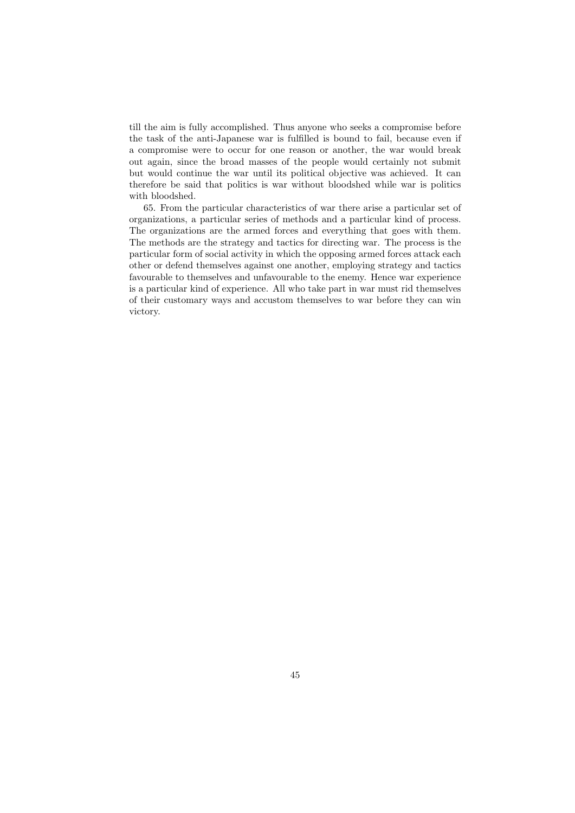till the aim is fully accomplished. Thus anyone who seeks a compromise before the task of the anti-Japanese war is fulfilled is bound to fail, because even if a compromise were to occur for one reason or another, the war would break out again, since the broad masses of the people would certainly not submit but would continue the war until its political objective was achieved. It can therefore be said that politics is war without bloodshed while war is politics with bloodshed.

65. From the particular characteristics of war there arise a particular set of organizations, a particular series of methods and a particular kind of process. The organizations are the armed forces and everything that goes with them. The methods are the strategy and tactics for directing war. The process is the particular form of social activity in which the opposing armed forces attack each other or defend themselves against one another, employing strategy and tactics favourable to themselves and unfavourable to the enemy. Hence war experience is a particular kind of experience. All who take part in war must rid themselves of their customary ways and accustom themselves to war before they can win victory.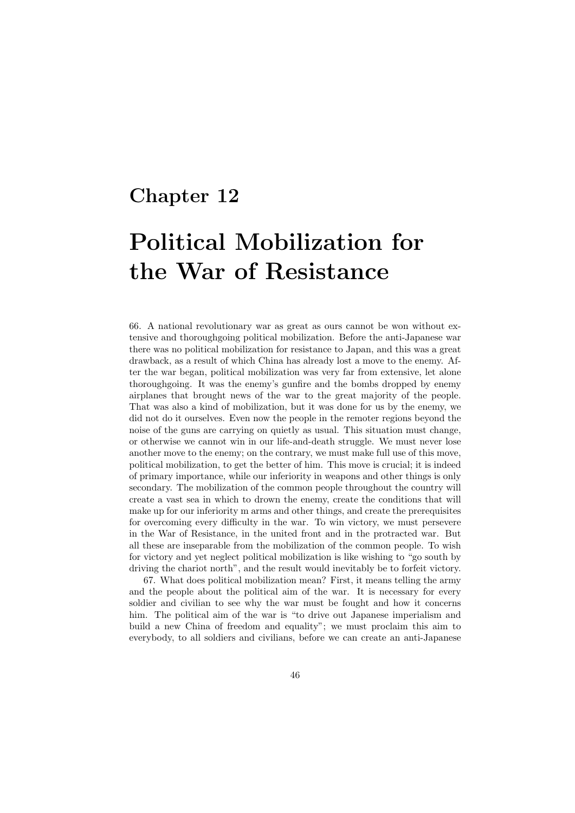# Political Mobilization for the War of Resistance

66. A national revolutionary war as great as ours cannot be won without extensive and thoroughgoing political mobilization. Before the anti-Japanese war there was no political mobilization for resistance to Japan, and this was a great drawback, as a result of which China has already lost a move to the enemy. After the war began, political mobilization was very far from extensive, let alone thoroughgoing. It was the enemy's gunfire and the bombs dropped by enemy airplanes that brought news of the war to the great majority of the people. That was also a kind of mobilization, but it was done for us by the enemy, we did not do it ourselves. Even now the people in the remoter regions beyond the noise of the guns are carrying on quietly as usual. This situation must change, or otherwise we cannot win in our life-and-death struggle. We must never lose another move to the enemy; on the contrary, we must make full use of this move, political mobilization, to get the better of him. This move is crucial; it is indeed of primary importance, while our inferiority in weapons and other things is only secondary. The mobilization of the common people throughout the country will create a vast sea in which to drown the enemy, create the conditions that will make up for our inferiority m arms and other things, and create the prerequisites for overcoming every difficulty in the war. To win victory, we must persevere in the War of Resistance, in the united front and in the protracted war. But all these are inseparable from the mobilization of the common people. To wish for victory and yet neglect political mobilization is like wishing to "go south by driving the chariot north", and the result would inevitably be to forfeit victory.

67. What does political mobilization mean? First, it means telling the army and the people about the political aim of the war. It is necessary for every soldier and civilian to see why the war must be fought and how it concerns him. The political aim of the war is "to drive out Japanese imperialism and build a new China of freedom and equality"; we must proclaim this aim to everybody, to all soldiers and civilians, before we can create an anti-Japanese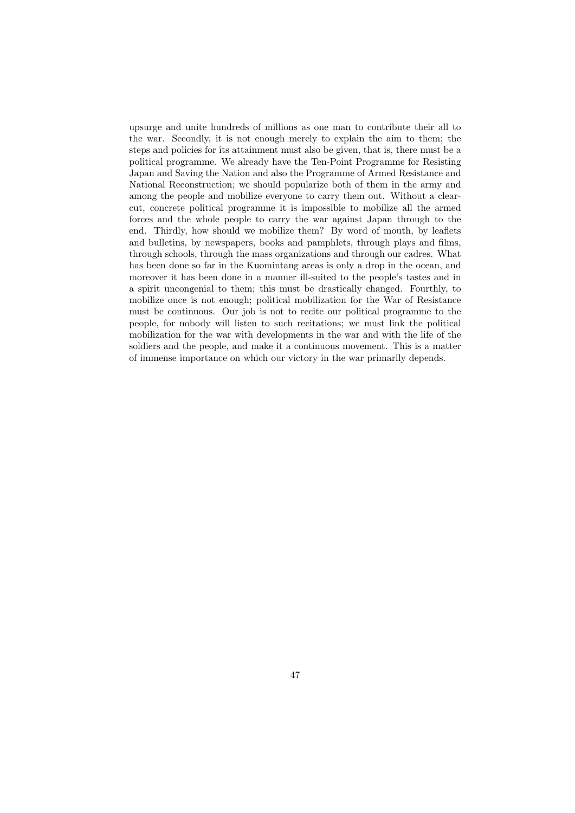upsurge and unite hundreds of millions as one man to contribute their all to the war. Secondly, it is not enough merely to explain the aim to them; the steps and policies for its attainment must also be given, that is, there must be a political programme. We already have the Ten-Point Programme for Resisting Japan and Saving the Nation and also the Programme of Armed Resistance and National Reconstruction; we should popularize both of them in the army and among the people and mobilize everyone to carry them out. Without a clearcut, concrete political programme it is impossible to mobilize all the armed forces and the whole people to carry the war against Japan through to the end. Thirdly, how should we mobilize them? By word of mouth, by leaflets and bulletins, by newspapers, books and pamphlets, through plays and films, through schools, through the mass organizations and through our cadres. What has been done so far in the Kuomintang areas is only a drop in the ocean, and moreover it has been done in a manner ill-suited to the people's tastes and in a spirit uncongenial to them; this must be drastically changed. Fourthly, to mobilize once is not enough; political mobilization for the War of Resistance must be continuous. Our job is not to recite our political programme to the people, for nobody will listen to such recitations; we must link the political mobilization for the war with developments in the war and with the life of the soldiers and the people, and make it a continuous movement. This is a matter of immense importance on which our victory in the war primarily depends.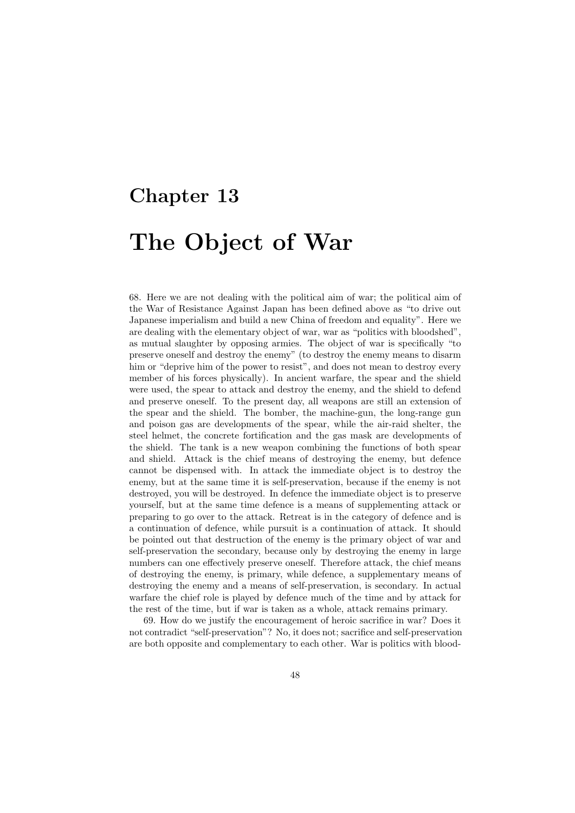### The Object of War

68. Here we are not dealing with the political aim of war; the political aim of the War of Resistance Against Japan has been defined above as "to drive out Japanese imperialism and build a new China of freedom and equality". Here we are dealing with the elementary object of war, war as "politics with bloodshed", as mutual slaughter by opposing armies. The object of war is specifically "to preserve oneself and destroy the enemy" (to destroy the enemy means to disarm him or "deprive him of the power to resist", and does not mean to destroy every member of his forces physically). In ancient warfare, the spear and the shield were used, the spear to attack and destroy the enemy, and the shield to defend and preserve oneself. To the present day, all weapons are still an extension of the spear and the shield. The bomber, the machine-gun, the long-range gun and poison gas are developments of the spear, while the air-raid shelter, the steel helmet, the concrete fortification and the gas mask are developments of the shield. The tank is a new weapon combining the functions of both spear and shield. Attack is the chief means of destroying the enemy, but defence cannot be dispensed with. In attack the immediate object is to destroy the enemy, but at the same time it is self-preservation, because if the enemy is not destroyed, you will be destroyed. In defence the immediate object is to preserve yourself, but at the same time defence is a means of supplementing attack or preparing to go over to the attack. Retreat is in the category of defence and is a continuation of defence, while pursuit is a continuation of attack. It should be pointed out that destruction of the enemy is the primary object of war and self-preservation the secondary, because only by destroying the enemy in large numbers can one effectively preserve oneself. Therefore attack, the chief means of destroying the enemy, is primary, while defence, a supplementary means of destroying the enemy and a means of self-preservation, is secondary. In actual warfare the chief role is played by defence much of the time and by attack for the rest of the time, but if war is taken as a whole, attack remains primary.

69. How do we justify the encouragement of heroic sacrifice in war? Does it not contradict "self-preservation"? No, it does not; sacrifice and self-preservation are both opposite and complementary to each other. War is politics with blood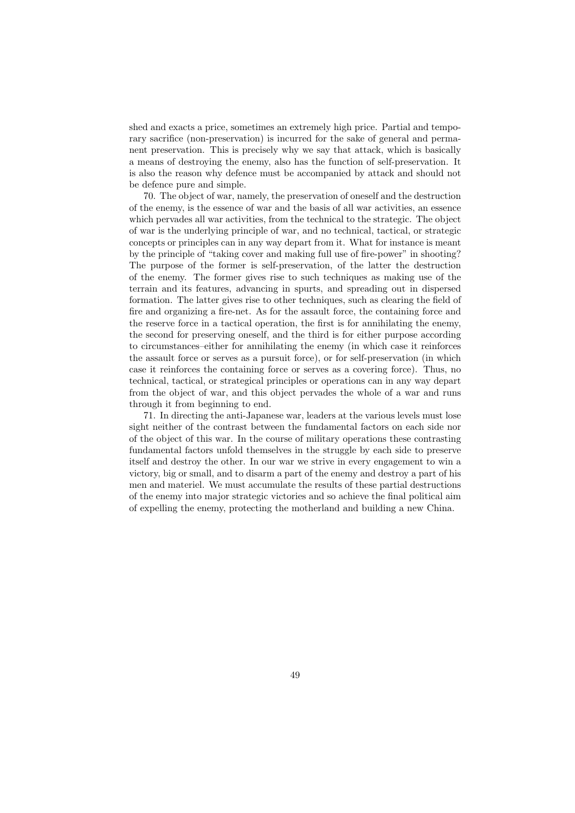shed and exacts a price, sometimes an extremely high price. Partial and temporary sacrifice (non-preservation) is incurred for the sake of general and permanent preservation. This is precisely why we say that attack, which is basically a means of destroying the enemy, also has the function of self-preservation. It is also the reason why defence must be accompanied by attack and should not be defence pure and simple.

70. The object of war, namely, the preservation of oneself and the destruction of the enemy, is the essence of war and the basis of all war activities, an essence which pervades all war activities, from the technical to the strategic. The object of war is the underlying principle of war, and no technical, tactical, or strategic concepts or principles can in any way depart from it. What for instance is meant by the principle of "taking cover and making full use of fire-power" in shooting? The purpose of the former is self-preservation, of the latter the destruction of the enemy. The former gives rise to such techniques as making use of the terrain and its features, advancing in spurts, and spreading out in dispersed formation. The latter gives rise to other techniques, such as clearing the field of fire and organizing a fire-net. As for the assault force, the containing force and the reserve force in a tactical operation, the first is for annihilating the enemy, the second for preserving oneself, and the third is for either purpose according to circumstances–either for annihilating the enemy (in which case it reinforces the assault force or serves as a pursuit force), or for self-preservation (in which case it reinforces the containing force or serves as a covering force). Thus, no technical, tactical, or strategical principles or operations can in any way depart from the object of war, and this object pervades the whole of a war and runs through it from beginning to end.

71. In directing the anti-Japanese war, leaders at the various levels must lose sight neither of the contrast between the fundamental factors on each side nor of the object of this war. In the course of military operations these contrasting fundamental factors unfold themselves in the struggle by each side to preserve itself and destroy the other. In our war we strive in every engagement to win a victory, big or small, and to disarm a part of the enemy and destroy a part of his men and materiel. We must accumulate the results of these partial destructions of the enemy into major strategic victories and so achieve the final political aim of expelling the enemy, protecting the motherland and building a new China.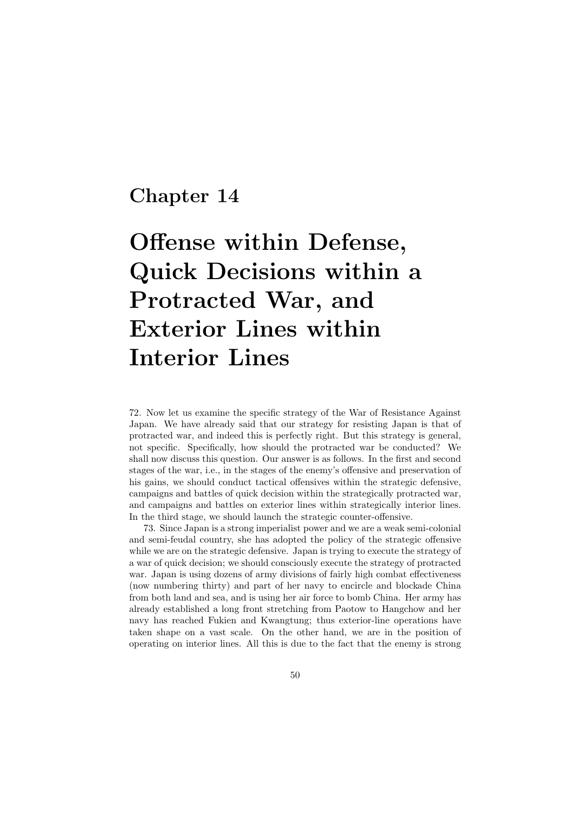# Offense within Defense, Quick Decisions within a Protracted War, and Exterior Lines within Interior Lines

72. Now let us examine the specific strategy of the War of Resistance Against Japan. We have already said that our strategy for resisting Japan is that of protracted war, and indeed this is perfectly right. But this strategy is general, not specific. Specifically, how should the protracted war be conducted? We shall now discuss this question. Our answer is as follows. In the first and second stages of the war, i.e., in the stages of the enemy's offensive and preservation of his gains, we should conduct tactical offensives within the strategic defensive, campaigns and battles of quick decision within the strategically protracted war, and campaigns and battles on exterior lines within strategically interior lines. In the third stage, we should launch the strategic counter-offensive.

73. Since Japan is a strong imperialist power and we are a weak semi-colonial and semi-feudal country, she has adopted the policy of the strategic offensive while we are on the strategic defensive. Japan is trying to execute the strategy of a war of quick decision; we should consciously execute the strategy of protracted war. Japan is using dozens of army divisions of fairly high combat effectiveness (now numbering thirty) and part of her navy to encircle and blockade China from both land and sea, and is using her air force to bomb China. Her army has already established a long front stretching from Paotow to Hangchow and her navy has reached Fukien and Kwangtung; thus exterior-line operations have taken shape on a vast scale. On the other hand, we are in the position of operating on interior lines. All this is due to the fact that the enemy is strong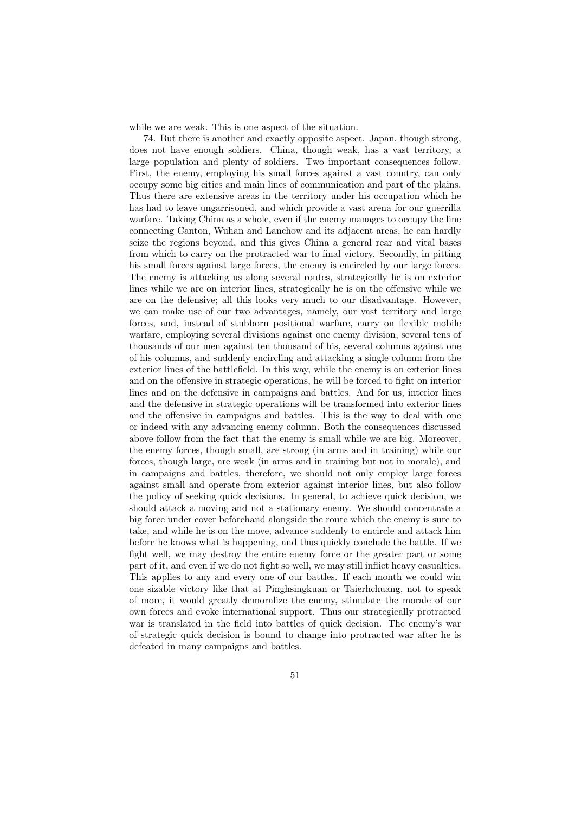while we are weak. This is one aspect of the situation.

74. But there is another and exactly opposite aspect. Japan, though strong, does not have enough soldiers. China, though weak, has a vast territory, a large population and plenty of soldiers. Two important consequences follow. First, the enemy, employing his small forces against a vast country, can only occupy some big cities and main lines of communication and part of the plains. Thus there are extensive areas in the territory under his occupation which he has had to leave ungarrisoned, and which provide a vast arena for our guerrilla warfare. Taking China as a whole, even if the enemy manages to occupy the line connecting Canton, Wuhan and Lanchow and its adjacent areas, he can hardly seize the regions beyond, and this gives China a general rear and vital bases from which to carry on the protracted war to final victory. Secondly, in pitting his small forces against large forces, the enemy is encircled by our large forces. The enemy is attacking us along several routes, strategically he is on exterior lines while we are on interior lines, strategically he is on the offensive while we are on the defensive; all this looks very much to our disadvantage. However, we can make use of our two advantages, namely, our vast territory and large forces, and, instead of stubborn positional warfare, carry on flexible mobile warfare, employing several divisions against one enemy division, several tens of thousands of our men against ten thousand of his, several columns against one of his columns, and suddenly encircling and attacking a single column from the exterior lines of the battlefield. In this way, while the enemy is on exterior lines and on the offensive in strategic operations, he will be forced to fight on interior lines and on the defensive in campaigns and battles. And for us, interior lines and the defensive in strategic operations will be transformed into exterior lines and the offensive in campaigns and battles. This is the way to deal with one or indeed with any advancing enemy column. Both the consequences discussed above follow from the fact that the enemy is small while we are big. Moreover, the enemy forces, though small, are strong (in arms and in training) while our forces, though large, are weak (in arms and in training but not in morale), and in campaigns and battles, therefore, we should not only employ large forces against small and operate from exterior against interior lines, but also follow the policy of seeking quick decisions. In general, to achieve quick decision, we should attack a moving and not a stationary enemy. We should concentrate a big force under cover beforehand alongside the route which the enemy is sure to take, and while he is on the move, advance suddenly to encircle and attack him before he knows what is happening, and thus quickly conclude the battle. If we fight well, we may destroy the entire enemy force or the greater part or some part of it, and even if we do not fight so well, we may still inflict heavy casualties. This applies to any and every one of our battles. If each month we could win one sizable victory like that at Pinghsingkuan or Taierhchuang, not to speak of more, it would greatly demoralize the enemy, stimulate the morale of our own forces and evoke international support. Thus our strategically protracted war is translated in the field into battles of quick decision. The enemy's war of strategic quick decision is bound to change into protracted war after he is defeated in many campaigns and battles.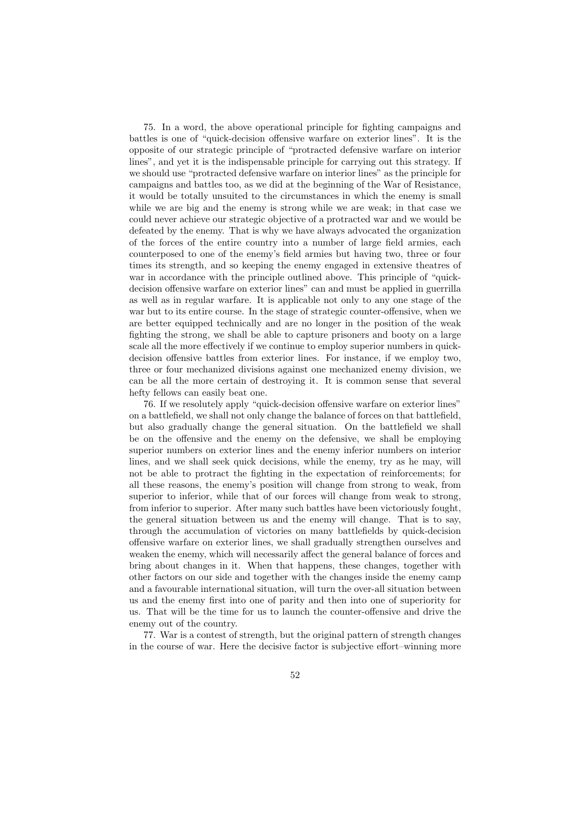75. In a word, the above operational principle for fighting campaigns and battles is one of "quick-decision offensive warfare on exterior lines". It is the opposite of our strategic principle of "protracted defensive warfare on interior lines", and yet it is the indispensable principle for carrying out this strategy. If we should use "protracted defensive warfare on interior lines" as the principle for campaigns and battles too, as we did at the beginning of the War of Resistance, it would be totally unsuited to the circumstances in which the enemy is small while we are big and the enemy is strong while we are weak; in that case we could never achieve our strategic objective of a protracted war and we would be defeated by the enemy. That is why we have always advocated the organization of the forces of the entire country into a number of large field armies, each counterposed to one of the enemy's field armies but having two, three or four times its strength, and so keeping the enemy engaged in extensive theatres of war in accordance with the principle outlined above. This principle of "quickdecision offensive warfare on exterior lines" can and must be applied in guerrilla as well as in regular warfare. It is applicable not only to any one stage of the war but to its entire course. In the stage of strategic counter-offensive, when we are better equipped technically and are no longer in the position of the weak fighting the strong, we shall be able to capture prisoners and booty on a large scale all the more effectively if we continue to employ superior numbers in quickdecision offensive battles from exterior lines. For instance, if we employ two, three or four mechanized divisions against one mechanized enemy division, we can be all the more certain of destroying it. It is common sense that several hefty fellows can easily beat one.

76. If we resolutely apply "quick-decision offensive warfare on exterior lines" on a battlefield, we shall not only change the balance of forces on that battlefield, but also gradually change the general situation. On the battlefield we shall be on the offensive and the enemy on the defensive, we shall be employing superior numbers on exterior lines and the enemy inferior numbers on interior lines, and we shall seek quick decisions, while the enemy, try as he may, will not be able to protract the fighting in the expectation of reinforcements; for all these reasons, the enemy's position will change from strong to weak, from superior to inferior, while that of our forces will change from weak to strong, from inferior to superior. After many such battles have been victoriously fought, the general situation between us and the enemy will change. That is to say, through the accumulation of victories on many battlefields by quick-decision offensive warfare on exterior lines, we shall gradually strengthen ourselves and weaken the enemy, which will necessarily affect the general balance of forces and bring about changes in it. When that happens, these changes, together with other factors on our side and together with the changes inside the enemy camp and a favourable international situation, will turn the over-all situation between us and the enemy first into one of parity and then into one of superiority for us. That will be the time for us to launch the counter-offensive and drive the enemy out of the country.

77. War is a contest of strength, but the original pattern of strength changes in the course of war. Here the decisive factor is subjective effort–winning more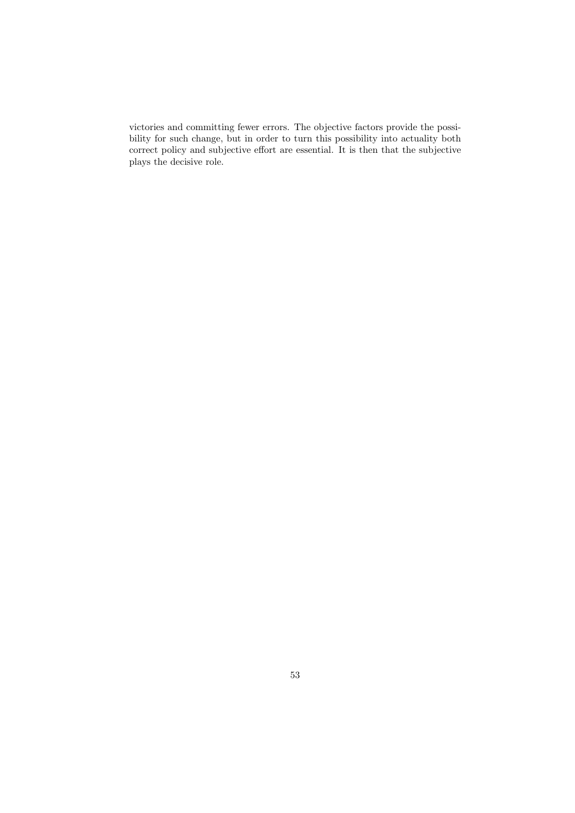victories and committing fewer errors. The objective factors provide the possibility for such change, but in order to turn this possibility into actuality both correct policy and subjective effort are essential. It is then that the subjective plays the decisive role.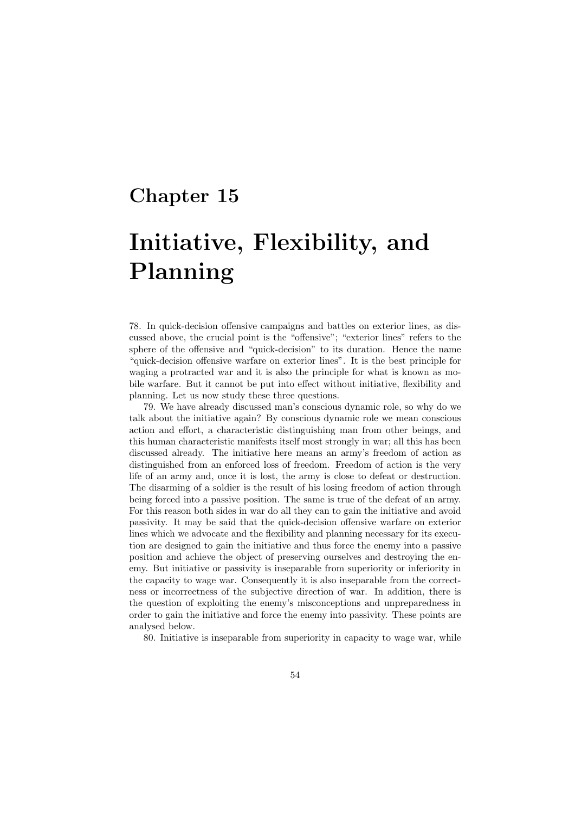# Initiative, Flexibility, and Planning

78. In quick-decision offensive campaigns and battles on exterior lines, as discussed above, the crucial point is the "offensive"; "exterior lines" refers to the sphere of the offensive and "quick-decision" to its duration. Hence the name "quick-decision offensive warfare on exterior lines". It is the best principle for waging a protracted war and it is also the principle for what is known as mobile warfare. But it cannot be put into effect without initiative, flexibility and planning. Let us now study these three questions.

79. We have already discussed man's conscious dynamic role, so why do we talk about the initiative again? By conscious dynamic role we mean conscious action and effort, a characteristic distinguishing man from other beings, and this human characteristic manifests itself most strongly in war; all this has been discussed already. The initiative here means an army's freedom of action as distinguished from an enforced loss of freedom. Freedom of action is the very life of an army and, once it is lost, the army is close to defeat or destruction. The disarming of a soldier is the result of his losing freedom of action through being forced into a passive position. The same is true of the defeat of an army. For this reason both sides in war do all they can to gain the initiative and avoid passivity. It may be said that the quick-decision offensive warfare on exterior lines which we advocate and the flexibility and planning necessary for its execution are designed to gain the initiative and thus force the enemy into a passive position and achieve the object of preserving ourselves and destroying the enemy. But initiative or passivity is inseparable from superiority or inferiority in the capacity to wage war. Consequently it is also inseparable from the correctness or incorrectness of the subjective direction of war. In addition, there is the question of exploiting the enemy's misconceptions and unpreparedness in order to gain the initiative and force the enemy into passivity. These points are analysed below.

80. Initiative is inseparable from superiority in capacity to wage war, while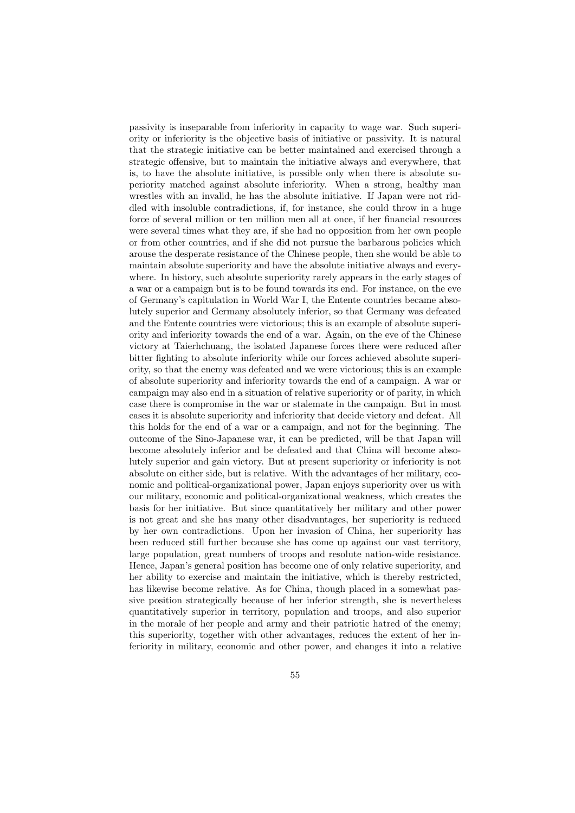passivity is inseparable from inferiority in capacity to wage war. Such superiority or inferiority is the objective basis of initiative or passivity. It is natural that the strategic initiative can be better maintained and exercised through a strategic offensive, but to maintain the initiative always and everywhere, that is, to have the absolute initiative, is possible only when there is absolute superiority matched against absolute inferiority. When a strong, healthy man wrestles with an invalid, he has the absolute initiative. If Japan were not riddled with insoluble contradictions, if, for instance, she could throw in a huge force of several million or ten million men all at once, if her financial resources were several times what they are, if she had no opposition from her own people or from other countries, and if she did not pursue the barbarous policies which arouse the desperate resistance of the Chinese people, then she would be able to maintain absolute superiority and have the absolute initiative always and everywhere. In history, such absolute superiority rarely appears in the early stages of a war or a campaign but is to be found towards its end. For instance, on the eve of Germany's capitulation in World War I, the Entente countries became absolutely superior and Germany absolutely inferior, so that Germany was defeated and the Entente countries were victorious; this is an example of absolute superiority and inferiority towards the end of a war. Again, on the eve of the Chinese victory at Taierhchuang, the isolated Japanese forces there were reduced after bitter fighting to absolute inferiority while our forces achieved absolute superiority, so that the enemy was defeated and we were victorious; this is an example of absolute superiority and inferiority towards the end of a campaign. A war or campaign may also end in a situation of relative superiority or of parity, in which case there is compromise in the war or stalemate in the campaign. But in most cases it is absolute superiority and inferiority that decide victory and defeat. All this holds for the end of a war or a campaign, and not for the beginning. The outcome of the Sino-Japanese war, it can be predicted, will be that Japan will become absolutely inferior and be defeated and that China will become absolutely superior and gain victory. But at present superiority or inferiority is not absolute on either side, but is relative. With the advantages of her military, economic and political-organizational power, Japan enjoys superiority over us with our military, economic and political-organizational weakness, which creates the basis for her initiative. But since quantitatively her military and other power is not great and she has many other disadvantages, her superiority is reduced by her own contradictions. Upon her invasion of China, her superiority has been reduced still further because she has come up against our vast territory, large population, great numbers of troops and resolute nation-wide resistance. Hence, Japan's general position has become one of only relative superiority, and her ability to exercise and maintain the initiative, which is thereby restricted, has likewise become relative. As for China, though placed in a somewhat passive position strategically because of her inferior strength, she is nevertheless quantitatively superior in territory, population and troops, and also superior in the morale of her people and army and their patriotic hatred of the enemy; this superiority, together with other advantages, reduces the extent of her inferiority in military, economic and other power, and changes it into a relative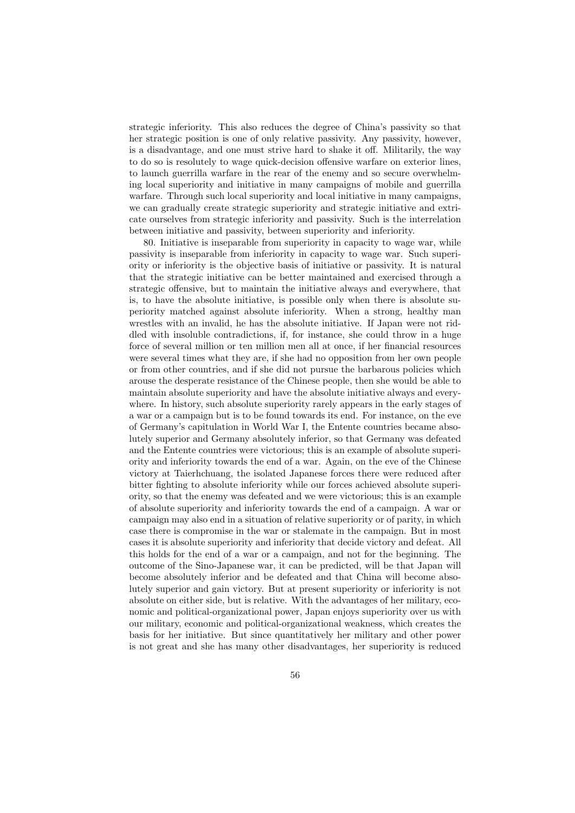strategic inferiority. This also reduces the degree of China's passivity so that her strategic position is one of only relative passivity. Any passivity, however, is a disadvantage, and one must strive hard to shake it off. Militarily, the way to do so is resolutely to wage quick-decision offensive warfare on exterior lines, to launch guerrilla warfare in the rear of the enemy and so secure overwhelming local superiority and initiative in many campaigns of mobile and guerrilla warfare. Through such local superiority and local initiative in many campaigns, we can gradually create strategic superiority and strategic initiative and extricate ourselves from strategic inferiority and passivity. Such is the interrelation between initiative and passivity, between superiority and inferiority.

80. Initiative is inseparable from superiority in capacity to wage war, while passivity is inseparable from inferiority in capacity to wage war. Such superiority or inferiority is the objective basis of initiative or passivity. It is natural that the strategic initiative can be better maintained and exercised through a strategic offensive, but to maintain the initiative always and everywhere, that is, to have the absolute initiative, is possible only when there is absolute superiority matched against absolute inferiority. When a strong, healthy man wrestles with an invalid, he has the absolute initiative. If Japan were not riddled with insoluble contradictions, if, for instance, she could throw in a huge force of several million or ten million men all at once, if her financial resources were several times what they are, if she had no opposition from her own people or from other countries, and if she did not pursue the barbarous policies which arouse the desperate resistance of the Chinese people, then she would be able to maintain absolute superiority and have the absolute initiative always and everywhere. In history, such absolute superiority rarely appears in the early stages of a war or a campaign but is to be found towards its end. For instance, on the eve of Germany's capitulation in World War I, the Entente countries became absolutely superior and Germany absolutely inferior, so that Germany was defeated and the Entente countries were victorious; this is an example of absolute superiority and inferiority towards the end of a war. Again, on the eve of the Chinese victory at Taierhchuang, the isolated Japanese forces there were reduced after bitter fighting to absolute inferiority while our forces achieved absolute superiority, so that the enemy was defeated and we were victorious; this is an example of absolute superiority and inferiority towards the end of a campaign. A war or campaign may also end in a situation of relative superiority or of parity, in which case there is compromise in the war or stalemate in the campaign. But in most cases it is absolute superiority and inferiority that decide victory and defeat. All this holds for the end of a war or a campaign, and not for the beginning. The outcome of the Sino-Japanese war, it can be predicted, will be that Japan will become absolutely inferior and be defeated and that China will become absolutely superior and gain victory. But at present superiority or inferiority is not absolute on either side, but is relative. With the advantages of her military, economic and political-organizational power, Japan enjoys superiority over us with our military, economic and political-organizational weakness, which creates the basis for her initiative. But since quantitatively her military and other power is not great and she has many other disadvantages, her superiority is reduced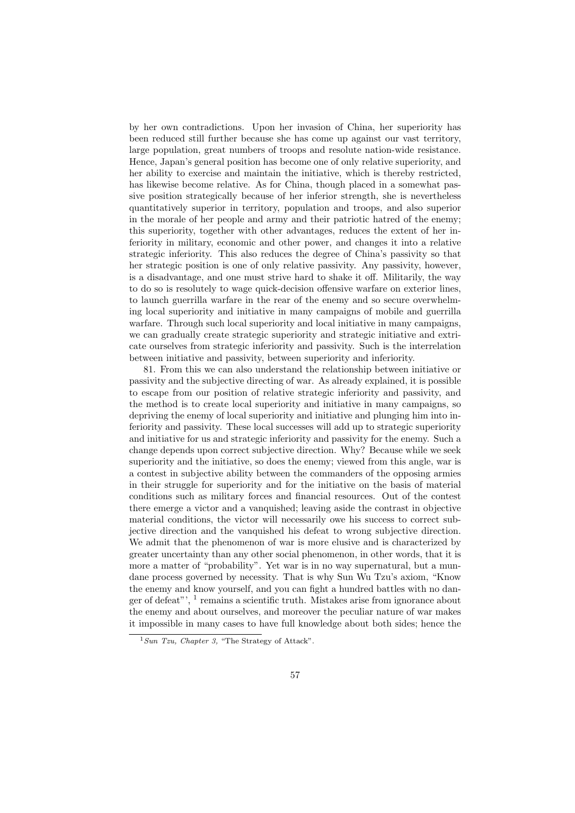by her own contradictions. Upon her invasion of China, her superiority has been reduced still further because she has come up against our vast territory, large population, great numbers of troops and resolute nation-wide resistance. Hence, Japan's general position has become one of only relative superiority, and her ability to exercise and maintain the initiative, which is thereby restricted, has likewise become relative. As for China, though placed in a somewhat passive position strategically because of her inferior strength, she is nevertheless quantitatively superior in territory, population and troops, and also superior in the morale of her people and army and their patriotic hatred of the enemy; this superiority, together with other advantages, reduces the extent of her inferiority in military, economic and other power, and changes it into a relative strategic inferiority. This also reduces the degree of China's passivity so that her strategic position is one of only relative passivity. Any passivity, however, is a disadvantage, and one must strive hard to shake it off. Militarily, the way to do so is resolutely to wage quick-decision offensive warfare on exterior lines, to launch guerrilla warfare in the rear of the enemy and so secure overwhelming local superiority and initiative in many campaigns of mobile and guerrilla warfare. Through such local superiority and local initiative in many campaigns, we can gradually create strategic superiority and strategic initiative and extricate ourselves from strategic inferiority and passivity. Such is the interrelation between initiative and passivity, between superiority and inferiority.

81. From this we can also understand the relationship between initiative or passivity and the subjective directing of war. As already explained, it is possible to escape from our position of relative strategic inferiority and passivity, and the method is to create local superiority and initiative in many campaigns, so depriving the enemy of local superiority and initiative and plunging him into inferiority and passivity. These local successes will add up to strategic superiority and initiative for us and strategic inferiority and passivity for the enemy. Such a change depends upon correct subjective direction. Why? Because while we seek superiority and the initiative, so does the enemy; viewed from this angle, war is a contest in subjective ability between the commanders of the opposing armies in their struggle for superiority and for the initiative on the basis of material conditions such as military forces and financial resources. Out of the contest there emerge a victor and a vanquished; leaving aside the contrast in objective material conditions, the victor will necessarily owe his success to correct subjective direction and the vanquished his defeat to wrong subjective direction. We admit that the phenomenon of war is more elusive and is characterized by greater uncertainty than any other social phenomenon, in other words, that it is more a matter of "probability". Yet war is in no way supernatural, but a mundane process governed by necessity. That is why Sun Wu Tzu's axiom, "Know the enemy and know yourself, and you can fight a hundred battles with no danger of defeat"', <sup>1</sup> remains a scientific truth. Mistakes arise from ignorance about the enemy and about ourselves, and moreover the peculiar nature of war makes it impossible in many cases to have full knowledge about both sides; hence the

 $1$  Sun Tzu, Chapter 3, "The Strategy of Attack".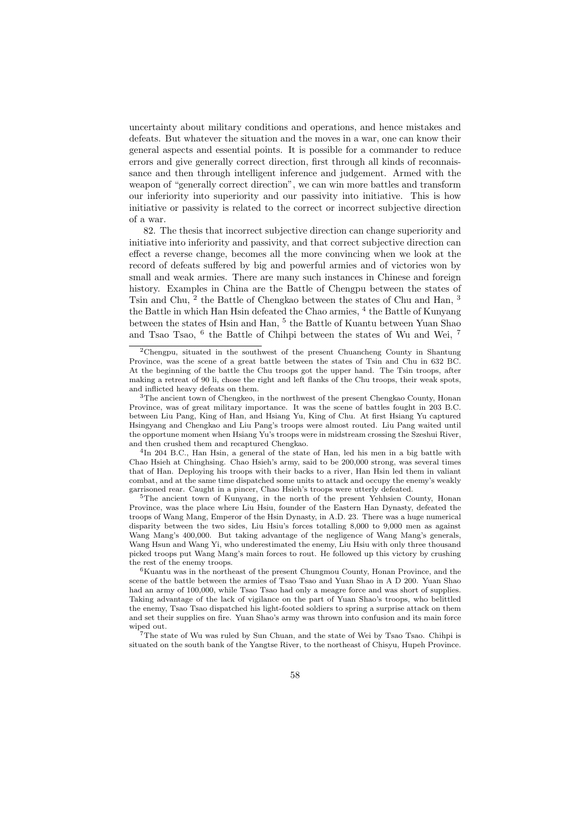uncertainty about military conditions and operations, and hence mistakes and defeats. But whatever the situation and the moves in a war, one can know their general aspects and essential points. It is possible for a commander to reduce errors and give generally correct direction, first through all kinds of reconnaissance and then through intelligent inference and judgement. Armed with the weapon of "generally correct direction", we can win more battles and transform our inferiority into superiority and our passivity into initiative. This is how initiative or passivity is related to the correct or incorrect subjective direction of a war.

82. The thesis that incorrect subjective direction can change superiority and initiative into inferiority and passivity, and that correct subjective direction can effect a reverse change, becomes all the more convincing when we look at the record of defeats suffered by big and powerful armies and of victories won by small and weak armies. There are many such instances in Chinese and foreign history. Examples in China are the Battle of Chengpu between the states of Tsin and Chu, <sup>2</sup> the Battle of Chengkao between the states of Chu and Han, <sup>3</sup> the Battle in which Han Hsin defeated the Chao armies, <sup>4</sup> the Battle of Kunyang between the states of Hsin and Han, <sup>5</sup> the Battle of Kuantu between Yuan Shao and Tsao Tsao, <sup>6</sup> the Battle of Chihpi between the states of Wu and Wei, <sup>7</sup>

<sup>2</sup>Chengpu, situated in the southwest of the present Chuancheng County in Shantung Province, was the scene of a great battle between the states of Tsin and Chu in 632 BC. At the beginning of the battle the Chu troops got the upper hand. The Tsin troops, after making a retreat of 90 li, chose the right and left flanks of the Chu troops, their weak spots, and inflicted heavy defeats on them.

<sup>&</sup>lt;sup>3</sup>The ancient town of Chengkeo, in the northwest of the present Chengkao County, Honan Province, was of great military importance. It was the scene of battles fought in 203 B.C. between Liu Pang, King of Han, and Hsiang Yu, King of Chu. At first Hsiang Yu captured Hsingyang and Chengkao and Liu Pang's troops were almost routed. Liu Pang waited until the opportune moment when Hsiang Yu's troops were in midstream crossing the Szeshui River, and then crushed them and recaptured Chengkao.

<sup>4</sup> In 204 B.C., Han Hsin, a general of the state of Han, led his men in a big battle with Chao Hsieh at Chinghsing. Chao Hsieh's army, said to be 200,000 strong, was several times that of Han. Deploying his troops with their backs to a river, Han Hsin led them in valiant combat, and at the same time dispatched some units to attack and occupy the enemy's weakly garrisoned rear. Caught in a pincer, Chao Hsieh's troops were utterly defeated.

<sup>&</sup>lt;sup>5</sup>The ancient town of Kunyang, in the north of the present Yehhsien County, Honan Province, was the place where Liu Hsiu, founder of the Eastern Han Dynasty, defeated the troops of Wang Mang, Emperor of the Hsin Dynasty, in A.D. 23. There was a huge numerical disparity between the two sides, Liu Hsiu's forces totalling 8,000 to 9,000 men as against Wang Mang's 400,000. But taking advantage of the negligence of Wang Mang's generals, Wang Hsun and Wang Yi, who underestimated the enemy, Liu Hsiu with only three thousand picked troops put Wang Mang's main forces to rout. He followed up this victory by crushing the rest of the enemy troops.

 $6$ Kuantu was in the northeast of the present Chungmou County, Honan Province, and the scene of the battle between the armies of Tsao Tsao and Yuan Shao in A D 200. Yuan Shao had an army of 100,000, while Tsao Tsao had only a meagre force and was short of supplies. Taking advantage of the lack of vigilance on the part of Yuan Shao's troops, who belittled the enemy, Tsao Tsao dispatched his light-footed soldiers to spring a surprise attack on them and set their supplies on fire. Yuan Shao's army was thrown into confusion and its main force wiped out.

<sup>7</sup>The state of Wu was ruled by Sun Chuan, and the state of Wei by Tsao Tsao. Chihpi is situated on the south bank of the Yangtse River, to the northeast of Chisyu, Hupeh Province.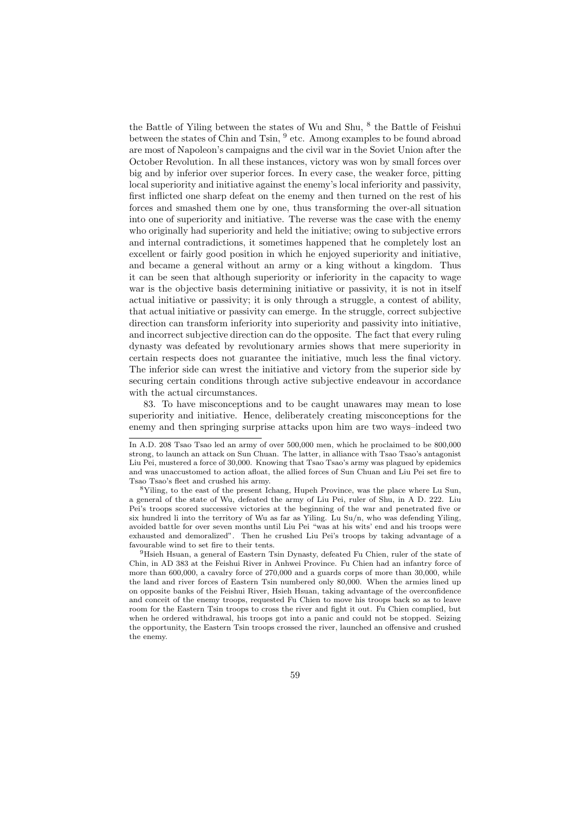the Battle of Yiling between the states of Wu and Shu,  $^8$  the Battle of Feishui between the states of Chin and Tsin, <sup>9</sup> etc. Among examples to be found abroad are most of Napoleon's campaigns and the civil war in the Soviet Union after the October Revolution. In all these instances, victory was won by small forces over big and by inferior over superior forces. In every case, the weaker force, pitting local superiority and initiative against the enemy's local inferiority and passivity, first inflicted one sharp defeat on the enemy and then turned on the rest of his forces and smashed them one by one, thus transforming the over-all situation into one of superiority and initiative. The reverse was the case with the enemy who originally had superiority and held the initiative; owing to subjective errors and internal contradictions, it sometimes happened that he completely lost an excellent or fairly good position in which he enjoyed superiority and initiative, and became a general without an army or a king without a kingdom. Thus it can be seen that although superiority or inferiority in the capacity to wage war is the objective basis determining initiative or passivity, it is not in itself actual initiative or passivity; it is only through a struggle, a contest of ability, that actual initiative or passivity can emerge. In the struggle, correct subjective direction can transform inferiority into superiority and passivity into initiative, and incorrect subjective direction can do the opposite. The fact that every ruling dynasty was defeated by revolutionary armies shows that mere superiority in certain respects does not guarantee the initiative, much less the final victory. The inferior side can wrest the initiative and victory from the superior side by securing certain conditions through active subjective endeavour in accordance with the actual circumstances.

83. To have misconceptions and to be caught unawares may mean to lose superiority and initiative. Hence, deliberately creating misconceptions for the enemy and then springing surprise attacks upon him are two ways–indeed two

In A.D. 208 Tsao Tsao led an army of over 500,000 men, which he proclaimed to be 800,000 strong, to launch an attack on Sun Chuan. The latter, in alliance with Tsao Tsao's antagonist Liu Pei, mustered a force of 30,000. Knowing that Tsao Tsao's army was plagued by epidemics and was unaccustomed to action afloat, the allied forces of Sun Chuan and Liu Pei set fire to Tsao Tsao's fleet and crushed his army.

<sup>8</sup>Yiling, to the east of the present Ichang, Hupeh Province, was the place where Lu Sun, a general of the state of Wu, defeated the army of Liu Pei, ruler of Shu, in A D. 222. Liu Pei's troops scored successive victories at the beginning of the war and penetrated five or six hundred li into the territory of Wu as far as Yiling. Lu Su/n, who was defending Yiling, avoided battle for over seven months until Liu Pei "was at his wits' end and his troops were exhausted and demoralized". Then he crushed Liu Pei's troops by taking advantage of a favourable wind to set fire to their tents.

<sup>9</sup>Hsieh Hsuan, a general of Eastern Tsin Dynasty, defeated Fu Chien, ruler of the state of Chin, in AD 383 at the Feishui River in Anhwei Province. Fu Chien had an infantry force of more than 600,000, a cavalry force of 270,000 and a guards corps of more than 30,000, while the land and river forces of Eastern Tsin numbered only 80,000. When the armies lined up on opposite banks of the Feishui River, Hsieh Hsuan, taking advantage of the overconfidence and conceit of the enemy troops, requested Fu Chien to move his troops back so as to leave room for the Eastern Tsin troops to cross the river and fight it out. Fu Chien complied, but when he ordered withdrawal, his troops got into a panic and could not be stopped. Seizing the opportunity, the Eastern Tsin troops crossed the river, launched an offensive and crushed the enemy.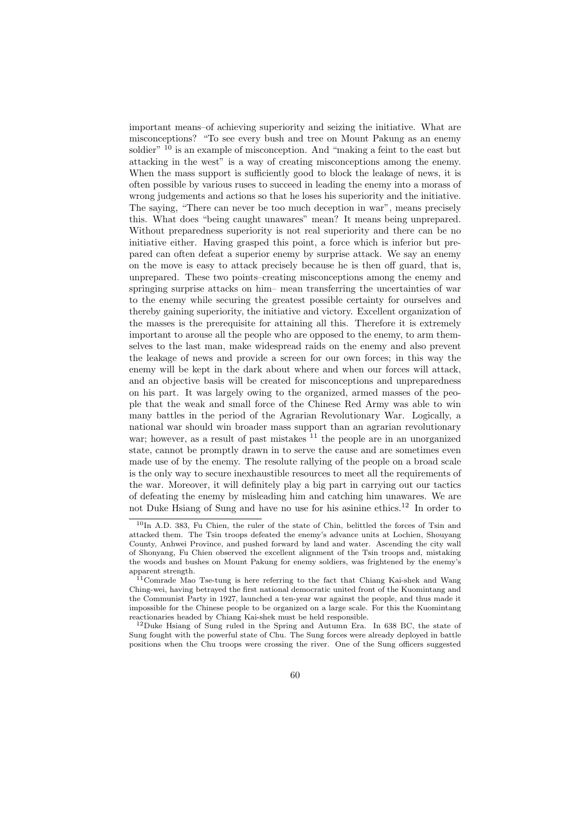important means–of achieving superiority and seizing the initiative. What are misconceptions? "To see every bush and tree on Mount Pakung as an enemy soldier" <sup>10</sup> is an example of misconception. And "making a feint to the east but attacking in the west" is a way of creating misconceptions among the enemy. When the mass support is sufficiently good to block the leakage of news, it is often possible by various ruses to succeed in leading the enemy into a morass of wrong judgements and actions so that he loses his superiority and the initiative. The saying, "There can never be too much deception in war", means precisely this. What does "being caught unawares" mean? It means being unprepared. Without preparedness superiority is not real superiority and there can be no initiative either. Having grasped this point, a force which is inferior but prepared can often defeat a superior enemy by surprise attack. We say an enemy on the move is easy to attack precisely because he is then off guard, that is, unprepared. These two points–creating misconceptions among the enemy and springing surprise attacks on him– mean transferring the uncertainties of war to the enemy while securing the greatest possible certainty for ourselves and thereby gaining superiority, the initiative and victory. Excellent organization of the masses is the prerequisite for attaining all this. Therefore it is extremely important to arouse all the people who are opposed to the enemy, to arm themselves to the last man, make widespread raids on the enemy and also prevent the leakage of news and provide a screen for our own forces; in this way the enemy will be kept in the dark about where and when our forces will attack, and an objective basis will be created for misconceptions and unpreparedness on his part. It was largely owing to the organized, armed masses of the people that the weak and small force of the Chinese Red Army was able to win many battles in the period of the Agrarian Revolutionary War. Logically, a national war should win broader mass support than an agrarian revolutionary war; however, as a result of past mistakes  $11$  the people are in an unorganized state, cannot be promptly drawn in to serve the cause and are sometimes even made use of by the enemy. The resolute rallying of the people on a broad scale is the only way to secure inexhaustible resources to meet all the requirements of the war. Moreover, it will definitely play a big part in carrying out our tactics of defeating the enemy by misleading him and catching him unawares. We are not Duke Hsiang of Sung and have no use for his asinine ethics.<sup>12</sup> In order to

<sup>10</sup>In A.D. 383, Fu Chien, the ruler of the state of Chin, belittled the forces of Tsin and attacked them. The Tsin troops defeated the enemy's advance units at Lochien, Shouyang County, Anhwei Province, and pushed forward by land and water. Ascending the city wall of Shonyang, Fu Chien observed the excellent alignment of the Tsin troops and, mistaking the woods and bushes on Mount Pakung for enemy soldiers, was frightened by the enemy's apparent strength.

<sup>11</sup>Comrade Mao Tse-tung is here referring to the fact that Chiang Kai-shek and Wang Ching-wei, having betrayed the first national democratic united front of the Kuomintang and the Communist Party in 1927, launched a ten-year war against the people, and thus made it impossible for the Chinese people to be organized on a large scale. For this the Kuomintang reactionaries headed by Chiang Kai-shek must be held responsible.

<sup>12</sup>Duke Hsiang of Sung ruled in the Spring and Autumn Era. In 638 BC, the state of Sung fought with the powerful state of Chu. The Sung forces were already deployed in battle positions when the Chu troops were crossing the river. One of the Sung officers suggested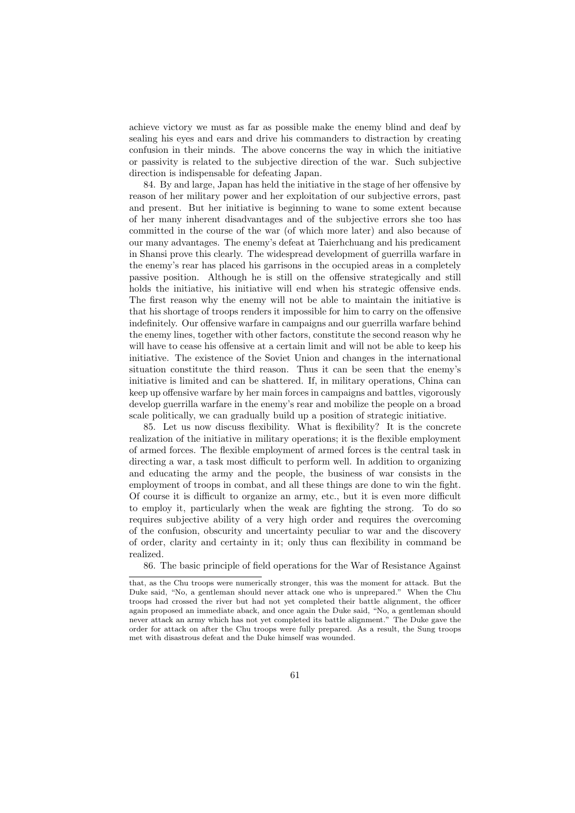achieve victory we must as far as possible make the enemy blind and deaf by sealing his eyes and ears and drive his commanders to distraction by creating confusion in their minds. The above concerns the way in which the initiative or passivity is related to the subjective direction of the war. Such subjective direction is indispensable for defeating Japan.

84. By and large, Japan has held the initiative in the stage of her offensive by reason of her military power and her exploitation of our subjective errors, past and present. But her initiative is beginning to wane to some extent because of her many inherent disadvantages and of the subjective errors she too has committed in the course of the war (of which more later) and also because of our many advantages. The enemy's defeat at Taierhchuang and his predicament in Shansi prove this clearly. The widespread development of guerrilla warfare in the enemy's rear has placed his garrisons in the occupied areas in a completely passive position. Although he is still on the offensive strategically and still holds the initiative, his initiative will end when his strategic offensive ends. The first reason why the enemy will not be able to maintain the initiative is that his shortage of troops renders it impossible for him to carry on the offensive indefinitely. Our offensive warfare in campaigns and our guerrilla warfare behind the enemy lines, together with other factors, constitute the second reason why he will have to cease his offensive at a certain limit and will not be able to keep his initiative. The existence of the Soviet Union and changes in the international situation constitute the third reason. Thus it can be seen that the enemy's initiative is limited and can be shattered. If, in military operations, China can keep up offensive warfare by her main forces in campaigns and battles, vigorously develop guerrilla warfare in the enemy's rear and mobilize the people on a broad scale politically, we can gradually build up a position of strategic initiative.

85. Let us now discuss flexibility. What is flexibility? It is the concrete realization of the initiative in military operations; it is the flexible employment of armed forces. The flexible employment of armed forces is the central task in directing a war, a task most difficult to perform well. In addition to organizing and educating the army and the people, the business of war consists in the employment of troops in combat, and all these things are done to win the fight. Of course it is difficult to organize an army, etc., but it is even more difficult to employ it, particularly when the weak are fighting the strong. To do so requires subjective ability of a very high order and requires the overcoming of the confusion, obscurity and uncertainty peculiar to war and the discovery of order, clarity and certainty in it; only thus can flexibility in command be realized.

86. The basic principle of field operations for the War of Resistance Against

that, as the Chu troops were numerically stronger, this was the moment for attack. But the Duke said, "No, a gentleman should never attack one who is unprepared." When the Chu troops had crossed the river but had not yet completed their battle alignment, the officer again proposed an immediate aback, and once again the Duke said, "No, a gentleman should never attack an army which has not yet completed its battle alignment." The Duke gave the order for attack on after the Chu troops were fully prepared. As a result, the Sung troops met with disastrous defeat and the Duke himself was wounded.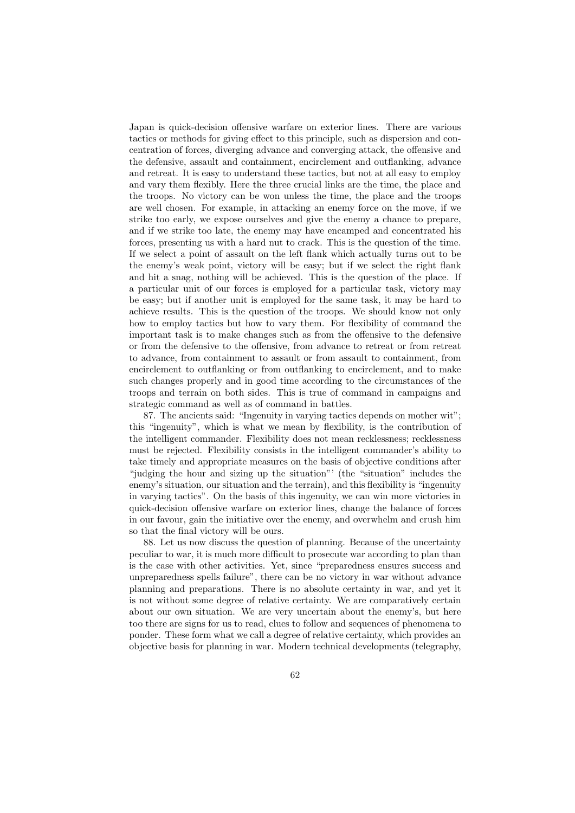Japan is quick-decision offensive warfare on exterior lines. There are various tactics or methods for giving effect to this principle, such as dispersion and concentration of forces, diverging advance and converging attack, the offensive and the defensive, assault and containment, encirclement and outflanking, advance and retreat. It is easy to understand these tactics, but not at all easy to employ and vary them flexibly. Here the three crucial links are the time, the place and the troops. No victory can be won unless the time, the place and the troops are well chosen. For example, in attacking an enemy force on the move, if we strike too early, we expose ourselves and give the enemy a chance to prepare, and if we strike too late, the enemy may have encamped and concentrated his forces, presenting us with a hard nut to crack. This is the question of the time. If we select a point of assault on the left flank which actually turns out to be the enemy's weak point, victory will be easy; but if we select the right flank and hit a snag, nothing will be achieved. This is the question of the place. If a particular unit of our forces is employed for a particular task, victory may be easy; but if another unit is employed for the same task, it may be hard to achieve results. This is the question of the troops. We should know not only how to employ tactics but how to vary them. For flexibility of command the important task is to make changes such as from the offensive to the defensive or from the defensive to the offensive, from advance to retreat or from retreat to advance, from containment to assault or from assault to containment, from encirclement to outflanking or from outflanking to encirclement, and to make such changes properly and in good time according to the circumstances of the troops and terrain on both sides. This is true of command in campaigns and strategic command as well as of command in battles.

87. The ancients said: "Ingenuity in varying tactics depends on mother wit"; this "ingenuity", which is what we mean by flexibility, is the contribution of the intelligent commander. Flexibility does not mean recklessness; recklessness must be rejected. Flexibility consists in the intelligent commander's ability to take timely and appropriate measures on the basis of objective conditions after "judging the hour and sizing up the situation"' (the "situation" includes the enemy's situation, our situation and the terrain), and this flexibility is "ingenuity in varying tactics". On the basis of this ingenuity, we can win more victories in quick-decision offensive warfare on exterior lines, change the balance of forces in our favour, gain the initiative over the enemy, and overwhelm and crush him so that the final victory will be ours.

88. Let us now discuss the question of planning. Because of the uncertainty peculiar to war, it is much more difficult to prosecute war according to plan than is the case with other activities. Yet, since "preparedness ensures success and unpreparedness spells failure", there can be no victory in war without advance planning and preparations. There is no absolute certainty in war, and yet it is not without some degree of relative certainty. We are comparatively certain about our own situation. We are very uncertain about the enemy's, but here too there are signs for us to read, clues to follow and sequences of phenomena to ponder. These form what we call a degree of relative certainty, which provides an objective basis for planning in war. Modern technical developments (telegraphy,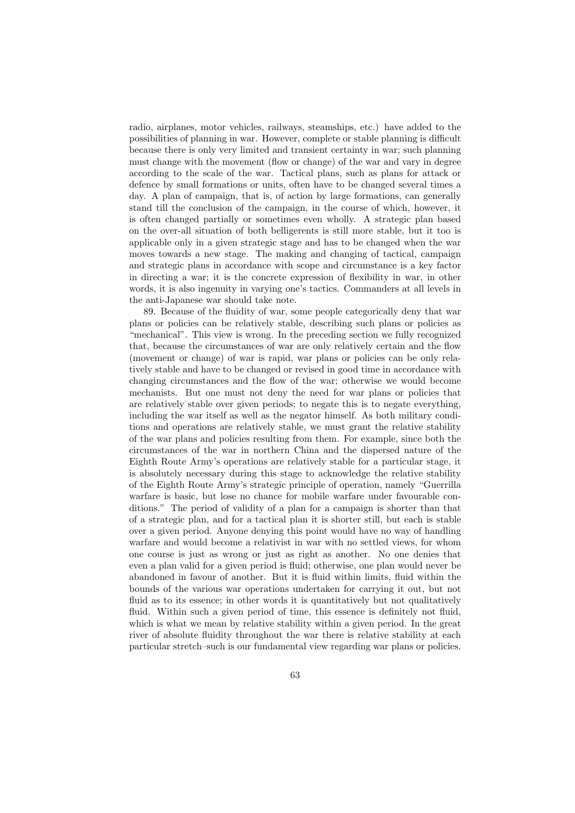radio, airplanes, motor vehicles, railways, steamships, etc.) have added to the possibilities of planning in war. However, complete or stable planning is difficult because there is only very limited and transient certainty in war; such planning must change with the movement (flow or change) of the war and vary in degree according to the scale of the war. Tactical plans, such as plans for attack or defence by small formations or units, often have to be changed several times a day. A plan of campaign, that is, of action by large formations, can generally stand till the conclusion of the campaign, in the course of which, however, it is often changed partially or sometimes even wholly. A strategic plan based on the over-all situation of both belligerents is still more stable, but it too is applicable only in a given strategic stage and has to be changed when the war moves towards a new stage. The making and changing of tactical, campaign and strategic plans in accordance with scope and circumstance is a key factor in directing a war; it is the concrete expression of flexibility in war, in other words, it is also ingenuity in varying one's tactics. Commanders at all levels in the anti-Japanese war should take note.

89. Because of the fluidity of war, some people categorically deny that war plans or policies can be relatively stable, describing such plans or policies as "mechanical". This view is wrong. In the preceding section we fully recognized that, because the circumstances of war are only relatively certain and the flow (movement or change) of war is rapid, war plans or policies can be only relatively stable and have to be changed or revised in good time in accordance with changing circumstances and the flow of the war; otherwise we would become mechanists. But one must not deny the need for war plans or policies that are relatively stable over given periods; to negate this is to negate everything, including the war itself as well as the negator himself. As both military conditions and operations are relatively stable, we must grant the relative stability of the war plans and policies resulting from them. For example, since both the circumstances of the war in northern China and the dispersed nature of the Eighth Route Army's operations are relatively stable for a particular stage, it is absolutely necessary during this stage to acknowledge the relative stability of the Eighth Route Army's strategic principle of operation, namely "Guerrilla warfare is basic, but lose no chance for mobile warfare under favourable conditions." The period of validity of a plan for a campaign is shorter than that of a strategic plan, and for a tactical plan it is shorter still, but each is stable over a given period. Anyone denying this point would have no way of handling warfare and would become a relativist in war with no settled views, for whom one course is just as wrong or just as right as another. No one denies that even a plan valid for a given period is fluid; otherwise, one plan would never be abandoned in favour of another. But it is fluid within limits, fluid within the bounds of the various war operations undertaken for carrying it out, but not fluid as to its essence; in other words it is quantitatively but not qualitatively fluid. Within such a given period of time, this essence is definitely not fluid. which is what we mean by relative stability within a given period. In the great river of absolute fluidity throughout the war there is relative stability at each particular stretch–such is our fundamental view regarding war plans or policies.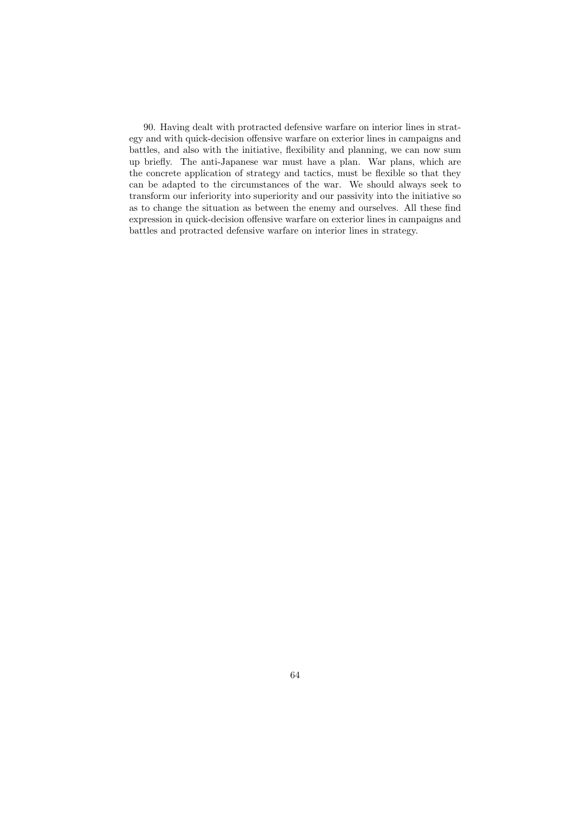90. Having dealt with protracted defensive warfare on interior lines in strategy and with quick-decision offensive warfare on exterior lines in campaigns and battles, and also with the initiative, flexibility and planning, we can now sum up briefly. The anti-Japanese war must have a plan. War plans, which are the concrete application of strategy and tactics, must be flexible so that they can be adapted to the circumstances of the war. We should always seek to transform our inferiority into superiority and our passivity into the initiative so as to change the situation as between the enemy and ourselves. All these find expression in quick-decision offensive warfare on exterior lines in campaigns and battles and protracted defensive warfare on interior lines in strategy.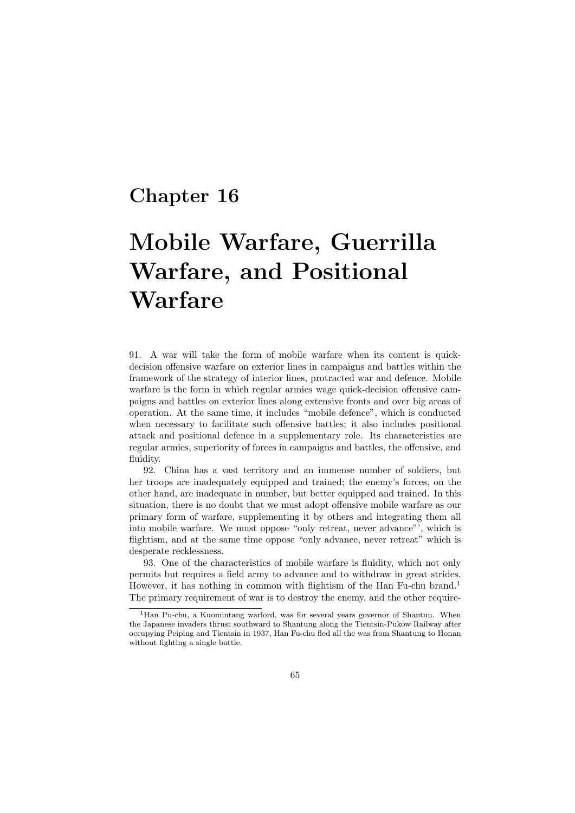# Mobile Warfare, Guerrilla Warfare, and Positional Warfare

91. A war will take the form of mobile warfare when its content is quickdecision offensive warfare on exterior lines in campaigns and battles within the framework of the strategy of interior lines, protracted war and defence. Mobile warfare is the form in which regular armies wage quick-decision offensive campaigns and battles on exterior lines along extensive fronts and over big areas of operation. At the same time, it includes "mobile defence", which is conducted when necessary to facilitate such offensive battles; it also includes positional attack and positional defence in a supplementary role. Its characteristics are regular armies, superiority of forces in campaigns and battles, the offensive, and fluidity.

92. China has a vast territory and an immense number of soldiers, but her troops are inadequately equipped and trained; the enemy's forces, on the other hand, are inadequate in number, but better equipped and trained. In this situation, there is no doubt that we must adopt offensive mobile warfare as our primary form of warfare, supplementing it by others and integrating them all into mobile warfare. We must oppose "only retreat, never advance"', which is flightism, and at the same time oppose "only advance, never retreat" which is desperate recklessness.

93. One of the characteristics of mobile warfare is fluidity, which not only permits but requires a field army to advance and to withdraw in great strides. However, it has nothing in common with flightism of the Han Fu-chu brand.<sup>1</sup> The primary requirement of war is to destroy the enemy, and the other require-

<sup>&</sup>lt;sup>1</sup>Han Pu-chu, a Kuomintang warlord, was for several years governor of Shantun. When the Japanese invaders thrust southward to Shantung along the Tientsin-Pukow Railway after occupying Peiping and Tientsin in 1937, Han Fu-chu fled all the was from Shantung to Honan without fighting a single battle.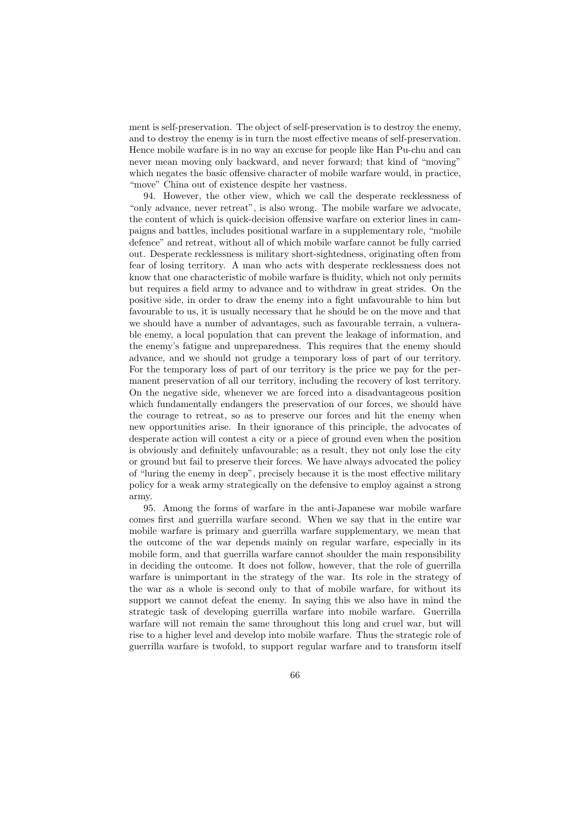ment is self-preservation. The object of self-preservation is to destroy the enemy, and to destroy the enemy is in turn the most effective means of self-preservation. Hence mobile warfare is in no way an excuse for people like Han Pu-chu and can never mean moving only backward, and never forward; that kind of "moving" which negates the basic offensive character of mobile warfare would, in practice, "move" China out of existence despite her vastness.

94. However, the other view, which we call the desperate recklessness of "only advance, never retreat", is also wrong. The mobile warfare we advocate, the content of which is quick-decision offensive warfare on exterior lines in campaigns and battles, includes positional warfare in a supplementary role, "mobile defence" and retreat, without all of which mobile warfare cannot be fully carried out. Desperate recklessness is military short-sightedness, originating often from fear of losing territory. A man who acts with desperate recklessness does not know that one characteristic of mobile warfare is fluidity, which not only permits but requires a field army to advance and to withdraw in great strides. On the positive side, in order to draw the enemy into a fight unfavourable to him but favourable to us, it is usually necessary that he should be on the move and that we should have a number of advantages, such as favourable terrain, a vulnerable enemy, a local population that can prevent the leakage of information, and the enemy's fatigue and unpreparedness. This requires that the enemy should advance, and we should not grudge a temporary loss of part of our territory. For the temporary loss of part of our territory is the price we pay for the permanent preservation of all our territory, including the recovery of lost territory. On the negative side, whenever we are forced into a disadvantageous position which fundamentally endangers the preservation of our forces, we should have the courage to retreat, so as to preserve our forces and hit the enemy when new opportunities arise. In their ignorance of this principle, the advocates of desperate action will contest a city or a piece of ground even when the position is obviously and definitely unfavourable; as a result, they not only lose the city or ground but fail to preserve their forces. We have always advocated the policy of "luring the enemy in deep", precisely because it is the most effective military policy for a weak army strategically on the defensive to employ against a strong army.

95. Among the forms of warfare in the anti-Japanese war mobile warfare comes first and guerrilla warfare second. When we say that in the entire war mobile warfare is primary and guerrilla warfare supplementary, we mean that the outcome of the war depends mainly on regular warfare, especially in its mobile form, and that guerrilla warfare cannot shoulder the main responsibility in deciding the outcome. It does not follow, however, that the role of guerrilla warfare is unimportant in the strategy of the war. Its role in the strategy of the war as a whole is second only to that of mobile warfare, for without its support we cannot defeat the enemy. In saying this we also have in mind the strategic task of developing guerrilla warfare into mobile warfare. Guerrilla warfare will not remain the same throughout this long and cruel war, but will rise to a higher level and develop into mobile warfare. Thus the strategic role of guerrilla warfare is twofold, to support regular warfare and to transform itself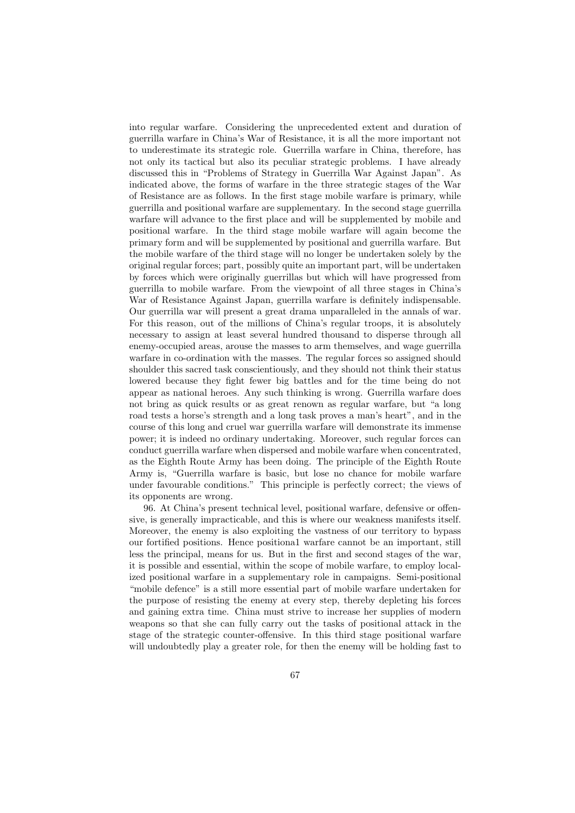into regular warfare. Considering the unprecedented extent and duration of guerrilla warfare in China's War of Resistance, it is all the more important not to underestimate its strategic role. Guerrilla warfare in China, therefore, has not only its tactical but also its peculiar strategic problems. I have already discussed this in "Problems of Strategy in Guerrilla War Against Japan". As indicated above, the forms of warfare in the three strategic stages of the War of Resistance are as follows. In the first stage mobile warfare is primary, while guerrilla and positional warfare are supplementary. In the second stage guerrilla warfare will advance to the first place and will be supplemented by mobile and positional warfare. In the third stage mobile warfare will again become the primary form and will be supplemented by positional and guerrilla warfare. But the mobile warfare of the third stage will no longer be undertaken solely by the original regular forces; part, possibly quite an important part, will be undertaken by forces which were originally guerrillas but which will have progressed from guerrilla to mobile warfare. From the viewpoint of all three stages in China's War of Resistance Against Japan, guerrilla warfare is definitely indispensable. Our guerrilla war will present a great drama unparalleled in the annals of war. For this reason, out of the millions of China's regular troops, it is absolutely necessary to assign at least several hundred thousand to disperse through all enemy-occupied areas, arouse the masses to arm themselves, and wage guerrilla warfare in co-ordination with the masses. The regular forces so assigned should shoulder this sacred task conscientiously, and they should not think their status lowered because they fight fewer big battles and for the time being do not appear as national heroes. Any such thinking is wrong. Guerrilla warfare does not bring as quick results or as great renown as regular warfare, but "a long road tests a horse's strength and a long task proves a man's heart", and in the course of this long and cruel war guerrilla warfare will demonstrate its immense power; it is indeed no ordinary undertaking. Moreover, such regular forces can conduct guerrilla warfare when dispersed and mobile warfare when concentrated, as the Eighth Route Army has been doing. The principle of the Eighth Route Army is, "Guerrilla warfare is basic, but lose no chance for mobile warfare under favourable conditions." This principle is perfectly correct; the views of its opponents are wrong.

96. At China's present technical level, positional warfare, defensive or offensive, is generally impracticable, and this is where our weakness manifests itself. Moreover, the enemy is also exploiting the vastness of our territory to bypass our fortified positions. Hence positiona1 warfare cannot be an important, still less the principal, means for us. But in the first and second stages of the war, it is possible and essential, within the scope of mobile warfare, to employ localized positional warfare in a supplementary role in campaigns. Semi-positional "mobile defence" is a still more essential part of mobile warfare undertaken for the purpose of resisting the enemy at every step, thereby depleting his forces and gaining extra time. China must strive to increase her supplies of modern weapons so that she can fully carry out the tasks of positional attack in the stage of the strategic counter-offensive. In this third stage positional warfare will undoubtedly play a greater role, for then the enemy will be holding fast to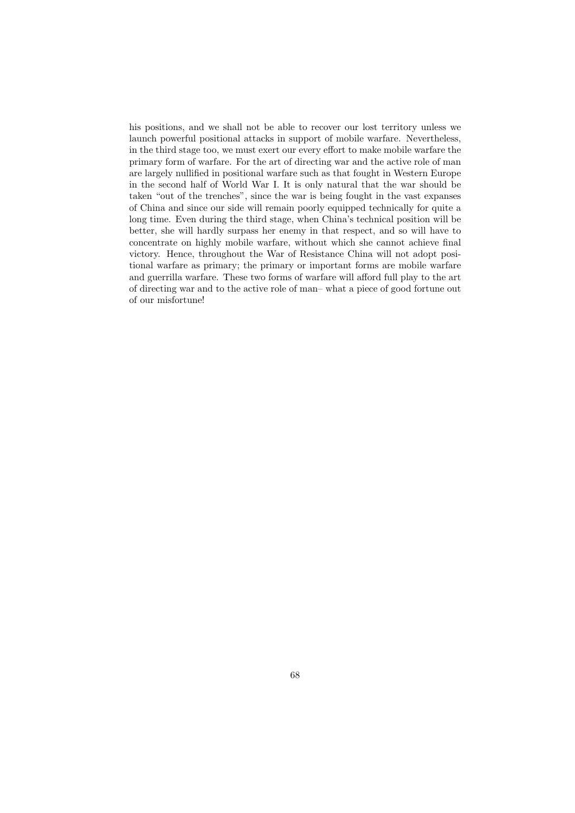his positions, and we shall not be able to recover our lost territory unless we launch powerful positional attacks in support of mobile warfare. Nevertheless, in the third stage too, we must exert our every effort to make mobile warfare the primary form of warfare. For the art of directing war and the active role of man are largely nullified in positional warfare such as that fought in Western Europe in the second half of World War I. It is only natural that the war should be taken "out of the trenches", since the war is being fought in the vast expanses of China and since our side will remain poorly equipped technically for quite a long time. Even during the third stage, when China's technical position will be better, she will hardly surpass her enemy in that respect, and so will have to concentrate on highly mobile warfare, without which she cannot achieve final victory. Hence, throughout the War of Resistance China will not adopt positional warfare as primary; the primary or important forms are mobile warfare and guerrilla warfare. These two forms of warfare will afford full play to the art of directing war and to the active role of man– what a piece of good fortune out of our misfortune!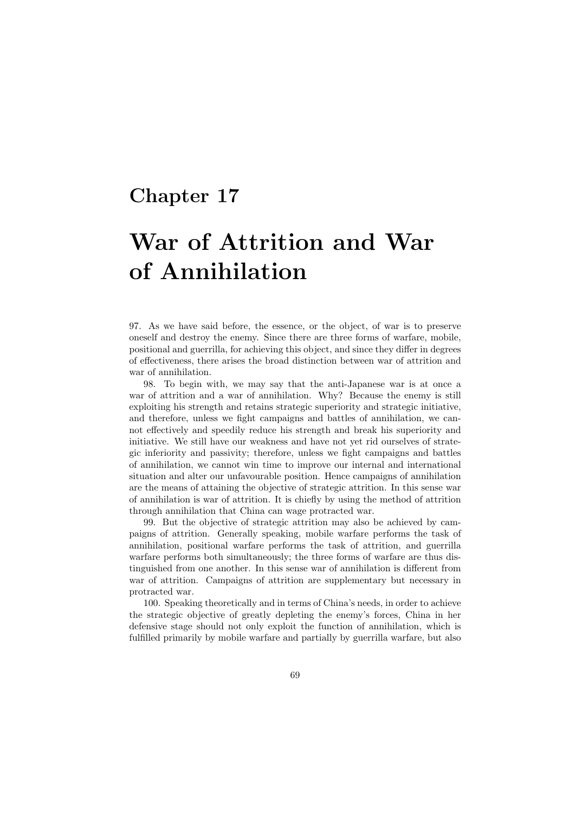# War of Attrition and War of Annihilation

97. As we have said before, the essence, or the object, of war is to preserve oneself and destroy the enemy. Since there are three forms of warfare, mobile, positional and guerrilla, for achieving this object, and since they differ in degrees of effectiveness, there arises the broad distinction between war of attrition and war of annihilation.

98. To begin with, we may say that the anti-Japanese war is at once a war of attrition and a war of annihilation. Why? Because the enemy is still exploiting his strength and retains strategic superiority and strategic initiative, and therefore, unless we fight campaigns and battles of annihilation, we cannot effectively and speedily reduce his strength and break his superiority and initiative. We still have our weakness and have not yet rid ourselves of strategic inferiority and passivity; therefore, unless we fight campaigns and battles of annihilation, we cannot win time to improve our internal and international situation and alter our unfavourable position. Hence campaigns of annihilation are the means of attaining the objective of strategic attrition. In this sense war of annihilation is war of attrition. It is chiefly by using the method of attrition through annihilation that China can wage protracted war.

99. But the objective of strategic attrition may also be achieved by campaigns of attrition. Generally speaking, mobile warfare performs the task of annihilation, positional warfare performs the task of attrition, and guerrilla warfare performs both simultaneously; the three forms of warfare are thus distinguished from one another. In this sense war of annihilation is different from war of attrition. Campaigns of attrition are supplementary but necessary in protracted war.

100. Speaking theoretically and in terms of China's needs, in order to achieve the strategic objective of greatly depleting the enemy's forces, China in her defensive stage should not only exploit the function of annihilation, which is fulfilled primarily by mobile warfare and partially by guerrilla warfare, but also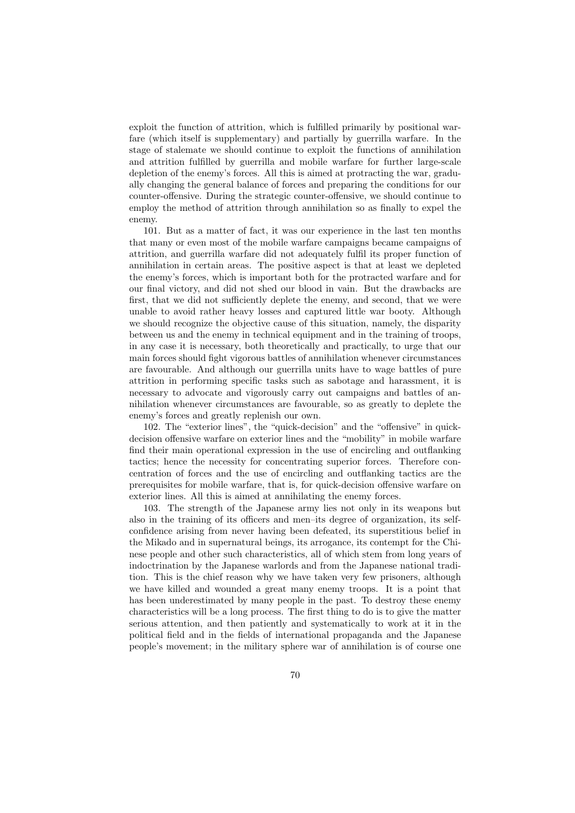exploit the function of attrition, which is fulfilled primarily by positional warfare (which itself is supplementary) and partially by guerrilla warfare. In the stage of stalemate we should continue to exploit the functions of annihilation and attrition fulfilled by guerrilla and mobile warfare for further large-scale depletion of the enemy's forces. All this is aimed at protracting the war, gradually changing the general balance of forces and preparing the conditions for our counter-offensive. During the strategic counter-offensive, we should continue to employ the method of attrition through annihilation so as finally to expel the enemy.

101. But as a matter of fact, it was our experience in the last ten months that many or even most of the mobile warfare campaigns became campaigns of attrition, and guerrilla warfare did not adequately fulfil its proper function of annihilation in certain areas. The positive aspect is that at least we depleted the enemy's forces, which is important both for the protracted warfare and for our final victory, and did not shed our blood in vain. But the drawbacks are first, that we did not sufficiently deplete the enemy, and second, that we were unable to avoid rather heavy losses and captured little war booty. Although we should recognize the objective cause of this situation, namely, the disparity between us and the enemy in technical equipment and in the training of troops, in any case it is necessary, both theoretically and practically, to urge that our main forces should fight vigorous battles of annihilation whenever circumstances are favourable. And although our guerrilla units have to wage battles of pure attrition in performing specific tasks such as sabotage and harassment, it is necessary to advocate and vigorously carry out campaigns and battles of annihilation whenever circumstances are favourable, so as greatly to deplete the enemy's forces and greatly replenish our own.

102. The "exterior lines", the "quick-decision" and the "offensive" in quickdecision offensive warfare on exterior lines and the "mobility" in mobile warfare find their main operational expression in the use of encircling and outflanking tactics; hence the necessity for concentrating superior forces. Therefore concentration of forces and the use of encircling and outflanking tactics are the prerequisites for mobile warfare, that is, for quick-decision offensive warfare on exterior lines. All this is aimed at annihilating the enemy forces.

103. The strength of the Japanese army lies not only in its weapons but also in the training of its officers and men–its degree of organization, its selfconfidence arising from never having been defeated, its superstitious belief in the Mikado and in supernatural beings, its arrogance, its contempt for the Chinese people and other such characteristics, all of which stem from long years of indoctrination by the Japanese warlords and from the Japanese national tradition. This is the chief reason why we have taken very few prisoners, although we have killed and wounded a great many enemy troops. It is a point that has been underestimated by many people in the past. To destroy these enemy characteristics will be a long process. The first thing to do is to give the matter serious attention, and then patiently and systematically to work at it in the political field and in the fields of international propaganda and the Japanese people's movement; in the military sphere war of annihilation is of course one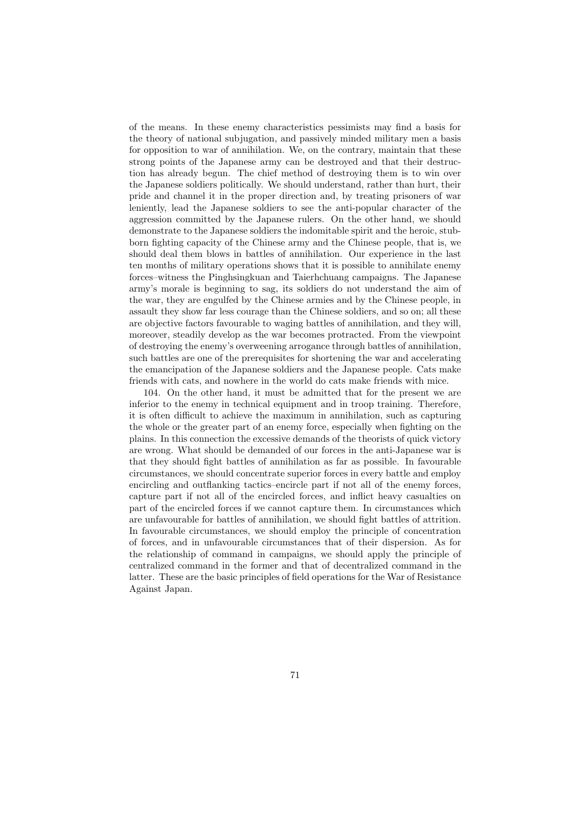of the means. In these enemy characteristics pessimists may find a basis for the theory of national subjugation, and passively minded military men a basis for opposition to war of annihilation. We, on the contrary, maintain that these strong points of the Japanese army can be destroyed and that their destruction has already begun. The chief method of destroying them is to win over the Japanese soldiers politically. We should understand, rather than hurt, their pride and channel it in the proper direction and, by treating prisoners of war leniently, lead the Japanese soldiers to see the anti-popular character of the aggression committed by the Japanese rulers. On the other hand, we should demonstrate to the Japanese soldiers the indomitable spirit and the heroic, stubborn fighting capacity of the Chinese army and the Chinese people, that is, we should deal them blows in battles of annihilation. Our experience in the last ten months of military operations shows that it is possible to annihilate enemy forces–witness the Pinghsingkuan and Taierhchuang campaigns. The Japanese army's morale is beginning to sag, its soldiers do not understand the aim of the war, they are engulfed by the Chinese armies and by the Chinese people, in assault they show far less courage than the Chinese soldiers, and so on; all these are objective factors favourable to waging battles of annihilation, and they will, moreover, steadily develop as the war becomes protracted. From the viewpoint of destroying the enemy's overweening arrogance through battles of annihilation, such battles are one of the prerequisites for shortening the war and accelerating the emancipation of the Japanese soldiers and the Japanese people. Cats make friends with cats, and nowhere in the world do cats make friends with mice.

104. On the other hand, it must be admitted that for the present we are inferior to the enemy in technical equipment and in troop training. Therefore, it is often difficult to achieve the maximum in annihilation, such as capturing the whole or the greater part of an enemy force, especially when fighting on the plains. In this connection the excessive demands of the theorists of quick victory are wrong. What should be demanded of our forces in the anti-Japanese war is that they should fight battles of annihilation as far as possible. In favourable circumstances, we should concentrate superior forces in every battle and employ encircling and outflanking tactics–encircle part if not all of the enemy forces, capture part if not all of the encircled forces, and inflict heavy casualties on part of the encircled forces if we cannot capture them. In circumstances which are unfavourable for battles of annihilation, we should fight battles of attrition. In favourable circumstances, we should employ the principle of concentration of forces, and in unfavourable circumstances that of their dispersion. As for the relationship of command in campaigns, we should apply the principle of centralized command in the former and that of decentralized command in the latter. These are the basic principles of field operations for the War of Resistance Against Japan.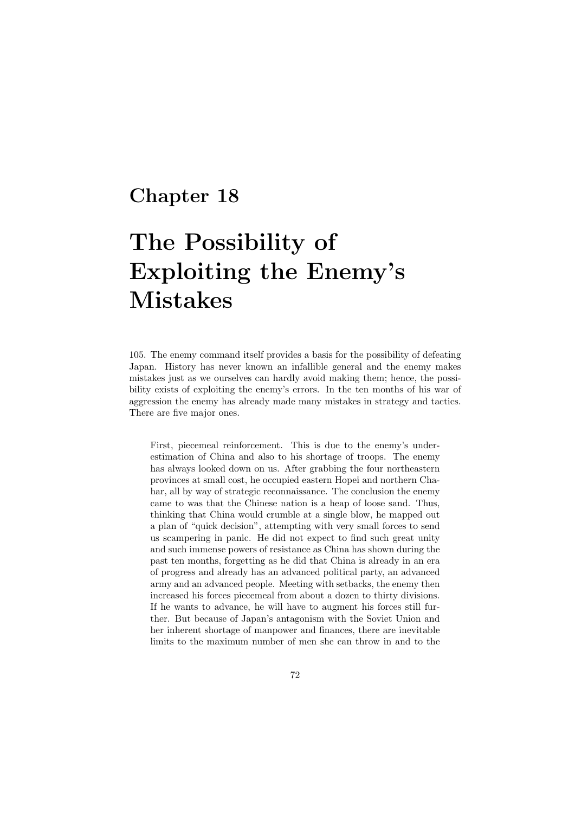## The Possibility of Exploiting the Enemy's Mistakes

105. The enemy command itself provides a basis for the possibility of defeating Japan. History has never known an infallible general and the enemy makes mistakes just as we ourselves can hardly avoid making them; hence, the possibility exists of exploiting the enemy's errors. In the ten months of his war of aggression the enemy has already made many mistakes in strategy and tactics. There are five major ones.

First, piecemeal reinforcement. This is due to the enemy's underestimation of China and also to his shortage of troops. The enemy has always looked down on us. After grabbing the four northeastern provinces at small cost, he occupied eastern Hopei and northern Chahar, all by way of strategic reconnaissance. The conclusion the enemy came to was that the Chinese nation is a heap of loose sand. Thus, thinking that China would crumble at a single blow, he mapped out a plan of "quick decision", attempting with very small forces to send us scampering in panic. He did not expect to find such great unity and such immense powers of resistance as China has shown during the past ten months, forgetting as he did that China is already in an era of progress and already has an advanced political party, an advanced army and an advanced people. Meeting with setbacks, the enemy then increased his forces piecemeal from about a dozen to thirty divisions. If he wants to advance, he will have to augment his forces still further. But because of Japan's antagonism with the Soviet Union and her inherent shortage of manpower and finances, there are inevitable limits to the maximum number of men she can throw in and to the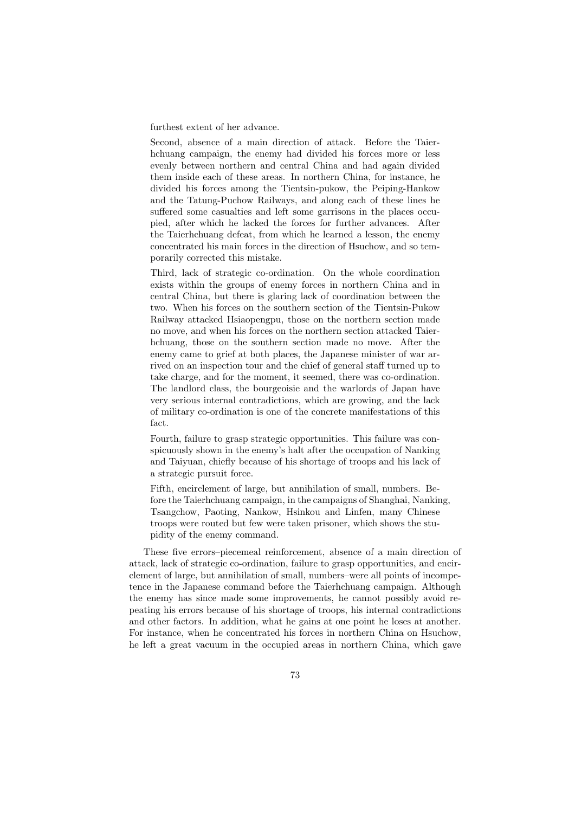furthest extent of her advance.

Second, absence of a main direction of attack. Before the Taierhchuang campaign, the enemy had divided his forces more or less evenly between northern and central China and had again divided them inside each of these areas. In northern China, for instance, he divided his forces among the Tientsin-pukow, the Peiping-Hankow and the Tatung-Puchow Railways, and along each of these lines he suffered some casualties and left some garrisons in the places occupied, after which he lacked the forces for further advances. After the Taierhchuang defeat, from which he learned a lesson, the enemy concentrated his main forces in the direction of Hsuchow, and so temporarily corrected this mistake.

Third, lack of strategic co-ordination. On the whole coordination exists within the groups of enemy forces in northern China and in central China, but there is glaring lack of coordination between the two. When his forces on the southern section of the Tientsin-Pukow Railway attacked Hsiaopengpu, those on the northern section made no move, and when his forces on the northern section attacked Taierhchuang, those on the southern section made no move. After the enemy came to grief at both places, the Japanese minister of war arrived on an inspection tour and the chief of general staff turned up to take charge, and for the moment, it seemed, there was co-ordination. The landlord class, the bourgeoisie and the warlords of Japan have very serious internal contradictions, which are growing, and the lack of military co-ordination is one of the concrete manifestations of this fact.

Fourth, failure to grasp strategic opportunities. This failure was conspicuously shown in the enemy's halt after the occupation of Nanking and Taiyuan, chiefly because of his shortage of troops and his lack of a strategic pursuit force.

Fifth, encirclement of large, but annihilation of small, numbers. Before the Taierhchuang campaign, in the campaigns of Shanghai, Nanking, Tsangchow, Paoting, Nankow, Hsinkou and Linfen, many Chinese troops were routed but few were taken prisoner, which shows the stupidity of the enemy command.

These five errors–piecemeal reinforcement, absence of a main direction of attack, lack of strategic co-ordination, failure to grasp opportunities, and encirclement of large, but annihilation of small, numbers–were all points of incompetence in the Japanese command before the Taierhchuang campaign. Although the enemy has since made some improvements, he cannot possibly avoid repeating his errors because of his shortage of troops, his internal contradictions and other factors. In addition, what he gains at one point he loses at another. For instance, when he concentrated his forces in northern China on Hsuchow, he left a great vacuum in the occupied areas in northern China, which gave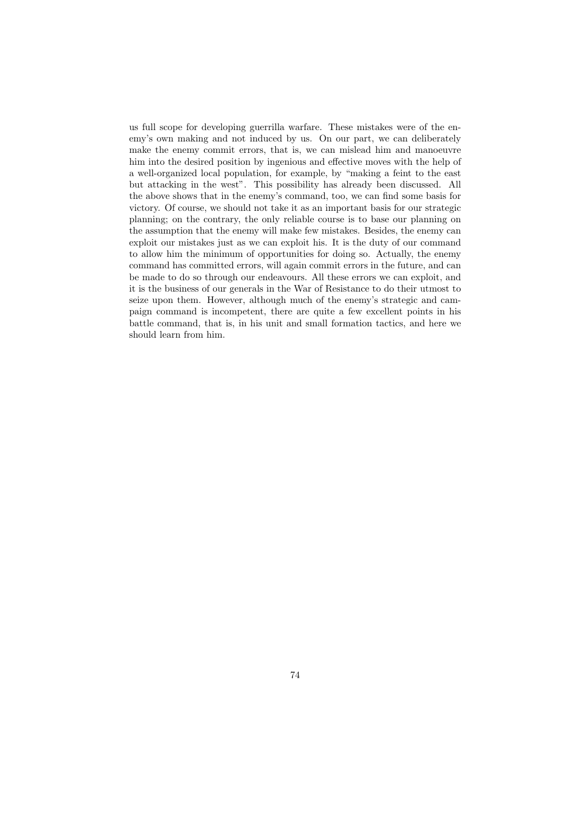us full scope for developing guerrilla warfare. These mistakes were of the enemy's own making and not induced by us. On our part, we can deliberately make the enemy commit errors, that is, we can mislead him and manoeuvre him into the desired position by ingenious and effective moves with the help of a well-organized local population, for example, by "making a feint to the east but attacking in the west". This possibility has already been discussed. All the above shows that in the enemy's command, too, we can find some basis for victory. Of course, we should not take it as an important basis for our strategic planning; on the contrary, the only reliable course is to base our planning on the assumption that the enemy will make few mistakes. Besides, the enemy can exploit our mistakes just as we can exploit his. It is the duty of our command to allow him the minimum of opportunities for doing so. Actually, the enemy command has committed errors, will again commit errors in the future, and can be made to do so through our endeavours. All these errors we can exploit, and it is the business of our generals in the War of Resistance to do their utmost to seize upon them. However, although much of the enemy's strategic and campaign command is incompetent, there are quite a few excellent points in his battle command, that is, in his unit and small formation tactics, and here we should learn from him.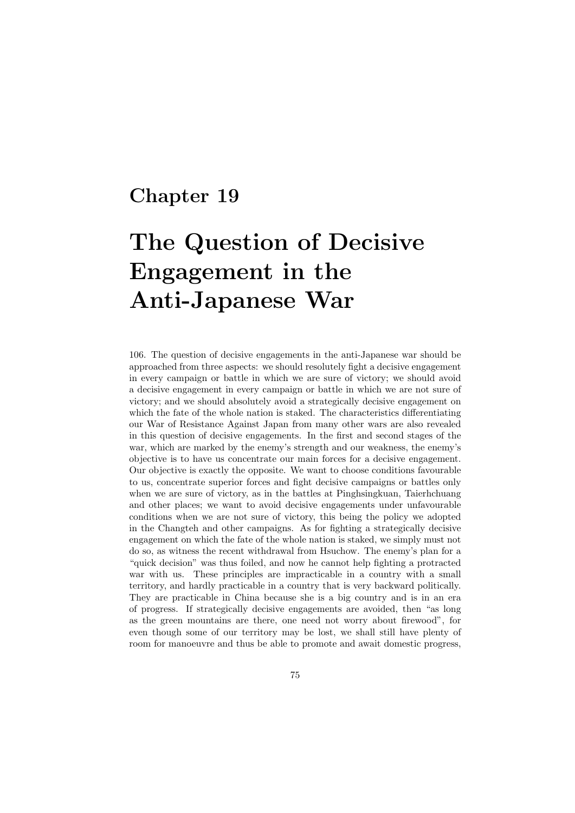# The Question of Decisive Engagement in the Anti-Japanese War

106. The question of decisive engagements in the anti-Japanese war should be approached from three aspects: we should resolutely fight a decisive engagement in every campaign or battle in which we are sure of victory; we should avoid a decisive engagement in every campaign or battle in which we are not sure of victory; and we should absolutely avoid a strategically decisive engagement on which the fate of the whole nation is staked. The characteristics differentiating our War of Resistance Against Japan from many other wars are also revealed in this question of decisive engagements. In the first and second stages of the war, which are marked by the enemy's strength and our weakness, the enemy's objective is to have us concentrate our main forces for a decisive engagement. Our objective is exactly the opposite. We want to choose conditions favourable to us, concentrate superior forces and fight decisive campaigns or battles only when we are sure of victory, as in the battles at Pinghsingkuan, Taierhchuang and other places; we want to avoid decisive engagements under unfavourable conditions when we are not sure of victory, this being the policy we adopted in the Changteh and other campaigns. As for fighting a strategically decisive engagement on which the fate of the whole nation is staked, we simply must not do so, as witness the recent withdrawal from Hsuchow. The enemy's plan for a "quick decision" was thus foiled, and now he cannot help fighting a protracted war with us. These principles are impracticable in a country with a small territory, and hardly practicable in a country that is very backward politically. They are practicable in China because she is a big country and is in an era of progress. If strategically decisive engagements are avoided, then "as long as the green mountains are there, one need not worry about firewood", for even though some of our territory may be lost, we shall still have plenty of room for manoeuvre and thus be able to promote and await domestic progress,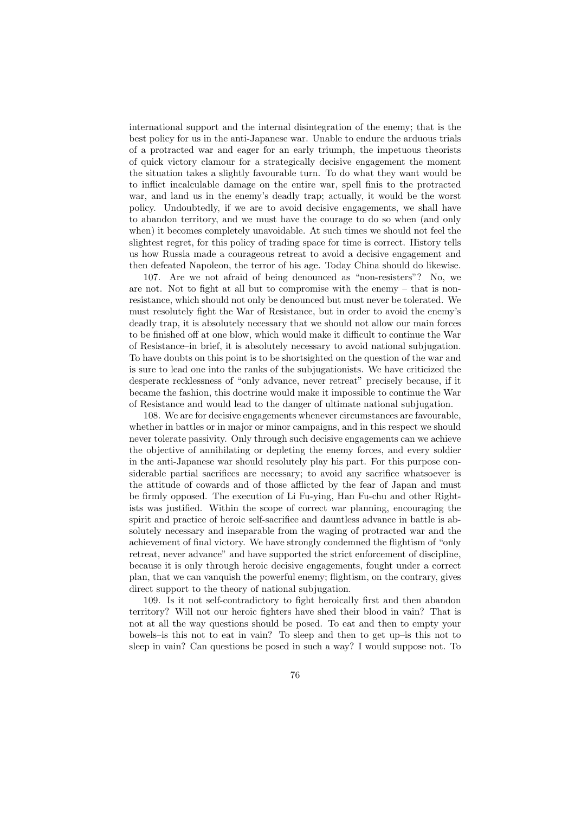international support and the internal disintegration of the enemy; that is the best policy for us in the anti-Japanese war. Unable to endure the arduous trials of a protracted war and eager for an early triumph, the impetuous theorists of quick victory clamour for a strategically decisive engagement the moment the situation takes a slightly favourable turn. To do what they want would be to inflict incalculable damage on the entire war, spell finis to the protracted war, and land us in the enemy's deadly trap; actually, it would be the worst policy. Undoubtedly, if we are to avoid decisive engagements, we shall have to abandon territory, and we must have the courage to do so when (and only when) it becomes completely unavoidable. At such times we should not feel the slightest regret, for this policy of trading space for time is correct. History tells us how Russia made a courageous retreat to avoid a decisive engagement and then defeated Napoleon, the terror of his age. Today China should do likewise.

107. Are we not afraid of being denounced as "non-resisters"? No, we are not. Not to fight at all but to compromise with the enemy – that is nonresistance, which should not only be denounced but must never be tolerated. We must resolutely fight the War of Resistance, but in order to avoid the enemy's deadly trap, it is absolutely necessary that we should not allow our main forces to be finished off at one blow, which would make it difficult to continue the War of Resistance–in brief, it is absolutely necessary to avoid national subjugation. To have doubts on this point is to be shortsighted on the question of the war and is sure to lead one into the ranks of the subjugationists. We have criticized the desperate recklessness of "only advance, never retreat" precisely because, if it became the fashion, this doctrine would make it impossible to continue the War of Resistance and would lead to the danger of ultimate national subjugation.

108. We are for decisive engagements whenever circumstances are favourable, whether in battles or in major or minor campaigns, and in this respect we should never tolerate passivity. Only through such decisive engagements can we achieve the objective of annihilating or depleting the enemy forces, and every soldier in the anti-Japanese war should resolutely play his part. For this purpose considerable partial sacrifices are necessary; to avoid any sacrifice whatsoever is the attitude of cowards and of those afflicted by the fear of Japan and must be firmly opposed. The execution of Li Fu-ying, Han Fu-chu and other Rightists was justified. Within the scope of correct war planning, encouraging the spirit and practice of heroic self-sacrifice and dauntless advance in battle is absolutely necessary and inseparable from the waging of protracted war and the achievement of final victory. We have strongly condemned the flightism of "only retreat, never advance" and have supported the strict enforcement of discipline, because it is only through heroic decisive engagements, fought under a correct plan, that we can vanquish the powerful enemy; flightism, on the contrary, gives direct support to the theory of national subjugation.

109. Is it not self-contradictory to fight heroically first and then abandon territory? Will not our heroic fighters have shed their blood in vain? That is not at all the way questions should be posed. To eat and then to empty your bowels–is this not to eat in vain? To sleep and then to get up–is this not to sleep in vain? Can questions be posed in such a way? I would suppose not. To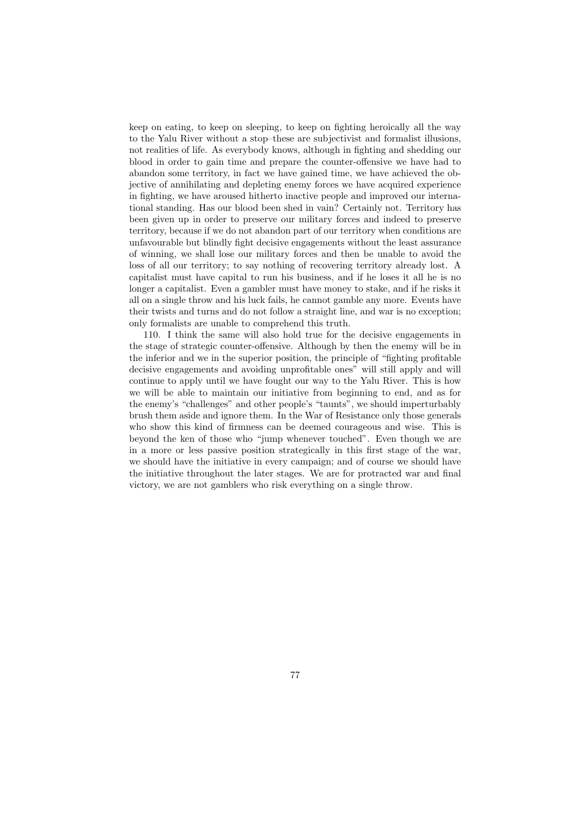keep on eating, to keep on sleeping, to keep on fighting heroically all the way to the Yalu River without a stop–these are subjectivist and formalist illusions, not realities of life. As everybody knows, although in fighting and shedding our blood in order to gain time and prepare the counter-offensive we have had to abandon some territory, in fact we have gained time, we have achieved the objective of annihilating and depleting enemy forces we have acquired experience in fighting, we have aroused hitherto inactive people and improved our international standing. Has our blood been shed in vain? Certainly not. Territory has been given up in order to preserve our military forces and indeed to preserve territory, because if we do not abandon part of our territory when conditions are unfavourable but blindly fight decisive engagements without the least assurance of winning, we shall lose our military forces and then be unable to avoid the loss of all our territory; to say nothing of recovering territory already lost. A capitalist must have capital to run his business, and if he loses it all he is no longer a capitalist. Even a gambler must have money to stake, and if he risks it all on a single throw and his luck fails, he cannot gamble any more. Events have their twists and turns and do not follow a straight line, and war is no exception; only formalists are unable to comprehend this truth.

110. I think the same will also hold true for the decisive engagements in the stage of strategic counter-offensive. Although by then the enemy will be in the inferior and we in the superior position, the principle of "fighting profitable decisive engagements and avoiding unprofitable ones" will still apply and will continue to apply until we have fought our way to the Yalu River. This is how we will be able to maintain our initiative from beginning to end, and as for the enemy's "challenges" and other people's "taunts", we should imperturbably brush them aside and ignore them. In the War of Resistance only those generals who show this kind of firmness can be deemed courageous and wise. This is beyond the ken of those who "jump whenever touched". Even though we are in a more or less passive position strategically in this first stage of the war, we should have the initiative in every campaign; and of course we should have the initiative throughout the later stages. We are for protracted war and final victory, we are not gamblers who risk everything on a single throw.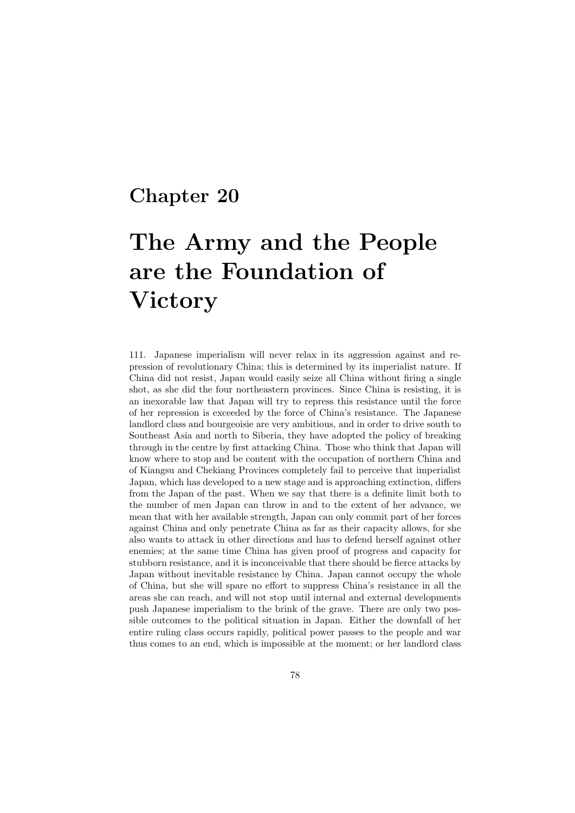## The Army and the People are the Foundation of **Victory**

111. Japanese imperialism will never relax in its aggression against and repression of revolutionary China; this is determined by its imperialist nature. If China did not resist, Japan would easily seize all China without firing a single shot, as she did the four northeastern provinces. Since China is resisting, it is an inexorable law that Japan will try to repress this resistance until the force of her repression is exceeded by the force of China's resistance. The Japanese landlord class and bourgeoisie are very ambitious, and in order to drive south to Southeast Asia and north to Siberia, they have adopted the policy of breaking through in the centre by first attacking China. Those who think that Japan will know where to stop and be content with the occupation of northern China and of Kiangsu and Chekiang Provinces completely fail to perceive that imperialist Japan, which has developed to a new stage and is approaching extinction, differs from the Japan of the past. When we say that there is a definite limit both to the number of men Japan can throw in and to the extent of her advance, we mean that with her available strength, Japan can only commit part of her forces against China and only penetrate China as far as their capacity allows, for she also wants to attack in other directions and has to defend herself against other enemies; at the same time China has given proof of progress and capacity for stubborn resistance, and it is inconceivable that there should be fierce attacks by Japan without inevitable resistance by China. Japan cannot occupy the whole of China, but she will spare no effort to suppress China's resistance in all the areas she can reach, and will not stop until internal and external developments push Japanese imperialism to the brink of the grave. There are only two possible outcomes to the political situation in Japan. Either the downfall of her entire ruling class occurs rapidly, political power passes to the people and war thus comes to an end, which is impossible at the moment; or her landlord class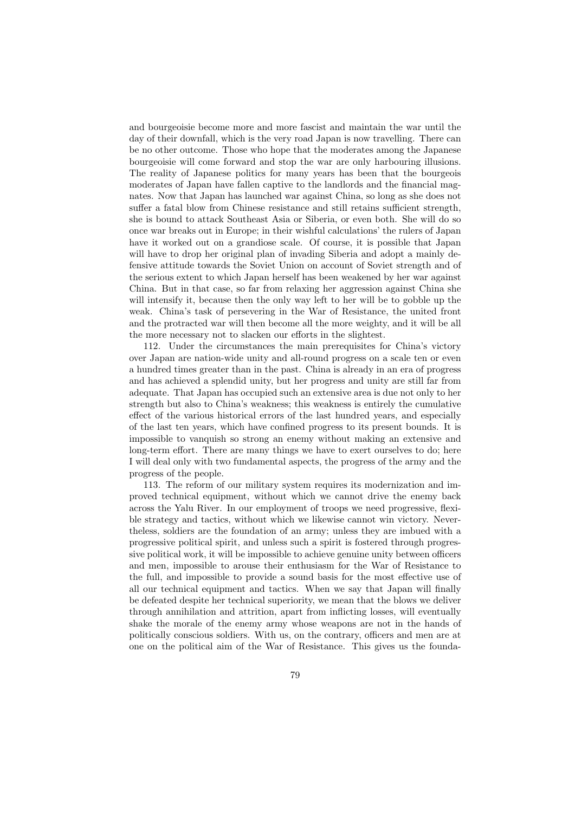and bourgeoisie become more and more fascist and maintain the war until the day of their downfall, which is the very road Japan is now travelling. There can be no other outcome. Those who hope that the moderates among the Japanese bourgeoisie will come forward and stop the war are only harbouring illusions. The reality of Japanese politics for many years has been that the bourgeois moderates of Japan have fallen captive to the landlords and the financial magnates. Now that Japan has launched war against China, so long as she does not suffer a fatal blow from Chinese resistance and still retains sufficient strength, she is bound to attack Southeast Asia or Siberia, or even both. She will do so once war breaks out in Europe; in their wishful calculations' the rulers of Japan have it worked out on a grandiose scale. Of course, it is possible that Japan will have to drop her original plan of invading Siberia and adopt a mainly defensive attitude towards the Soviet Union on account of Soviet strength and of the serious extent to which Japan herself has been weakened by her war against China. But in that case, so far from relaxing her aggression against China she will intensify it, because then the only way left to her will be to gobble up the weak. China's task of persevering in the War of Resistance, the united front and the protracted war will then become all the more weighty, and it will be all the more necessary not to slacken our efforts in the slightest.

112. Under the circumstances the main prerequisites for China's victory over Japan are nation-wide unity and all-round progress on a scale ten or even a hundred times greater than in the past. China is already in an era of progress and has achieved a splendid unity, but her progress and unity are still far from adequate. That Japan has occupied such an extensive area is due not only to her strength but also to China's weakness; this weakness is entirely the cumulative effect of the various historical errors of the last hundred years, and especially of the last ten years, which have confined progress to its present bounds. It is impossible to vanquish so strong an enemy without making an extensive and long-term effort. There are many things we have to exert ourselves to do; here I will deal only with two fundamental aspects, the progress of the army and the progress of the people.

113. The reform of our military system requires its modernization and improved technical equipment, without which we cannot drive the enemy back across the Yalu River. In our employment of troops we need progressive, flexible strategy and tactics, without which we likewise cannot win victory. Nevertheless, soldiers are the foundation of an army; unless they are imbued with a progressive political spirit, and unless such a spirit is fostered through progressive political work, it will be impossible to achieve genuine unity between officers and men, impossible to arouse their enthusiasm for the War of Resistance to the full, and impossible to provide a sound basis for the most effective use of all our technical equipment and tactics. When we say that Japan will finally be defeated despite her technical superiority, we mean that the blows we deliver through annihilation and attrition, apart from inflicting losses, will eventually shake the morale of the enemy army whose weapons are not in the hands of politically conscious soldiers. With us, on the contrary, officers and men are at one on the political aim of the War of Resistance. This gives us the founda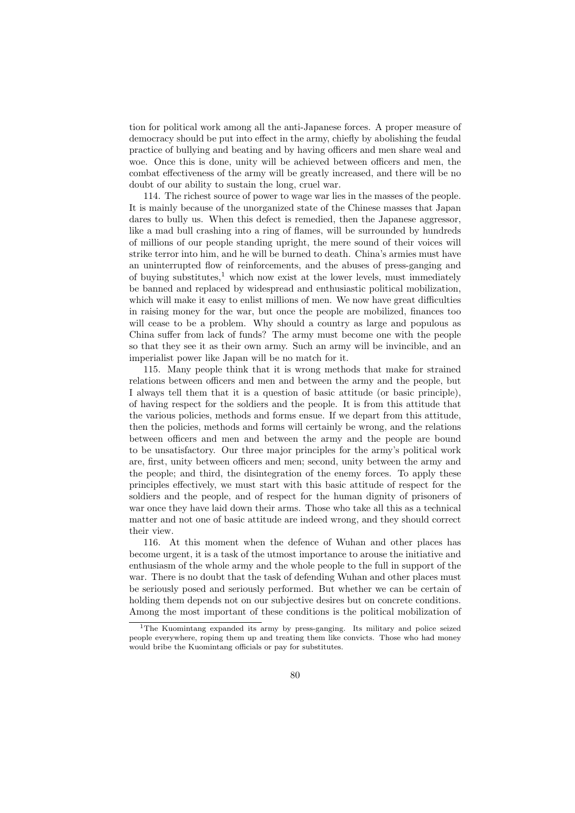tion for political work among all the anti-Japanese forces. A proper measure of democracy should be put into effect in the army, chiefly by abolishing the feudal practice of bullying and beating and by having officers and men share weal and woe. Once this is done, unity will be achieved between officers and men, the combat effectiveness of the army will be greatly increased, and there will be no doubt of our ability to sustain the long, cruel war.

114. The richest source of power to wage war lies in the masses of the people. It is mainly because of the unorganized state of the Chinese masses that Japan dares to bully us. When this defect is remedied, then the Japanese aggressor, like a mad bull crashing into a ring of flames, will be surrounded by hundreds of millions of our people standing upright, the mere sound of their voices will strike terror into him, and he will be burned to death. China's armies must have an uninterrupted flow of reinforcements, and the abuses of press-ganging and of buying substitutes, $1$  which now exist at the lower levels, must immediately be banned and replaced by widespread and enthusiastic political mobilization, which will make it easy to enlist millions of men. We now have great difficulties in raising money for the war, but once the people are mobilized, finances too will cease to be a problem. Why should a country as large and populous as China suffer from lack of funds? The army must become one with the people so that they see it as their own army. Such an army will be invincible, and an imperialist power like Japan will be no match for it.

115. Many people think that it is wrong methods that make for strained relations between officers and men and between the army and the people, but I always tell them that it is a question of basic attitude (or basic principle), of having respect for the soldiers and the people. It is from this attitude that the various policies, methods and forms ensue. If we depart from this attitude, then the policies, methods and forms will certainly be wrong, and the relations between officers and men and between the army and the people are bound to be unsatisfactory. Our three major principles for the army's political work are, first, unity between officers and men; second, unity between the army and the people; and third, the disintegration of the enemy forces. To apply these principles effectively, we must start with this basic attitude of respect for the soldiers and the people, and of respect for the human dignity of prisoners of war once they have laid down their arms. Those who take all this as a technical matter and not one of basic attitude are indeed wrong, and they should correct their view.

116. At this moment when the defence of Wuhan and other places has become urgent, it is a task of the utmost importance to arouse the initiative and enthusiasm of the whole army and the whole people to the full in support of the war. There is no doubt that the task of defending Wuhan and other places must be seriously posed and seriously performed. But whether we can be certain of holding them depends not on our subjective desires but on concrete conditions. Among the most important of these conditions is the political mobilization of

<sup>&</sup>lt;sup>1</sup>The Kuomintang expanded its army by press-ganging. Its military and police seized people everywhere, roping them up and treating them like convicts. Those who had money would bribe the Kuomintang officials or pay for substitutes.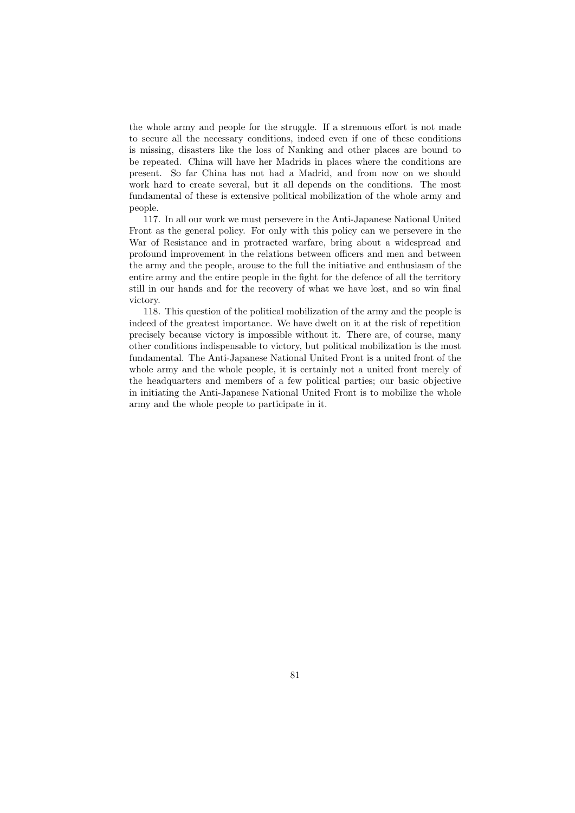the whole army and people for the struggle. If a strenuous effort is not made to secure all the necessary conditions, indeed even if one of these conditions is missing, disasters like the loss of Nanking and other places are bound to be repeated. China will have her Madrids in places where the conditions are present. So far China has not had a Madrid, and from now on we should work hard to create several, but it all depends on the conditions. The most fundamental of these is extensive political mobilization of the whole army and people.

117. In all our work we must persevere in the Anti-Japanese National United Front as the general policy. For only with this policy can we persevere in the War of Resistance and in protracted warfare, bring about a widespread and profound improvement in the relations between officers and men and between the army and the people, arouse to the full the initiative and enthusiasm of the entire army and the entire people in the fight for the defence of all the territory still in our hands and for the recovery of what we have lost, and so win final victory.

118. This question of the political mobilization of the army and the people is indeed of the greatest importance. We have dwelt on it at the risk of repetition precisely because victory is impossible without it. There are, of course, many other conditions indispensable to victory, but political mobilization is the most fundamental. The Anti-Japanese National United Front is a united front of the whole army and the whole people, it is certainly not a united front merely of the headquarters and members of a few political parties; our basic objective in initiating the Anti-Japanese National United Front is to mobilize the whole army and the whole people to participate in it.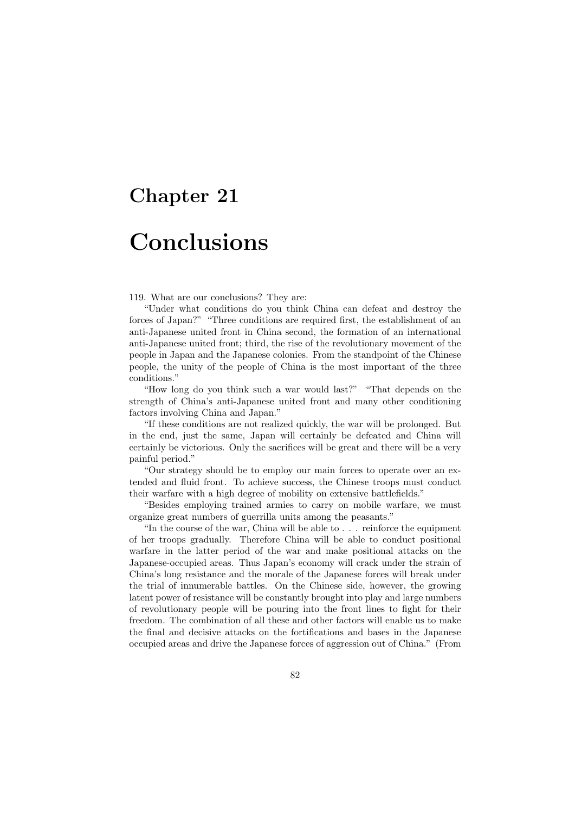### Conclusions

#### 119. What are our conclusions? They are:

"Under what conditions do you think China can defeat and destroy the forces of Japan?" "Three conditions are required first, the establishment of an anti-Japanese united front in China second, the formation of an international anti-Japanese united front; third, the rise of the revolutionary movement of the people in Japan and the Japanese colonies. From the standpoint of the Chinese people, the unity of the people of China is the most important of the three conditions."

"How long do you think such a war would last?" "That depends on the strength of China's anti-Japanese united front and many other conditioning factors involving China and Japan."

"If these conditions are not realized quickly, the war will be prolonged. But in the end, just the same, Japan will certainly be defeated and China will certainly be victorious. Only the sacrifices will be great and there will be a very painful period."

"Our strategy should be to employ our main forces to operate over an extended and fluid front. To achieve success, the Chinese troops must conduct their warfare with a high degree of mobility on extensive battlefields."

"Besides employing trained armies to carry on mobile warfare, we must organize great numbers of guerrilla units among the peasants."

"In the course of the war, China will be able to . . . reinforce the equipment of her troops gradually. Therefore China will be able to conduct positional warfare in the latter period of the war and make positional attacks on the Japanese-occupied areas. Thus Japan's economy will crack under the strain of China's long resistance and the morale of the Japanese forces will break under the trial of innumerable battles. On the Chinese side, however, the growing latent power of resistance will be constantly brought into play and large numbers of revolutionary people will be pouring into the front lines to fight for their freedom. The combination of all these and other factors will enable us to make the final and decisive attacks on the fortifications and bases in the Japanese occupied areas and drive the Japanese forces of aggression out of China." (From